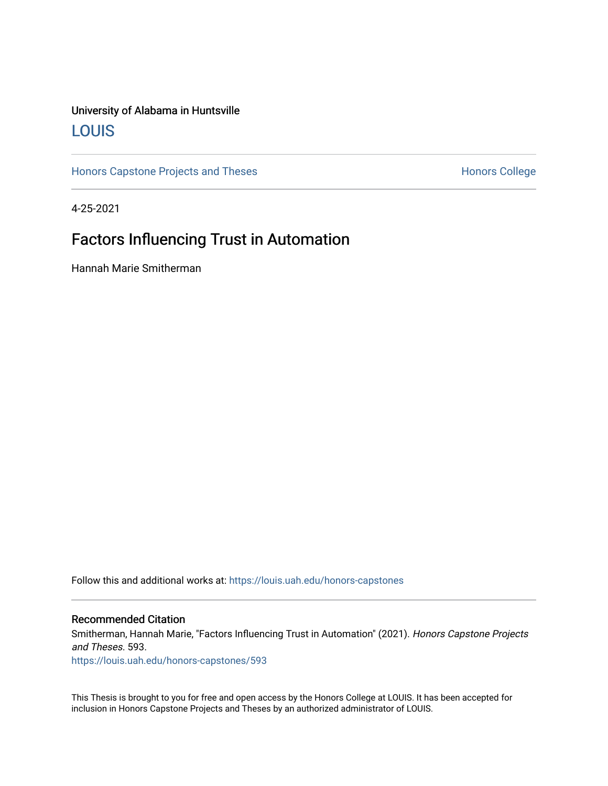# University of Alabama in Huntsville [LOUIS](https://louis.uah.edu/)

[Honors Capstone Projects and Theses](https://louis.uah.edu/honors-capstones) **Honors College** Honors College

4-25-2021

# Factors Influencing Trust in Automation

Hannah Marie Smitherman

Follow this and additional works at: [https://louis.uah.edu/honors-capstones](https://louis.uah.edu/honors-capstones?utm_source=louis.uah.edu%2Fhonors-capstones%2F593&utm_medium=PDF&utm_campaign=PDFCoverPages) 

### Recommended Citation

Smitherman, Hannah Marie, "Factors Influencing Trust in Automation" (2021). Honors Capstone Projects and Theses. 593.

[https://louis.uah.edu/honors-capstones/593](https://louis.uah.edu/honors-capstones/593?utm_source=louis.uah.edu%2Fhonors-capstones%2F593&utm_medium=PDF&utm_campaign=PDFCoverPages) 

This Thesis is brought to you for free and open access by the Honors College at LOUIS. It has been accepted for inclusion in Honors Capstone Projects and Theses by an authorized administrator of LOUIS.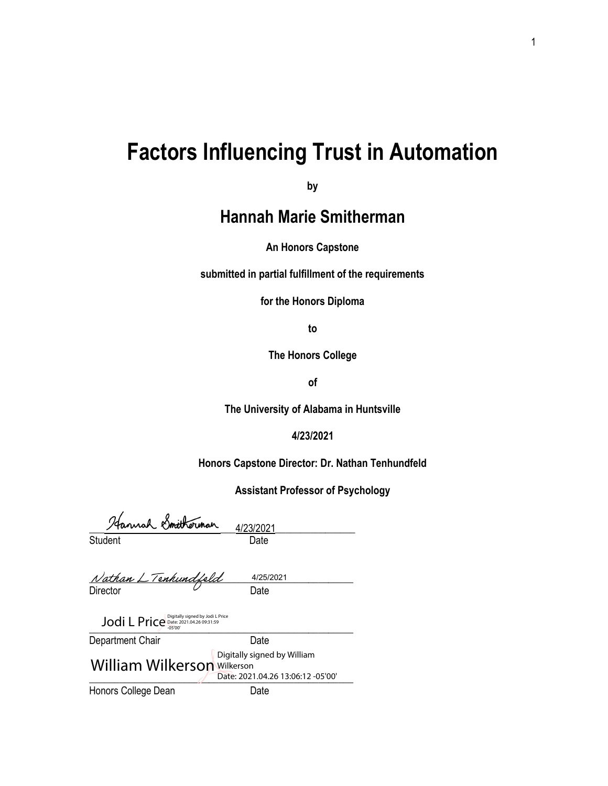# **Factors Influencing Trust in Automation**

**by**

# **Hannah Marie Smitherman**

**An Honors Capstone**

**submitted in partial fulfillment of the requirements** 

**for the Honors Diploma**

**to** 

**The Honors College** 

**of** 

**The University of Alabama in Huntsville**

**4/23/2021**

**Honors Capstone Director: Dr. Nathan Tenhundfeld**

**Assistant Professor of Psychology**

| Hannah Smitherman | 4/23/202 |
|-------------------|----------|
| Student           | Date.    |

23/2021

| Nathan L Tenhundfeld | 4/25/2021 |  |
|----------------------|-----------|--|
| Director             | Date.     |  |

 $J$ odi L Price  $\frac{D \text{ right}}{4500}$  and  $\frac{2021.04.26 \text{ } 09331:59}{2500}$ 

| Department Chair                   | Date                                                             |
|------------------------------------|------------------------------------------------------------------|
| <b>William Wilkerson Wilkerson</b> | Digitally signed by William<br>Date: 2021.04.26 13:06:12 -05'00' |
| Honors College Dean                | Date                                                             |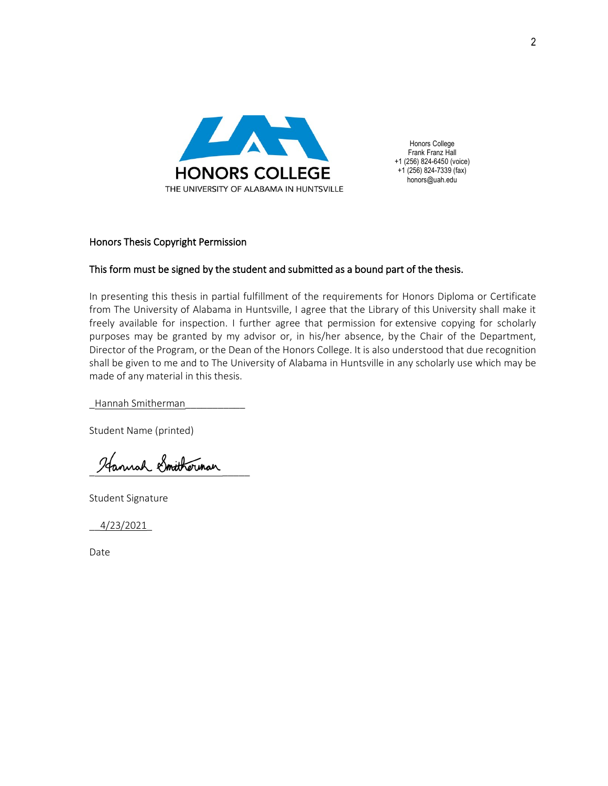

Honors College Frank Franz Hall +1 (256) 824-6450 (voice) +1 (256) 824-7339 (fax) honors@uah.edu

# Honors Thesis Copyright Permission

# This form must be signed by the student and submitted as a bound part of the thesis.

In presenting this thesis in partial fulfillment of the requirements for Honors Diploma or Certificate from The University of Alabama in Huntsville, I agree that the Library of this University shall make it freely available for inspection. I further agree that permission for extensive copying for scholarly purposes may be granted by my advisor or, in his/her absence, by the Chair of the Department, Director of the Program, or the Dean of the Honors College. It is also understood that due recognition shall be given to me and to The University of Alabama in Huntsville in any scholarly use which may be made of any material in this thesis.

\_Hannah Smitherman\_\_\_\_\_\_\_\_\_\_\_

Student Name (printed)

Hannah Smitherman

Student Signature

\_\_4/23/2021\_

Date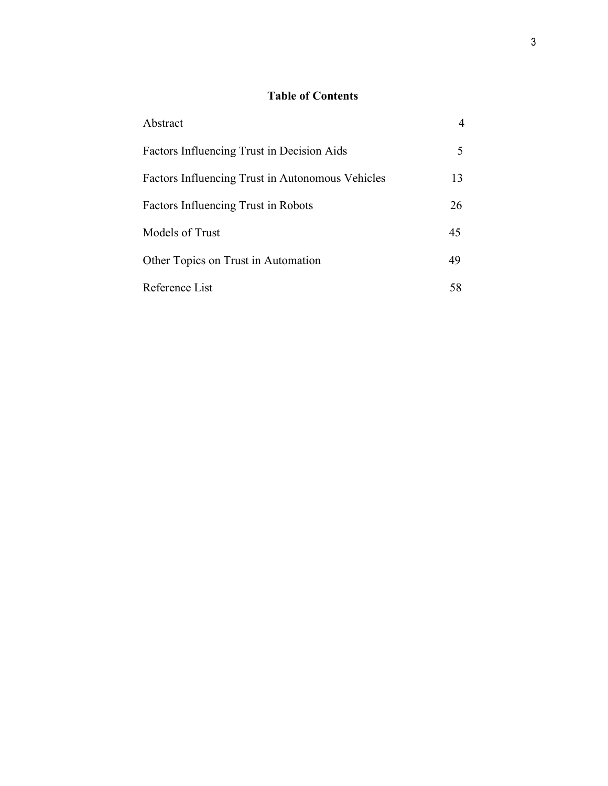# **Table of Contents**

| Abstract                                         |    |
|--------------------------------------------------|----|
| Factors Influencing Trust in Decision Aids       |    |
| Factors Influencing Trust in Autonomous Vehicles | 13 |
| Factors Influencing Trust in Robots              | 26 |
| Models of Trust                                  | 45 |
| Other Topics on Trust in Automation              | 49 |
| Reference List                                   | 58 |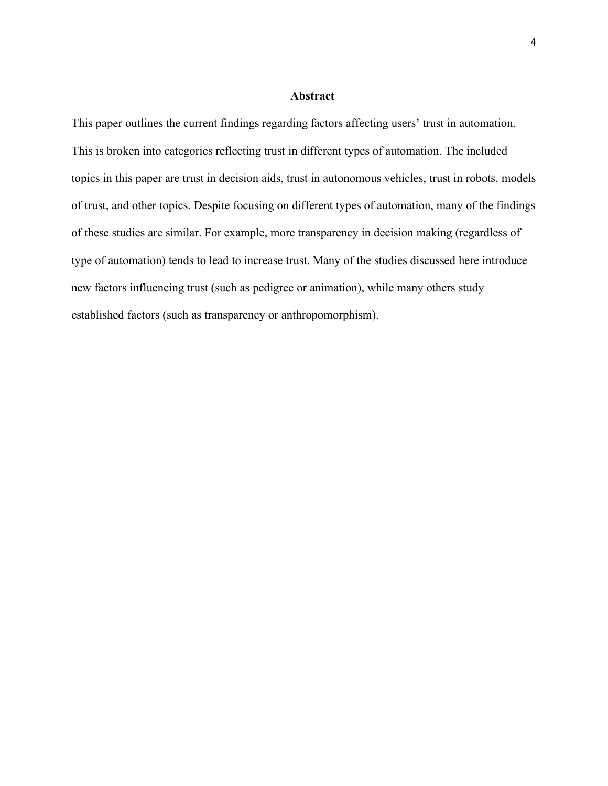## **Abstract**

This paper outlines the current findings regarding factors affecting users' trust in automation. This is broken into categories reflecting trust in different types of automation. The included topics in this paper are trust in decision aids, trust in autonomous vehicles, trust in robots, models of trust, and other topics. Despite focusing on different types of automation, many of the findings of these studies are similar. For example, more transparency in decision making (regardless of type of automation) tends to lead to increase trust. Many of the studies discussed here introduce new factors influencing trust (such as pedigree or animation), while many others study established factors (such as transparency or anthropomorphism).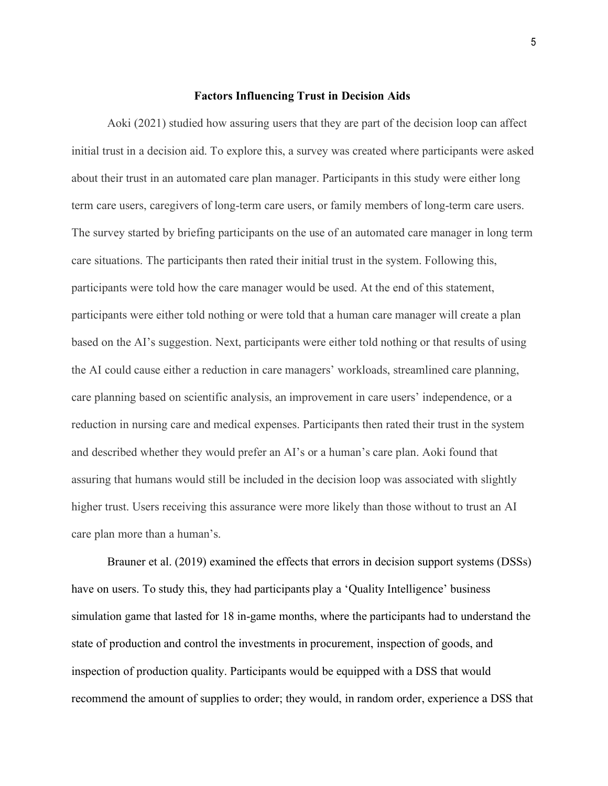## **Factors Influencing Trust in Decision Aids**

Aoki (2021) studied how assuring users that they are part of the decision loop can affect initial trust in a decision aid. To explore this, a survey was created where participants were asked about their trust in an automated care plan manager. Participants in this study were either long term care users, caregivers of long-term care users, or family members of long-term care users. The survey started by briefing participants on the use of an automated care manager in long term care situations. The participants then rated their initial trust in the system. Following this, participants were told how the care manager would be used. At the end of this statement, participants were either told nothing or were told that a human care manager will create a plan based on the AI's suggestion. Next, participants were either told nothing or that results of using the AI could cause either a reduction in care managers' workloads, streamlined care planning, care planning based on scientific analysis, an improvement in care users' independence, or a reduction in nursing care and medical expenses. Participants then rated their trust in the system and described whether they would prefer an AI's or a human's care plan. Aoki found that assuring that humans would still be included in the decision loop was associated with slightly higher trust. Users receiving this assurance were more likely than those without to trust an AI care plan more than a human's.

Brauner et al. (2019) examined the effects that errors in decision support systems (DSSs) have on users. To study this, they had participants play a 'Quality Intelligence' business simulation game that lasted for 18 in-game months, where the participants had to understand the state of production and control the investments in procurement, inspection of goods, and inspection of production quality. Participants would be equipped with a DSS that would recommend the amount of supplies to order; they would, in random order, experience a DSS that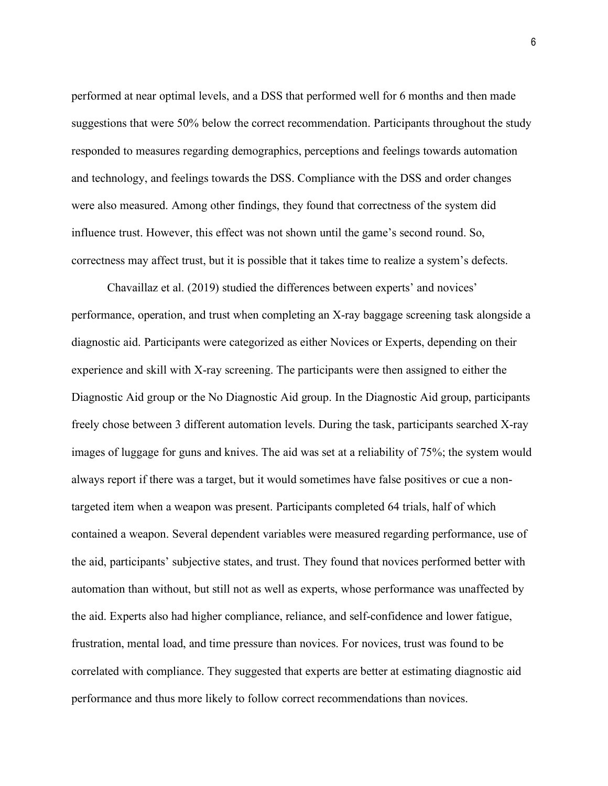performed at near optimal levels, and a DSS that performed well for 6 months and then made suggestions that were 50% below the correct recommendation. Participants throughout the study responded to measures regarding demographics, perceptions and feelings towards automation and technology, and feelings towards the DSS. Compliance with the DSS and order changes were also measured. Among other findings, they found that correctness of the system did influence trust. However, this effect was not shown until the game's second round. So, correctness may affect trust, but it is possible that it takes time to realize a system's defects.

Chavaillaz et al. (2019) studied the differences between experts' and novices' performance, operation, and trust when completing an X-ray baggage screening task alongside a diagnostic aid. Participants were categorized as either Novices or Experts, depending on their experience and skill with X-ray screening. The participants were then assigned to either the Diagnostic Aid group or the No Diagnostic Aid group. In the Diagnostic Aid group, participants freely chose between 3 different automation levels. During the task, participants searched X-ray images of luggage for guns and knives. The aid was set at a reliability of 75%; the system would always report if there was a target, but it would sometimes have false positives or cue a nontargeted item when a weapon was present. Participants completed 64 trials, half of which contained a weapon. Several dependent variables were measured regarding performance, use of the aid, participants' subjective states, and trust. They found that novices performed better with automation than without, but still not as well as experts, whose performance was unaffected by the aid. Experts also had higher compliance, reliance, and self-confidence and lower fatigue, frustration, mental load, and time pressure than novices. For novices, trust was found to be correlated with compliance. They suggested that experts are better at estimating diagnostic aid performance and thus more likely to follow correct recommendations than novices.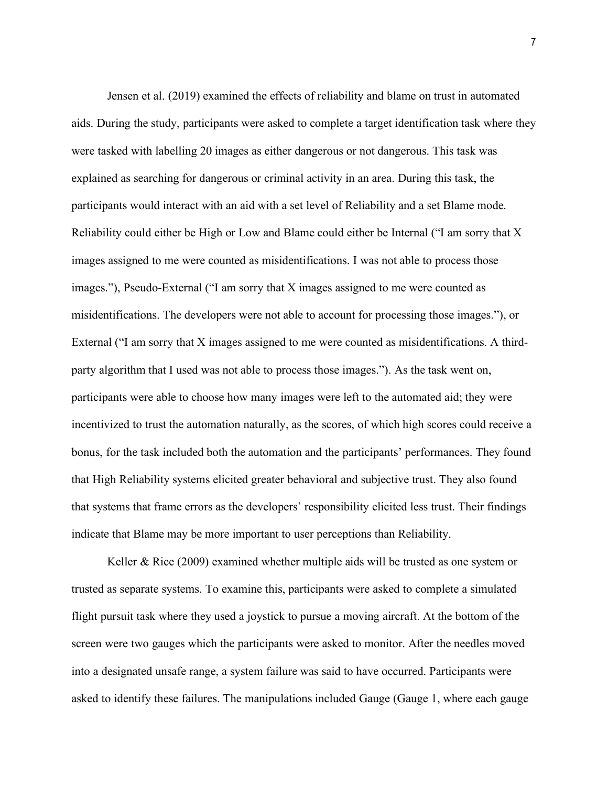Jensen et al. (2019) examined the effects of reliability and blame on trust in automated aids. During the study, participants were asked to complete a target identification task where they were tasked with labelling 20 images as either dangerous or not dangerous. This task was explained as searching for dangerous or criminal activity in an area. During this task, the participants would interact with an aid with a set level of Reliability and a set Blame mode. Reliability could either be High or Low and Blame could either be Internal ("I am sorry that X images assigned to me were counted as misidentifications. I was not able to process those images."), Pseudo-External ("I am sorry that X images assigned to me were counted as misidentifications. The developers were not able to account for processing those images."), or External ("I am sorry that X images assigned to me were counted as misidentifications. A thirdparty algorithm that I used was not able to process those images."). As the task went on, participants were able to choose how many images were left to the automated aid; they were incentivized to trust the automation naturally, as the scores, of which high scores could receive a bonus, for the task included both the automation and the participants' performances. They found that High Reliability systems elicited greater behavioral and subjective trust. They also found that systems that frame errors as the developers' responsibility elicited less trust. Their findings indicate that Blame may be more important to user perceptions than Reliability.

Keller & Rice (2009) examined whether multiple aids will be trusted as one system or trusted as separate systems. To examine this, participants were asked to complete a simulated flight pursuit task where they used a joystick to pursue a moving aircraft. At the bottom of the screen were two gauges which the participants were asked to monitor. After the needles moved into a designated unsafe range, a system failure was said to have occurred. Participants were asked to identify these failures. The manipulations included Gauge (Gauge 1, where each gauge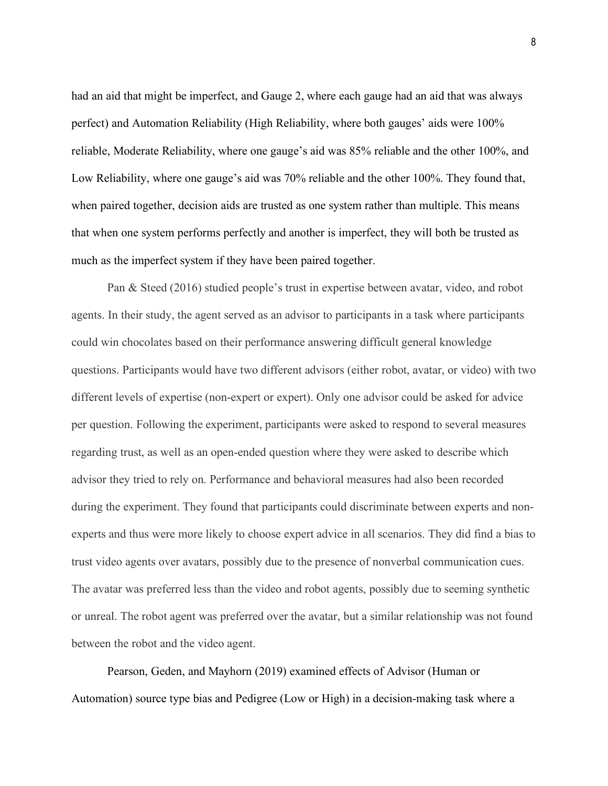had an aid that might be imperfect, and Gauge 2, where each gauge had an aid that was always perfect) and Automation Reliability (High Reliability, where both gauges' aids were 100% reliable, Moderate Reliability, where one gauge's aid was 85% reliable and the other 100%, and Low Reliability, where one gauge's aid was 70% reliable and the other 100%. They found that, when paired together, decision aids are trusted as one system rather than multiple. This means that when one system performs perfectly and another is imperfect, they will both be trusted as much as the imperfect system if they have been paired together.

Pan & Steed (2016) studied people's trust in expertise between avatar, video, and robot agents. In their study, the agent served as an advisor to participants in a task where participants could win chocolates based on their performance answering difficult general knowledge questions. Participants would have two different advisors (either robot, avatar, or video) with two different levels of expertise (non-expert or expert). Only one advisor could be asked for advice per question. Following the experiment, participants were asked to respond to several measures regarding trust, as well as an open-ended question where they were asked to describe which advisor they tried to rely on. Performance and behavioral measures had also been recorded during the experiment. They found that participants could discriminate between experts and nonexperts and thus were more likely to choose expert advice in all scenarios. They did find a bias to trust video agents over avatars, possibly due to the presence of nonverbal communication cues. The avatar was preferred less than the video and robot agents, possibly due to seeming synthetic or unreal. The robot agent was preferred over the avatar, but a similar relationship was not found between the robot and the video agent.

Pearson, Geden, and Mayhorn (2019) examined effects of Advisor (Human or Automation) source type bias and Pedigree (Low or High) in a decision-making task where a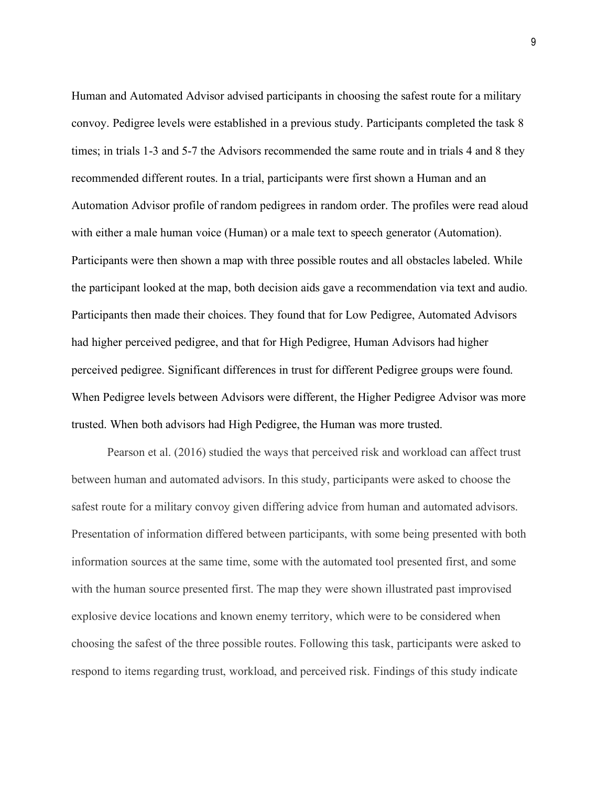Human and Automated Advisor advised participants in choosing the safest route for a military convoy. Pedigree levels were established in a previous study. Participants completed the task 8 times; in trials 1-3 and 5-7 the Advisors recommended the same route and in trials 4 and 8 they recommended different routes. In a trial, participants were first shown a Human and an Automation Advisor profile of random pedigrees in random order. The profiles were read aloud with either a male human voice (Human) or a male text to speech generator (Automation). Participants were then shown a map with three possible routes and all obstacles labeled. While the participant looked at the map, both decision aids gave a recommendation via text and audio. Participants then made their choices. They found that for Low Pedigree, Automated Advisors had higher perceived pedigree, and that for High Pedigree, Human Advisors had higher perceived pedigree. Significant differences in trust for different Pedigree groups were found. When Pedigree levels between Advisors were different, the Higher Pedigree Advisor was more trusted. When both advisors had High Pedigree, the Human was more trusted.

Pearson et al. (2016) studied the ways that perceived risk and workload can affect trust between human and automated advisors. In this study, participants were asked to choose the safest route for a military convoy given differing advice from human and automated advisors. Presentation of information differed between participants, with some being presented with both information sources at the same time, some with the automated tool presented first, and some with the human source presented first. The map they were shown illustrated past improvised explosive device locations and known enemy territory, which were to be considered when choosing the safest of the three possible routes. Following this task, participants were asked to respond to items regarding trust, workload, and perceived risk. Findings of this study indicate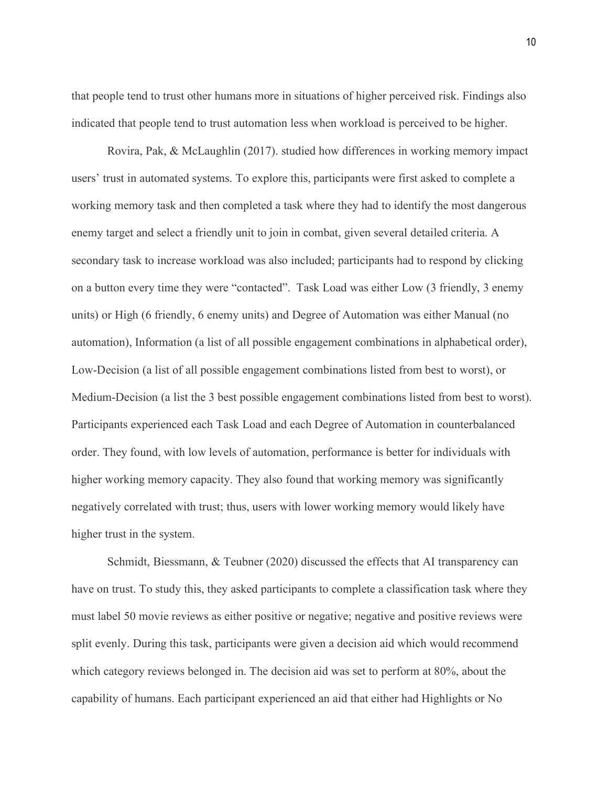that people tend to trust other humans more in situations of higher perceived risk. Findings also indicated that people tend to trust automation less when workload is perceived to be higher.

Rovira, Pak, & McLaughlin (2017). studied how differences in working memory impact users' trust in automated systems. To explore this, participants were first asked to complete a working memory task and then completed a task where they had to identify the most dangerous enemy target and select a friendly unit to join in combat, given several detailed criteria. A secondary task to increase workload was also included; participants had to respond by clicking on a button every time they were "contacted". Task Load was either Low (3 friendly, 3 enemy units) or High (6 friendly, 6 enemy units) and Degree of Automation was either Manual (no automation), Information (a list of all possible engagement combinations in alphabetical order), Low-Decision (a list of all possible engagement combinations listed from best to worst), or Medium-Decision (a list the 3 best possible engagement combinations listed from best to worst). Participants experienced each Task Load and each Degree of Automation in counterbalanced order. They found, with low levels of automation, performance is better for individuals with higher working memory capacity. They also found that working memory was significantly negatively correlated with trust; thus, users with lower working memory would likely have higher trust in the system.

Schmidt, Biessmann, & Teubner (2020) discussed the effects that AI transparency can have on trust. To study this, they asked participants to complete a classification task where they must label 50 movie reviews as either positive or negative; negative and positive reviews were split evenly. During this task, participants were given a decision aid which would recommend which category reviews belonged in. The decision aid was set to perform at 80%, about the capability of humans. Each participant experienced an aid that either had Highlights or No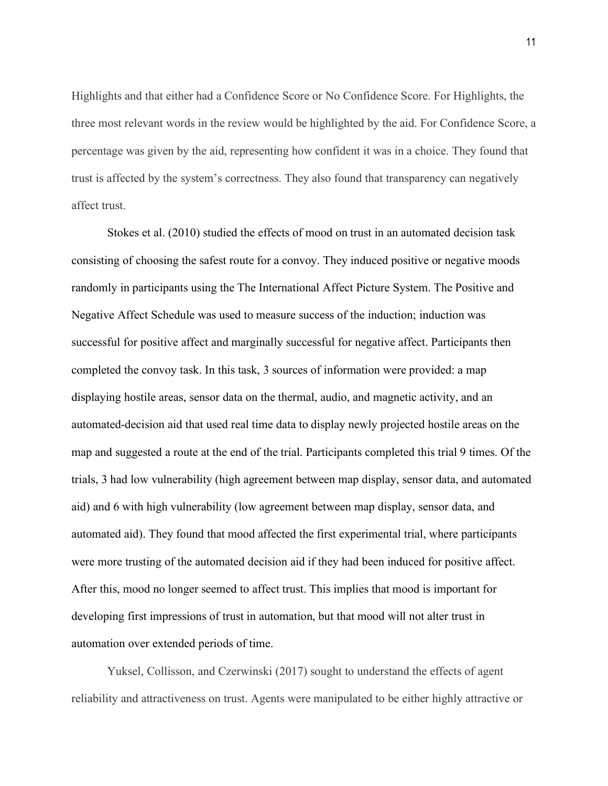Highlights and that either had a Confidence Score or No Confidence Score. For Highlights, the three most relevant words in the review would be highlighted by the aid. For Confidence Score, a percentage was given by the aid, representing how confident it was in a choice. They found that trust is affected by the system's correctness. They also found that transparency can negatively affect trust.

Stokes et al. (2010) studied the effects of mood on trust in an automated decision task consisting of choosing the safest route for a convoy. They induced positive or negative moods randomly in participants using the The International Affect Picture System. The Positive and Negative Affect Schedule was used to measure success of the induction; induction was successful for positive affect and marginally successful for negative affect. Participants then completed the convoy task. In this task, 3 sources of information were provided: a map displaying hostile areas, sensor data on the thermal, audio, and magnetic activity, and an automated-decision aid that used real time data to display newly projected hostile areas on the map and suggested a route at the end of the trial. Participants completed this trial 9 times. Of the trials, 3 had low vulnerability (high agreement between map display, sensor data, and automated aid) and 6 with high vulnerability (low agreement between map display, sensor data, and automated aid). They found that mood affected the first experimental trial, where participants were more trusting of the automated decision aid if they had been induced for positive affect. After this, mood no longer seemed to affect trust. This implies that mood is important for developing first impressions of trust in automation, but that mood will not alter trust in automation over extended periods of time.

Yuksel, Collisson, and Czerwinski (2017) sought to understand the effects of agent reliability and attractiveness on trust. Agents were manipulated to be either highly attractive or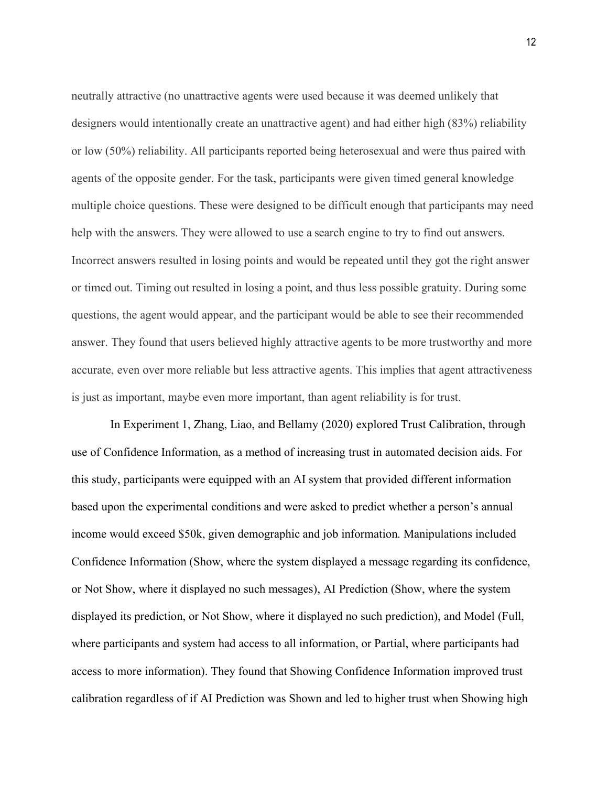neutrally attractive (no unattractive agents were used because it was deemed unlikely that designers would intentionally create an unattractive agent) and had either high (83%) reliability or low (50%) reliability. All participants reported being heterosexual and were thus paired with agents of the opposite gender. For the task, participants were given timed general knowledge multiple choice questions. These were designed to be difficult enough that participants may need help with the answers. They were allowed to use a search engine to try to find out answers. Incorrect answers resulted in losing points and would be repeated until they got the right answer or timed out. Timing out resulted in losing a point, and thus less possible gratuity. During some questions, the agent would appear, and the participant would be able to see their recommended answer. They found that users believed highly attractive agents to be more trustworthy and more accurate, even over more reliable but less attractive agents. This implies that agent attractiveness is just as important, maybe even more important, than agent reliability is for trust.

In Experiment 1, Zhang, Liao, and Bellamy (2020) explored Trust Calibration, through use of Confidence Information, as a method of increasing trust in automated decision aids. For this study, participants were equipped with an AI system that provided different information based upon the experimental conditions and were asked to predict whether a person's annual income would exceed \$50k, given demographic and job information. Manipulations included Confidence Information (Show, where the system displayed a message regarding its confidence, or Not Show, where it displayed no such messages), AI Prediction (Show, where the system displayed its prediction, or Not Show, where it displayed no such prediction), and Model (Full, where participants and system had access to all information, or Partial, where participants had access to more information). They found that Showing Confidence Information improved trust calibration regardless of if AI Prediction was Shown and led to higher trust when Showing high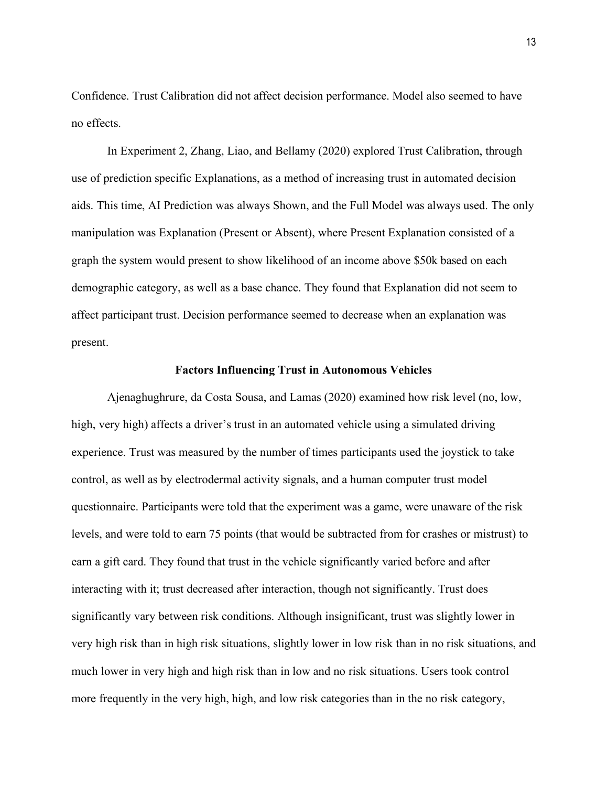Confidence. Trust Calibration did not affect decision performance. Model also seemed to have no effects.

In Experiment 2, Zhang, Liao, and Bellamy (2020) explored Trust Calibration, through use of prediction specific Explanations, as a method of increasing trust in automated decision aids. This time, AI Prediction was always Shown, and the Full Model was always used. The only manipulation was Explanation (Present or Absent), where Present Explanation consisted of a graph the system would present to show likelihood of an income above \$50k based on each demographic category, as well as a base chance. They found that Explanation did not seem to affect participant trust. Decision performance seemed to decrease when an explanation was present.

#### **Factors Influencing Trust in Autonomous Vehicles**

Ajenaghughrure, da Costa Sousa, and Lamas (2020) examined how risk level (no, low, high, very high) affects a driver's trust in an automated vehicle using a simulated driving experience. Trust was measured by the number of times participants used the joystick to take control, as well as by electrodermal activity signals, and a human computer trust model questionnaire. Participants were told that the experiment was a game, were unaware of the risk levels, and were told to earn 75 points (that would be subtracted from for crashes or mistrust) to earn a gift card. They found that trust in the vehicle significantly varied before and after interacting with it; trust decreased after interaction, though not significantly. Trust does significantly vary between risk conditions. Although insignificant, trust was slightly lower in very high risk than in high risk situations, slightly lower in low risk than in no risk situations, and much lower in very high and high risk than in low and no risk situations. Users took control more frequently in the very high, high, and low risk categories than in the no risk category,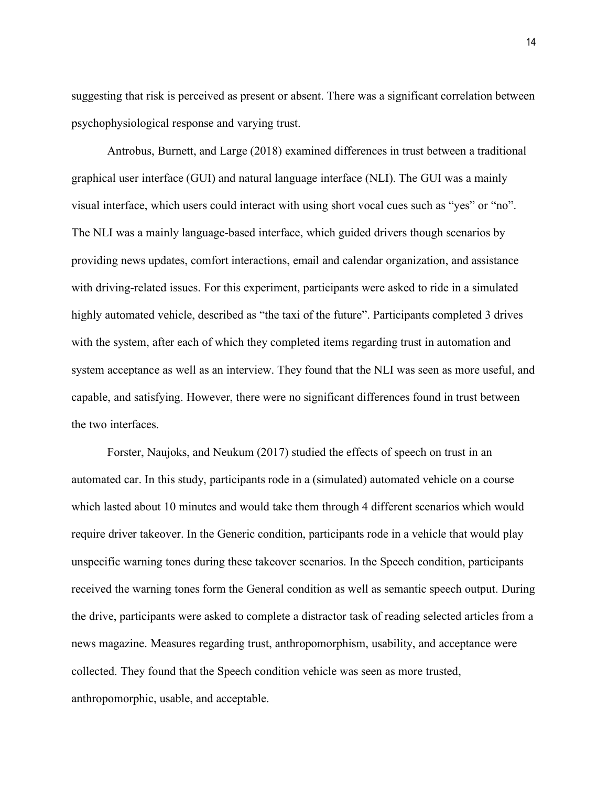suggesting that risk is perceived as present or absent. There was a significant correlation between psychophysiological response and varying trust.

Antrobus, Burnett, and Large (2018) examined differences in trust between a traditional graphical user interface (GUI) and natural language interface (NLI). The GUI was a mainly visual interface, which users could interact with using short vocal cues such as "yes" or "no". The NLI was a mainly language-based interface, which guided drivers though scenarios by providing news updates, comfort interactions, email and calendar organization, and assistance with driving-related issues. For this experiment, participants were asked to ride in a simulated highly automated vehicle, described as "the taxi of the future". Participants completed 3 drives with the system, after each of which they completed items regarding trust in automation and system acceptance as well as an interview. They found that the NLI was seen as more useful, and capable, and satisfying. However, there were no significant differences found in trust between the two interfaces.

Forster, Naujoks, and Neukum (2017) studied the effects of speech on trust in an automated car. In this study, participants rode in a (simulated) automated vehicle on a course which lasted about 10 minutes and would take them through 4 different scenarios which would require driver takeover. In the Generic condition, participants rode in a vehicle that would play unspecific warning tones during these takeover scenarios. In the Speech condition, participants received the warning tones form the General condition as well as semantic speech output. During the drive, participants were asked to complete a distractor task of reading selected articles from a news magazine. Measures regarding trust, anthropomorphism, usability, and acceptance were collected. They found that the Speech condition vehicle was seen as more trusted, anthropomorphic, usable, and acceptable.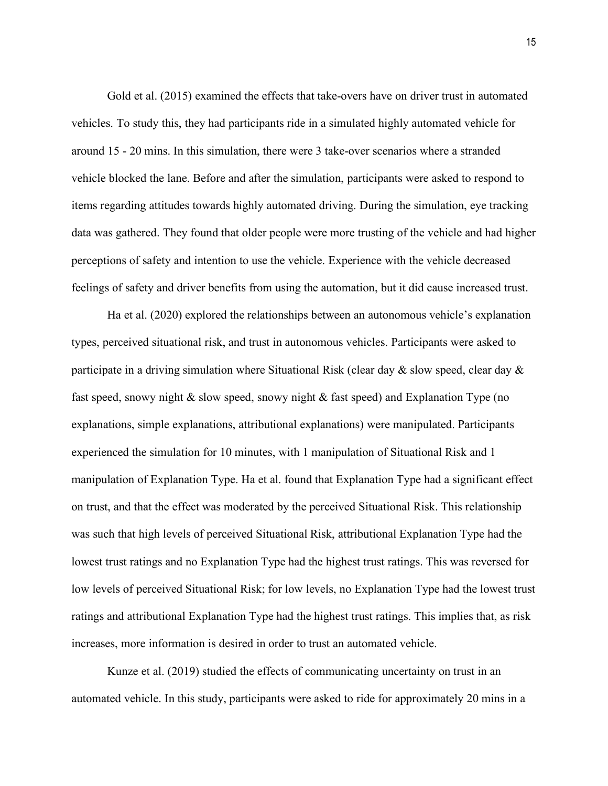Gold et al. (2015) examined the effects that take-overs have on driver trust in automated vehicles. To study this, they had participants ride in a simulated highly automated vehicle for around 15 - 20 mins. In this simulation, there were 3 take-over scenarios where a stranded vehicle blocked the lane. Before and after the simulation, participants were asked to respond to items regarding attitudes towards highly automated driving. During the simulation, eye tracking data was gathered. They found that older people were more trusting of the vehicle and had higher perceptions of safety and intention to use the vehicle. Experience with the vehicle decreased feelings of safety and driver benefits from using the automation, but it did cause increased trust.

Ha et al. (2020) explored the relationships between an autonomous vehicle's explanation types, perceived situational risk, and trust in autonomous vehicles. Participants were asked to participate in a driving simulation where Situational Risk (clear day  $\&$  slow speed, clear day  $\&$ fast speed, snowy night & slow speed, snowy night & fast speed) and Explanation Type (no explanations, simple explanations, attributional explanations) were manipulated. Participants experienced the simulation for 10 minutes, with 1 manipulation of Situational Risk and 1 manipulation of Explanation Type. Ha et al. found that Explanation Type had a significant effect on trust, and that the effect was moderated by the perceived Situational Risk. This relationship was such that high levels of perceived Situational Risk, attributional Explanation Type had the lowest trust ratings and no Explanation Type had the highest trust ratings. This was reversed for low levels of perceived Situational Risk; for low levels, no Explanation Type had the lowest trust ratings and attributional Explanation Type had the highest trust ratings. This implies that, as risk increases, more information is desired in order to trust an automated vehicle.

Kunze et al. (2019) studied the effects of communicating uncertainty on trust in an automated vehicle. In this study, participants were asked to ride for approximately 20 mins in a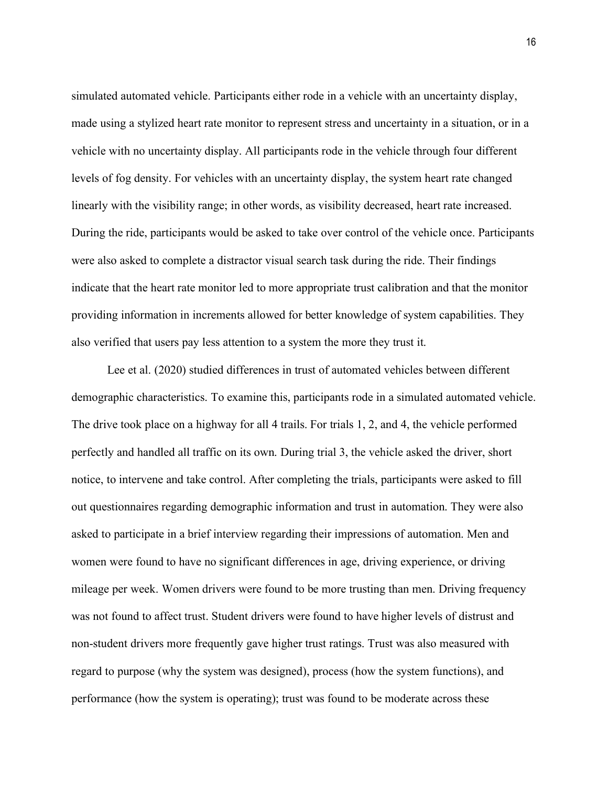simulated automated vehicle. Participants either rode in a vehicle with an uncertainty display, made using a stylized heart rate monitor to represent stress and uncertainty in a situation, or in a vehicle with no uncertainty display. All participants rode in the vehicle through four different levels of fog density. For vehicles with an uncertainty display, the system heart rate changed linearly with the visibility range; in other words, as visibility decreased, heart rate increased. During the ride, participants would be asked to take over control of the vehicle once. Participants were also asked to complete a distractor visual search task during the ride. Their findings indicate that the heart rate monitor led to more appropriate trust calibration and that the monitor providing information in increments allowed for better knowledge of system capabilities. They also verified that users pay less attention to a system the more they trust it.

Lee et al. (2020) studied differences in trust of automated vehicles between different demographic characteristics. To examine this, participants rode in a simulated automated vehicle. The drive took place on a highway for all 4 trails. For trials 1, 2, and 4, the vehicle performed perfectly and handled all traffic on its own. During trial 3, the vehicle asked the driver, short notice, to intervene and take control. After completing the trials, participants were asked to fill out questionnaires regarding demographic information and trust in automation. They were also asked to participate in a brief interview regarding their impressions of automation. Men and women were found to have no significant differences in age, driving experience, or driving mileage per week. Women drivers were found to be more trusting than men. Driving frequency was not found to affect trust. Student drivers were found to have higher levels of distrust and non-student drivers more frequently gave higher trust ratings. Trust was also measured with regard to purpose (why the system was designed), process (how the system functions), and performance (how the system is operating); trust was found to be moderate across these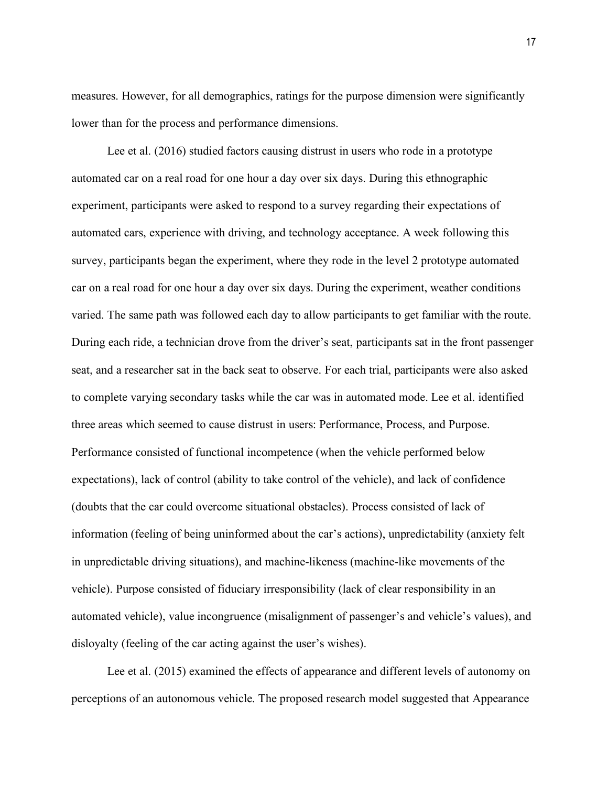measures. However, for all demographics, ratings for the purpose dimension were significantly lower than for the process and performance dimensions.

Lee et al. (2016) studied factors causing distrust in users who rode in a prototype automated car on a real road for one hour a day over six days. During this ethnographic experiment, participants were asked to respond to a survey regarding their expectations of automated cars, experience with driving, and technology acceptance. A week following this survey, participants began the experiment, where they rode in the level 2 prototype automated car on a real road for one hour a day over six days. During the experiment, weather conditions varied. The same path was followed each day to allow participants to get familiar with the route. During each ride, a technician drove from the driver's seat, participants sat in the front passenger seat, and a researcher sat in the back seat to observe. For each trial, participants were also asked to complete varying secondary tasks while the car was in automated mode. Lee et al. identified three areas which seemed to cause distrust in users: Performance, Process, and Purpose. Performance consisted of functional incompetence (when the vehicle performed below expectations), lack of control (ability to take control of the vehicle), and lack of confidence (doubts that the car could overcome situational obstacles). Process consisted of lack of information (feeling of being uninformed about the car's actions), unpredictability (anxiety felt in unpredictable driving situations), and machine-likeness (machine-like movements of the vehicle). Purpose consisted of fiduciary irresponsibility (lack of clear responsibility in an automated vehicle), value incongruence (misalignment of passenger's and vehicle's values), and disloyalty (feeling of the car acting against the user's wishes).

Lee et al. (2015) examined the effects of appearance and different levels of autonomy on perceptions of an autonomous vehicle. The proposed research model suggested that Appearance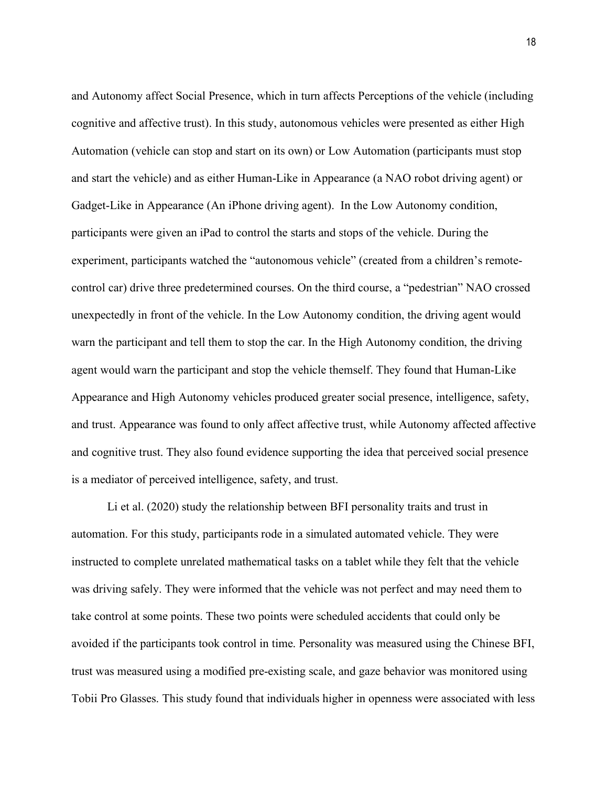and Autonomy affect Social Presence, which in turn affects Perceptions of the vehicle (including cognitive and affective trust). In this study, autonomous vehicles were presented as either High Automation (vehicle can stop and start on its own) or Low Automation (participants must stop and start the vehicle) and as either Human-Like in Appearance (a NAO robot driving agent) or Gadget-Like in Appearance (An iPhone driving agent). In the Low Autonomy condition, participants were given an iPad to control the starts and stops of the vehicle. During the experiment, participants watched the "autonomous vehicle" (created from a children's remotecontrol car) drive three predetermined courses. On the third course, a "pedestrian" NAO crossed unexpectedly in front of the vehicle. In the Low Autonomy condition, the driving agent would warn the participant and tell them to stop the car. In the High Autonomy condition, the driving agent would warn the participant and stop the vehicle themself. They found that Human-Like Appearance and High Autonomy vehicles produced greater social presence, intelligence, safety, and trust. Appearance was found to only affect affective trust, while Autonomy affected affective and cognitive trust. They also found evidence supporting the idea that perceived social presence is a mediator of perceived intelligence, safety, and trust.

Li et al. (2020) study the relationship between BFI personality traits and trust in automation. For this study, participants rode in a simulated automated vehicle. They were instructed to complete unrelated mathematical tasks on a tablet while they felt that the vehicle was driving safely. They were informed that the vehicle was not perfect and may need them to take control at some points. These two points were scheduled accidents that could only be avoided if the participants took control in time. Personality was measured using the Chinese BFI, trust was measured using a modified pre-existing scale, and gaze behavior was monitored using Tobii Pro Glasses. This study found that individuals higher in openness were associated with less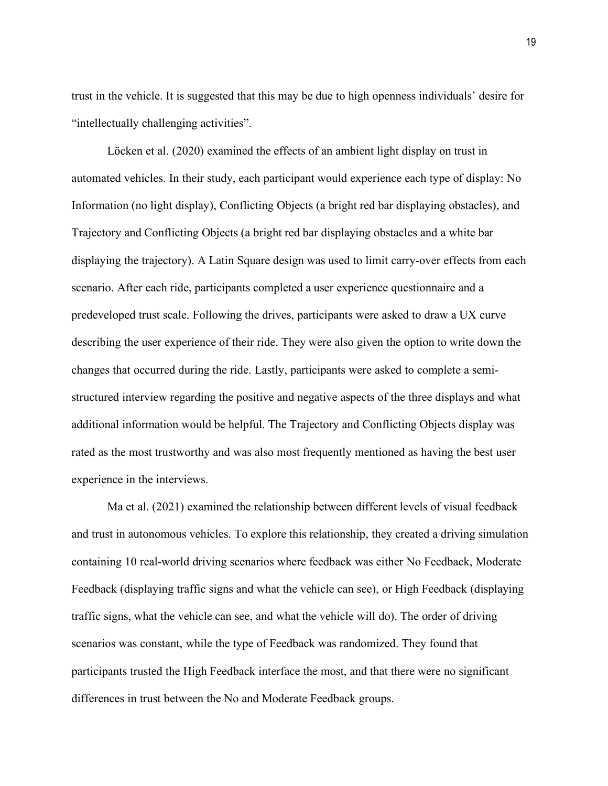trust in the vehicle. It is suggested that this may be due to high openness individuals' desire for "intellectually challenging activities".

Löcken et al. (2020) examined the effects of an ambient light display on trust in automated vehicles. In their study, each participant would experience each type of display: No Information (no light display), Conflicting Objects (a bright red bar displaying obstacles), and Trajectory and Conflicting Objects (a bright red bar displaying obstacles and a white bar displaying the trajectory). A Latin Square design was used to limit carry-over effects from each scenario. After each ride, participants completed a user experience questionnaire and a predeveloped trust scale. Following the drives, participants were asked to draw a UX curve describing the user experience of their ride. They were also given the option to write down the changes that occurred during the ride. Lastly, participants were asked to complete a semistructured interview regarding the positive and negative aspects of the three displays and what additional information would be helpful. The Trajectory and Conflicting Objects display was rated as the most trustworthy and was also most frequently mentioned as having the best user experience in the interviews.

Ma et al. (2021) examined the relationship between different levels of visual feedback and trust in autonomous vehicles. To explore this relationship, they created a driving simulation containing 10 real-world driving scenarios where feedback was either No Feedback, Moderate Feedback (displaying traffic signs and what the vehicle can see), or High Feedback (displaying traffic signs, what the vehicle can see, and what the vehicle will do). The order of driving scenarios was constant, while the type of Feedback was randomized. They found that participants trusted the High Feedback interface the most, and that there were no significant differences in trust between the No and Moderate Feedback groups.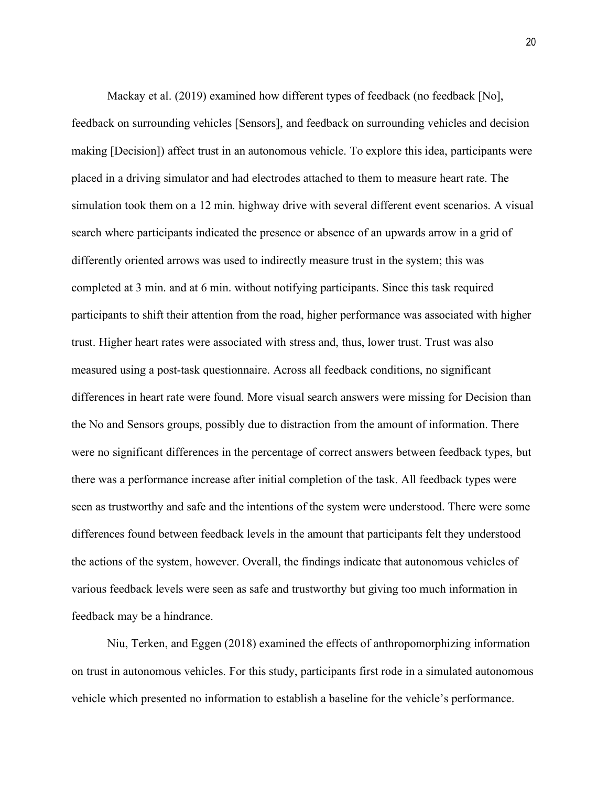Mackay et al. (2019) examined how different types of feedback (no feedback [No], feedback on surrounding vehicles [Sensors], and feedback on surrounding vehicles and decision making [Decision]) affect trust in an autonomous vehicle. To explore this idea, participants were placed in a driving simulator and had electrodes attached to them to measure heart rate. The simulation took them on a 12 min. highway drive with several different event scenarios. A visual search where participants indicated the presence or absence of an upwards arrow in a grid of differently oriented arrows was used to indirectly measure trust in the system; this was completed at 3 min. and at 6 min. without notifying participants. Since this task required participants to shift their attention from the road, higher performance was associated with higher trust. Higher heart rates were associated with stress and, thus, lower trust. Trust was also measured using a post-task questionnaire. Across all feedback conditions, no significant differences in heart rate were found. More visual search answers were missing for Decision than the No and Sensors groups, possibly due to distraction from the amount of information. There were no significant differences in the percentage of correct answers between feedback types, but there was a performance increase after initial completion of the task. All feedback types were seen as trustworthy and safe and the intentions of the system were understood. There were some differences found between feedback levels in the amount that participants felt they understood the actions of the system, however. Overall, the findings indicate that autonomous vehicles of various feedback levels were seen as safe and trustworthy but giving too much information in feedback may be a hindrance.

Niu, Terken, and Eggen (2018) examined the effects of anthropomorphizing information on trust in autonomous vehicles. For this study, participants first rode in a simulated autonomous vehicle which presented no information to establish a baseline for the vehicle's performance.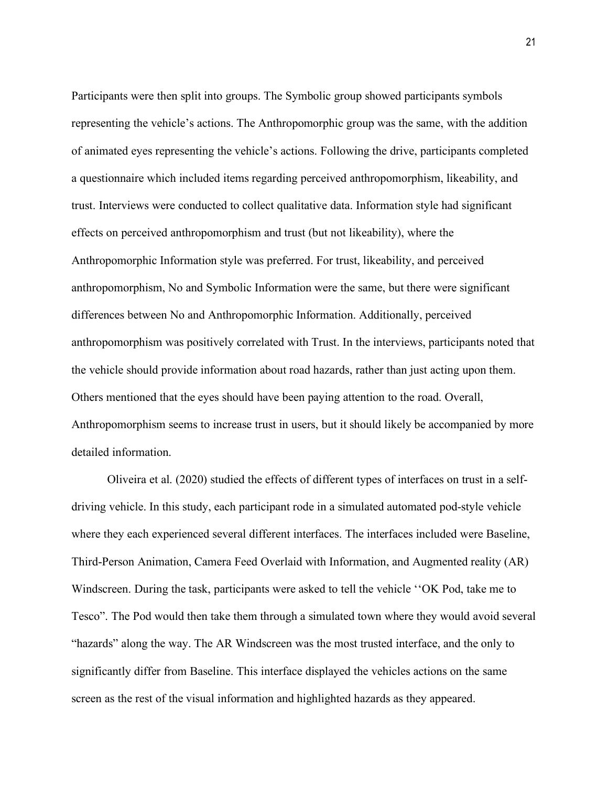Participants were then split into groups. The Symbolic group showed participants symbols representing the vehicle's actions. The Anthropomorphic group was the same, with the addition of animated eyes representing the vehicle's actions. Following the drive, participants completed a questionnaire which included items regarding perceived anthropomorphism, likeability, and trust. Interviews were conducted to collect qualitative data. Information style had significant effects on perceived anthropomorphism and trust (but not likeability), where the Anthropomorphic Information style was preferred. For trust, likeability, and perceived anthropomorphism, No and Symbolic Information were the same, but there were significant differences between No and Anthropomorphic Information. Additionally, perceived anthropomorphism was positively correlated with Trust. In the interviews, participants noted that the vehicle should provide information about road hazards, rather than just acting upon them. Others mentioned that the eyes should have been paying attention to the road. Overall, Anthropomorphism seems to increase trust in users, but it should likely be accompanied by more detailed information.

Oliveira et al. (2020) studied the effects of different types of interfaces on trust in a selfdriving vehicle. In this study, each participant rode in a simulated automated pod-style vehicle where they each experienced several different interfaces. The interfaces included were Baseline, Third-Person Animation, Camera Feed Overlaid with Information, and Augmented reality (AR) Windscreen. During the task, participants were asked to tell the vehicle ''OK Pod, take me to Tesco". The Pod would then take them through a simulated town where they would avoid several "hazards" along the way. The AR Windscreen was the most trusted interface, and the only to significantly differ from Baseline. This interface displayed the vehicles actions on the same screen as the rest of the visual information and highlighted hazards as they appeared.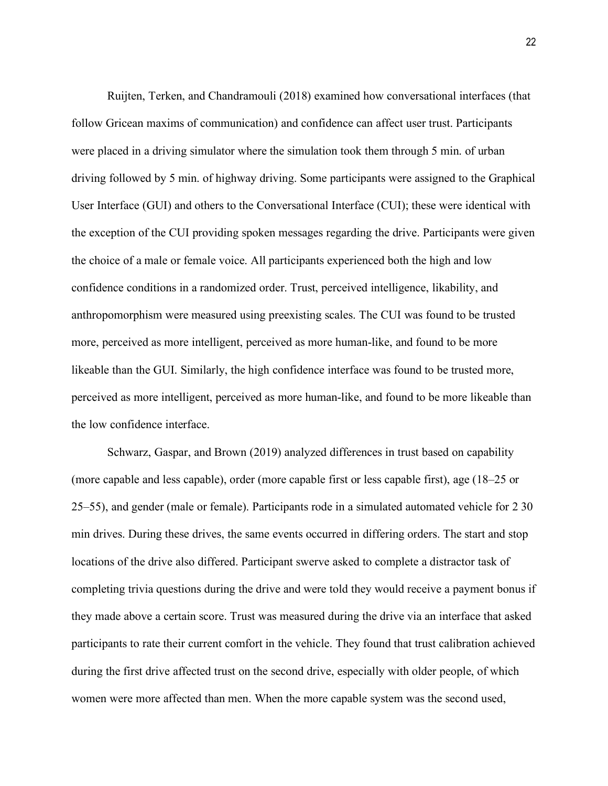Ruijten, Terken, and Chandramouli (2018) examined how conversational interfaces (that follow Gricean maxims of communication) and confidence can affect user trust. Participants were placed in a driving simulator where the simulation took them through 5 min. of urban driving followed by 5 min. of highway driving. Some participants were assigned to the Graphical User Interface (GUI) and others to the Conversational Interface (CUI); these were identical with the exception of the CUI providing spoken messages regarding the drive. Participants were given the choice of a male or female voice. All participants experienced both the high and low confidence conditions in a randomized order. Trust, perceived intelligence, likability, and anthropomorphism were measured using preexisting scales. The CUI was found to be trusted more, perceived as more intelligent, perceived as more human-like, and found to be more likeable than the GUI. Similarly, the high confidence interface was found to be trusted more, perceived as more intelligent, perceived as more human-like, and found to be more likeable than the low confidence interface.

Schwarz, Gaspar, and Brown (2019) analyzed differences in trust based on capability (more capable and less capable), order (more capable first or less capable first), age (18–25 or 25–55), and gender (male or female). Participants rode in a simulated automated vehicle for 2 30 min drives. During these drives, the same events occurred in differing orders. The start and stop locations of the drive also differed. Participant swerve asked to complete a distractor task of completing trivia questions during the drive and were told they would receive a payment bonus if they made above a certain score. Trust was measured during the drive via an interface that asked participants to rate their current comfort in the vehicle. They found that trust calibration achieved during the first drive affected trust on the second drive, especially with older people, of which women were more affected than men. When the more capable system was the second used,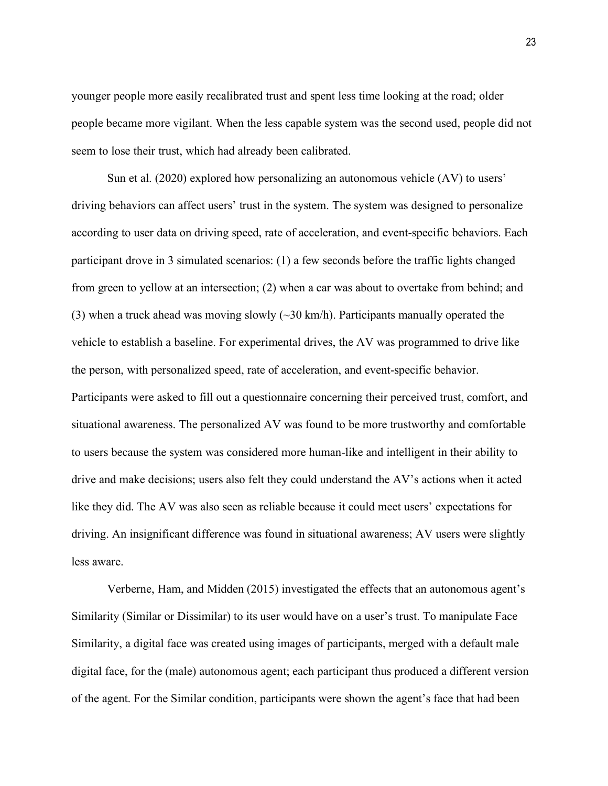younger people more easily recalibrated trust and spent less time looking at the road; older people became more vigilant. When the less capable system was the second used, people did not seem to lose their trust, which had already been calibrated.

Sun et al. (2020) explored how personalizing an autonomous vehicle (AV) to users' driving behaviors can affect users' trust in the system. The system was designed to personalize according to user data on driving speed, rate of acceleration, and event-specific behaviors. Each participant drove in 3 simulated scenarios: (1) a few seconds before the traffic lights changed from green to yellow at an intersection; (2) when a car was about to overtake from behind; and (3) when a truck ahead was moving slowly  $(\sim 30 \text{ km/h})$ . Participants manually operated the vehicle to establish a baseline. For experimental drives, the AV was programmed to drive like the person, with personalized speed, rate of acceleration, and event-specific behavior. Participants were asked to fill out a questionnaire concerning their perceived trust, comfort, and situational awareness. The personalized AV was found to be more trustworthy and comfortable to users because the system was considered more human-like and intelligent in their ability to drive and make decisions; users also felt they could understand the AV's actions when it acted like they did. The AV was also seen as reliable because it could meet users' expectations for driving. An insignificant difference was found in situational awareness; AV users were slightly less aware.

Verberne, Ham, and Midden (2015) investigated the effects that an autonomous agent's Similarity (Similar or Dissimilar) to its user would have on a user's trust. To manipulate Face Similarity, a digital face was created using images of participants, merged with a default male digital face, for the (male) autonomous agent; each participant thus produced a different version of the agent. For the Similar condition, participants were shown the agent's face that had been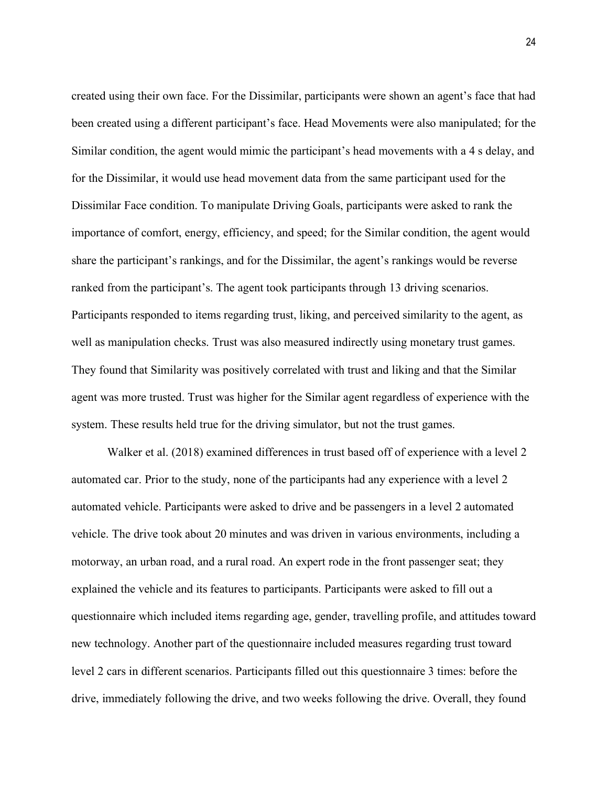created using their own face. For the Dissimilar, participants were shown an agent's face that had been created using a different participant's face. Head Movements were also manipulated; for the Similar condition, the agent would mimic the participant's head movements with a 4 s delay, and for the Dissimilar, it would use head movement data from the same participant used for the Dissimilar Face condition. To manipulate Driving Goals, participants were asked to rank the importance of comfort, energy, efficiency, and speed; for the Similar condition, the agent would share the participant's rankings, and for the Dissimilar, the agent's rankings would be reverse ranked from the participant's. The agent took participants through 13 driving scenarios. Participants responded to items regarding trust, liking, and perceived similarity to the agent, as well as manipulation checks. Trust was also measured indirectly using monetary trust games. They found that Similarity was positively correlated with trust and liking and that the Similar agent was more trusted. Trust was higher for the Similar agent regardless of experience with the system. These results held true for the driving simulator, but not the trust games.

Walker et al. (2018) examined differences in trust based off of experience with a level 2 automated car. Prior to the study, none of the participants had any experience with a level 2 automated vehicle. Participants were asked to drive and be passengers in a level 2 automated vehicle. The drive took about 20 minutes and was driven in various environments, including a motorway, an urban road, and a rural road. An expert rode in the front passenger seat; they explained the vehicle and its features to participants. Participants were asked to fill out a questionnaire which included items regarding age, gender, travelling profile, and attitudes toward new technology. Another part of the questionnaire included measures regarding trust toward level 2 cars in different scenarios. Participants filled out this questionnaire 3 times: before the drive, immediately following the drive, and two weeks following the drive. Overall, they found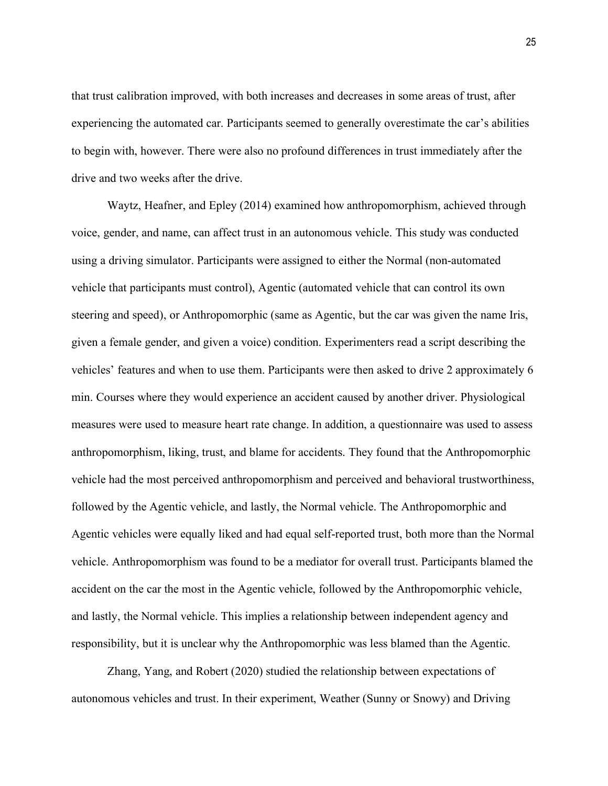that trust calibration improved, with both increases and decreases in some areas of trust, after experiencing the automated car. Participants seemed to generally overestimate the car's abilities to begin with, however. There were also no profound differences in trust immediately after the drive and two weeks after the drive.

Waytz, Heafner, and Epley (2014) examined how anthropomorphism, achieved through voice, gender, and name, can affect trust in an autonomous vehicle. This study was conducted using a driving simulator. Participants were assigned to either the Normal (non-automated vehicle that participants must control), Agentic (automated vehicle that can control its own steering and speed), or Anthropomorphic (same as Agentic, but the car was given the name Iris, given a female gender, and given a voice) condition. Experimenters read a script describing the vehicles' features and when to use them. Participants were then asked to drive 2 approximately 6 min. Courses where they would experience an accident caused by another driver. Physiological measures were used to measure heart rate change. In addition, a questionnaire was used to assess anthropomorphism, liking, trust, and blame for accidents. They found that the Anthropomorphic vehicle had the most perceived anthropomorphism and perceived and behavioral trustworthiness, followed by the Agentic vehicle, and lastly, the Normal vehicle. The Anthropomorphic and Agentic vehicles were equally liked and had equal self-reported trust, both more than the Normal vehicle. Anthropomorphism was found to be a mediator for overall trust. Participants blamed the accident on the car the most in the Agentic vehicle, followed by the Anthropomorphic vehicle, and lastly, the Normal vehicle. This implies a relationship between independent agency and responsibility, but it is unclear why the Anthropomorphic was less blamed than the Agentic.

Zhang, Yang, and Robert (2020) studied the relationship between expectations of autonomous vehicles and trust. In their experiment, Weather (Sunny or Snowy) and Driving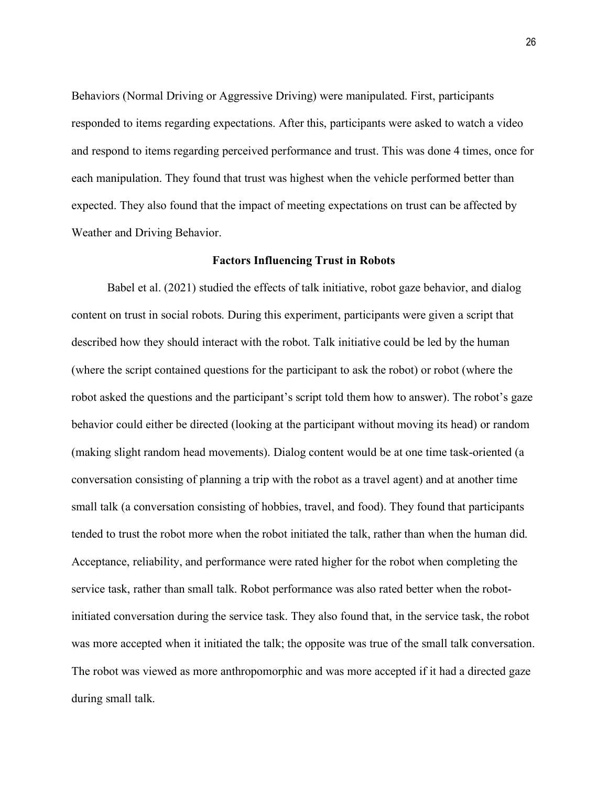Behaviors (Normal Driving or Aggressive Driving) were manipulated. First, participants responded to items regarding expectations. After this, participants were asked to watch a video and respond to items regarding perceived performance and trust. This was done 4 times, once for each manipulation. They found that trust was highest when the vehicle performed better than expected. They also found that the impact of meeting expectations on trust can be affected by Weather and Driving Behavior.

### **Factors Influencing Trust in Robots**

Babel et al. (2021) studied the effects of talk initiative, robot gaze behavior, and dialog content on trust in social robots. During this experiment, participants were given a script that described how they should interact with the robot. Talk initiative could be led by the human (where the script contained questions for the participant to ask the robot) or robot (where the robot asked the questions and the participant's script told them how to answer). The robot's gaze behavior could either be directed (looking at the participant without moving its head) or random (making slight random head movements). Dialog content would be at one time task-oriented (a conversation consisting of planning a trip with the robot as a travel agent) and at another time small talk (a conversation consisting of hobbies, travel, and food). They found that participants tended to trust the robot more when the robot initiated the talk, rather than when the human did. Acceptance, reliability, and performance were rated higher for the robot when completing the service task, rather than small talk. Robot performance was also rated better when the robotinitiated conversation during the service task. They also found that, in the service task, the robot was more accepted when it initiated the talk; the opposite was true of the small talk conversation. The robot was viewed as more anthropomorphic and was more accepted if it had a directed gaze during small talk.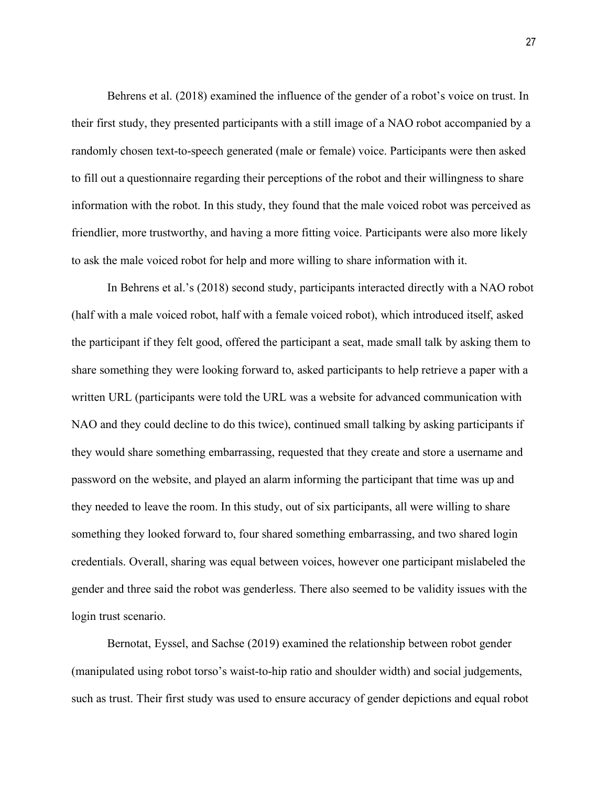Behrens et al. (2018) examined the influence of the gender of a robot's voice on trust. In their first study, they presented participants with a still image of a NAO robot accompanied by a randomly chosen text-to-speech generated (male or female) voice. Participants were then asked to fill out a questionnaire regarding their perceptions of the robot and their willingness to share information with the robot. In this study, they found that the male voiced robot was perceived as friendlier, more trustworthy, and having a more fitting voice. Participants were also more likely to ask the male voiced robot for help and more willing to share information with it.

In Behrens et al.'s (2018) second study, participants interacted directly with a NAO robot (half with a male voiced robot, half with a female voiced robot), which introduced itself, asked the participant if they felt good, offered the participant a seat, made small talk by asking them to share something they were looking forward to, asked participants to help retrieve a paper with a written URL (participants were told the URL was a website for advanced communication with NAO and they could decline to do this twice), continued small talking by asking participants if they would share something embarrassing, requested that they create and store a username and password on the website, and played an alarm informing the participant that time was up and they needed to leave the room. In this study, out of six participants, all were willing to share something they looked forward to, four shared something embarrassing, and two shared login credentials. Overall, sharing was equal between voices, however one participant mislabeled the gender and three said the robot was genderless. There also seemed to be validity issues with the login trust scenario.

Bernotat, Eyssel, and Sachse (2019) examined the relationship between robot gender (manipulated using robot torso's waist-to-hip ratio and shoulder width) and social judgements, such as trust. Their first study was used to ensure accuracy of gender depictions and equal robot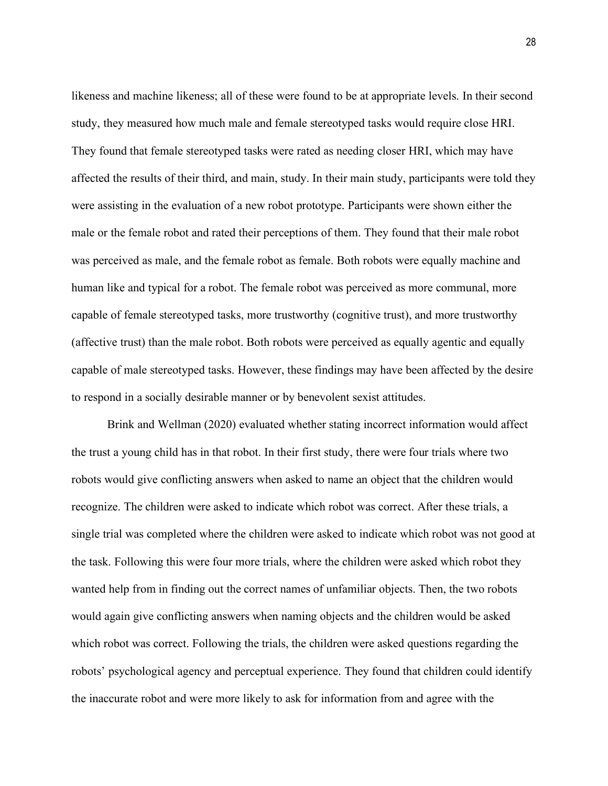likeness and machine likeness; all of these were found to be at appropriate levels. In their second study, they measured how much male and female stereotyped tasks would require close HRI. They found that female stereotyped tasks were rated as needing closer HRI, which may have affected the results of their third, and main, study. In their main study, participants were told they were assisting in the evaluation of a new robot prototype. Participants were shown either the male or the female robot and rated their perceptions of them. They found that their male robot was perceived as male, and the female robot as female. Both robots were equally machine and human like and typical for a robot. The female robot was perceived as more communal, more capable of female stereotyped tasks, more trustworthy (cognitive trust), and more trustworthy (affective trust) than the male robot. Both robots were perceived as equally agentic and equally capable of male stereotyped tasks. However, these findings may have been affected by the desire to respond in a socially desirable manner or by benevolent sexist attitudes.

Brink and Wellman (2020) evaluated whether stating incorrect information would affect the trust a young child has in that robot. In their first study, there were four trials where two robots would give conflicting answers when asked to name an object that the children would recognize. The children were asked to indicate which robot was correct. After these trials, a single trial was completed where the children were asked to indicate which robot was not good at the task. Following this were four more trials, where the children were asked which robot they wanted help from in finding out the correct names of unfamiliar objects. Then, the two robots would again give conflicting answers when naming objects and the children would be asked which robot was correct. Following the trials, the children were asked questions regarding the robots' psychological agency and perceptual experience. They found that children could identify the inaccurate robot and were more likely to ask for information from and agree with the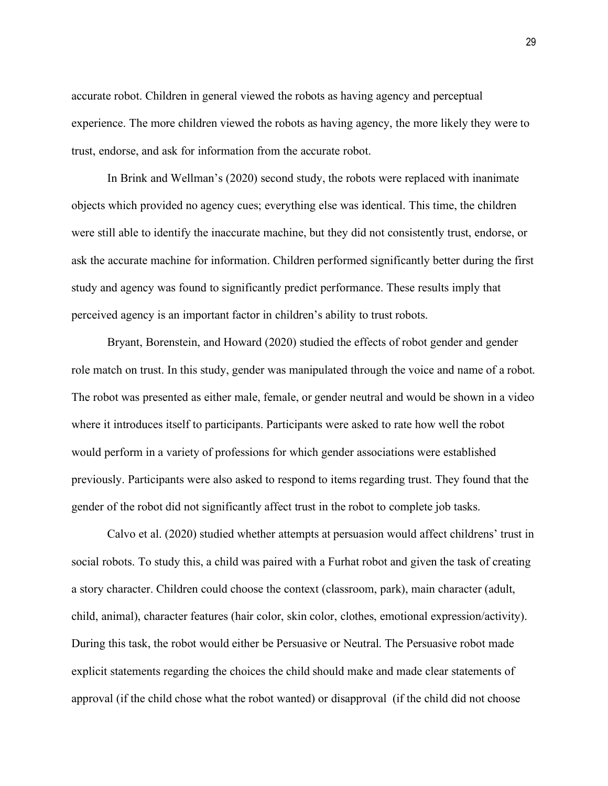accurate robot. Children in general viewed the robots as having agency and perceptual experience. The more children viewed the robots as having agency, the more likely they were to trust, endorse, and ask for information from the accurate robot.

In Brink and Wellman's (2020) second study, the robots were replaced with inanimate objects which provided no agency cues; everything else was identical. This time, the children were still able to identify the inaccurate machine, but they did not consistently trust, endorse, or ask the accurate machine for information. Children performed significantly better during the first study and agency was found to significantly predict performance. These results imply that perceived agency is an important factor in children's ability to trust robots.

Bryant, Borenstein, and Howard (2020) studied the effects of robot gender and gender role match on trust. In this study, gender was manipulated through the voice and name of a robot. The robot was presented as either male, female, or gender neutral and would be shown in a video where it introduces itself to participants. Participants were asked to rate how well the robot would perform in a variety of professions for which gender associations were established previously. Participants were also asked to respond to items regarding trust. They found that the gender of the robot did not significantly affect trust in the robot to complete job tasks.

Calvo et al. (2020) studied whether attempts at persuasion would affect childrens' trust in social robots. To study this, a child was paired with a Furhat robot and given the task of creating a story character. Children could choose the context (classroom, park), main character (adult, child, animal), character features (hair color, skin color, clothes, emotional expression/activity). During this task, the robot would either be Persuasive or Neutral. The Persuasive robot made explicit statements regarding the choices the child should make and made clear statements of approval (if the child chose what the robot wanted) or disapproval (if the child did not choose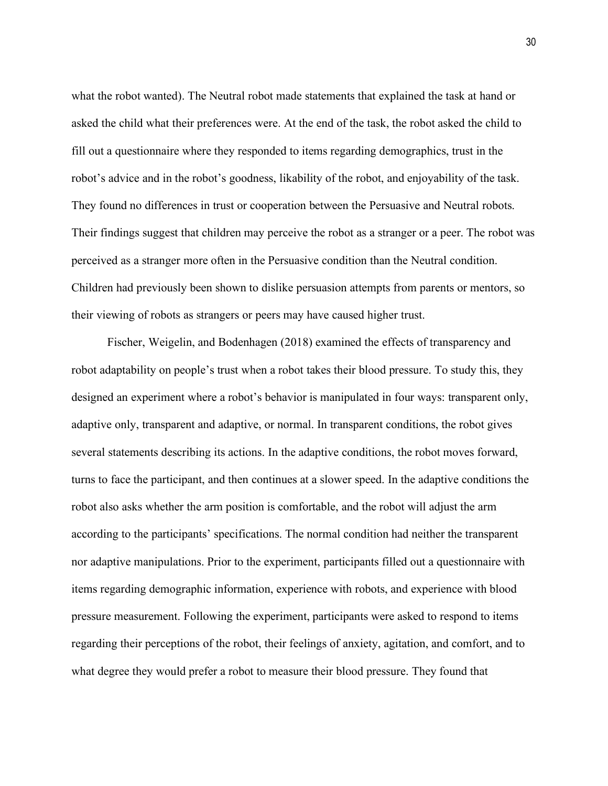what the robot wanted). The Neutral robot made statements that explained the task at hand or asked the child what their preferences were. At the end of the task, the robot asked the child to fill out a questionnaire where they responded to items regarding demographics, trust in the robot's advice and in the robot's goodness, likability of the robot, and enjoyability of the task. They found no differences in trust or cooperation between the Persuasive and Neutral robots. Their findings suggest that children may perceive the robot as a stranger or a peer. The robot was perceived as a stranger more often in the Persuasive condition than the Neutral condition. Children had previously been shown to dislike persuasion attempts from parents or mentors, so their viewing of robots as strangers or peers may have caused higher trust.

Fischer, Weigelin, and Bodenhagen (2018) examined the effects of transparency and robot adaptability on people's trust when a robot takes their blood pressure. To study this, they designed an experiment where a robot's behavior is manipulated in four ways: transparent only, adaptive only, transparent and adaptive, or normal. In transparent conditions, the robot gives several statements describing its actions. In the adaptive conditions, the robot moves forward, turns to face the participant, and then continues at a slower speed. In the adaptive conditions the robot also asks whether the arm position is comfortable, and the robot will adjust the arm according to the participants' specifications. The normal condition had neither the transparent nor adaptive manipulations. Prior to the experiment, participants filled out a questionnaire with items regarding demographic information, experience with robots, and experience with blood pressure measurement. Following the experiment, participants were asked to respond to items regarding their perceptions of the robot, their feelings of anxiety, agitation, and comfort, and to what degree they would prefer a robot to measure their blood pressure. They found that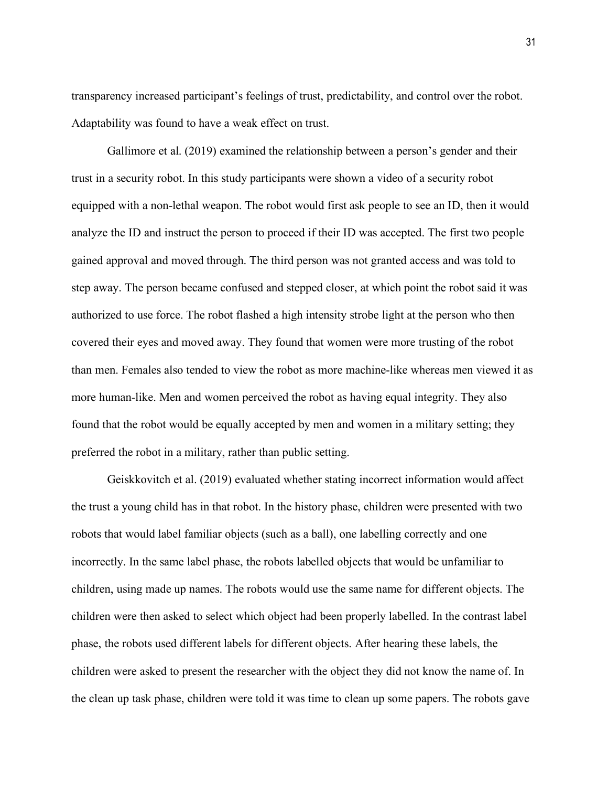transparency increased participant's feelings of trust, predictability, and control over the robot. Adaptability was found to have a weak effect on trust.

Gallimore et al. (2019) examined the relationship between a person's gender and their trust in a security robot. In this study participants were shown a video of a security robot equipped with a non-lethal weapon. The robot would first ask people to see an ID, then it would analyze the ID and instruct the person to proceed if their ID was accepted. The first two people gained approval and moved through. The third person was not granted access and was told to step away. The person became confused and stepped closer, at which point the robot said it was authorized to use force. The robot flashed a high intensity strobe light at the person who then covered their eyes and moved away. They found that women were more trusting of the robot than men. Females also tended to view the robot as more machine-like whereas men viewed it as more human-like. Men and women perceived the robot as having equal integrity. They also found that the robot would be equally accepted by men and women in a military setting; they preferred the robot in a military, rather than public setting.

Geiskkovitch et al. (2019) evaluated whether stating incorrect information would affect the trust a young child has in that robot. In the history phase, children were presented with two robots that would label familiar objects (such as a ball), one labelling correctly and one incorrectly. In the same label phase, the robots labelled objects that would be unfamiliar to children, using made up names. The robots would use the same name for different objects. The children were then asked to select which object had been properly labelled. In the contrast label phase, the robots used different labels for different objects. After hearing these labels, the children were asked to present the researcher with the object they did not know the name of. In the clean up task phase, children were told it was time to clean up some papers. The robots gave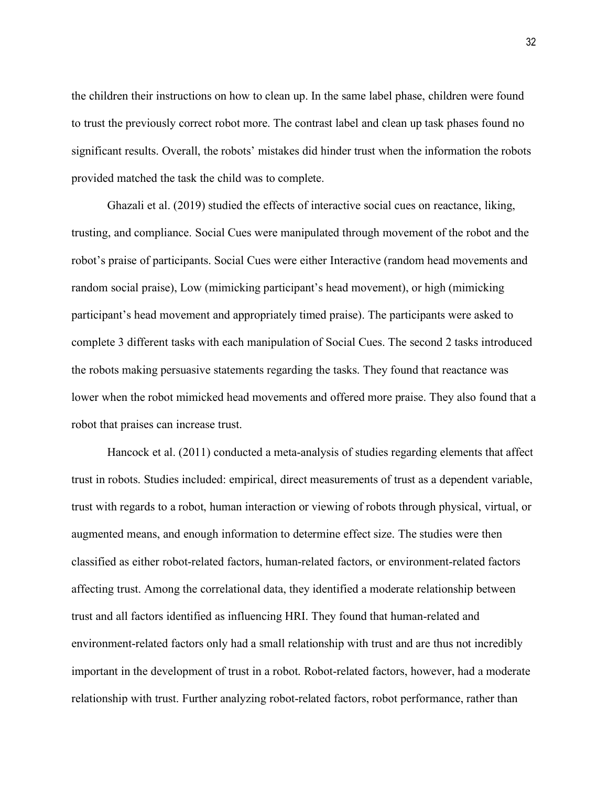the children their instructions on how to clean up. In the same label phase, children were found to trust the previously correct robot more. The contrast label and clean up task phases found no significant results. Overall, the robots' mistakes did hinder trust when the information the robots provided matched the task the child was to complete.

Ghazali et al. (2019) studied the effects of interactive social cues on reactance, liking, trusting, and compliance. Social Cues were manipulated through movement of the robot and the robot's praise of participants. Social Cues were either Interactive (random head movements and random social praise), Low (mimicking participant's head movement), or high (mimicking participant's head movement and appropriately timed praise). The participants were asked to complete 3 different tasks with each manipulation of Social Cues. The second 2 tasks introduced the robots making persuasive statements regarding the tasks. They found that reactance was lower when the robot mimicked head movements and offered more praise. They also found that a robot that praises can increase trust.

Hancock et al. (2011) conducted a meta-analysis of studies regarding elements that affect trust in robots. Studies included: empirical, direct measurements of trust as a dependent variable, trust with regards to a robot, human interaction or viewing of robots through physical, virtual, or augmented means, and enough information to determine effect size. The studies were then classified as either robot-related factors, human-related factors, or environment-related factors affecting trust. Among the correlational data, they identified a moderate relationship between trust and all factors identified as influencing HRI. They found that human-related and environment-related factors only had a small relationship with trust and are thus not incredibly important in the development of trust in a robot. Robot-related factors, however, had a moderate relationship with trust. Further analyzing robot-related factors, robot performance, rather than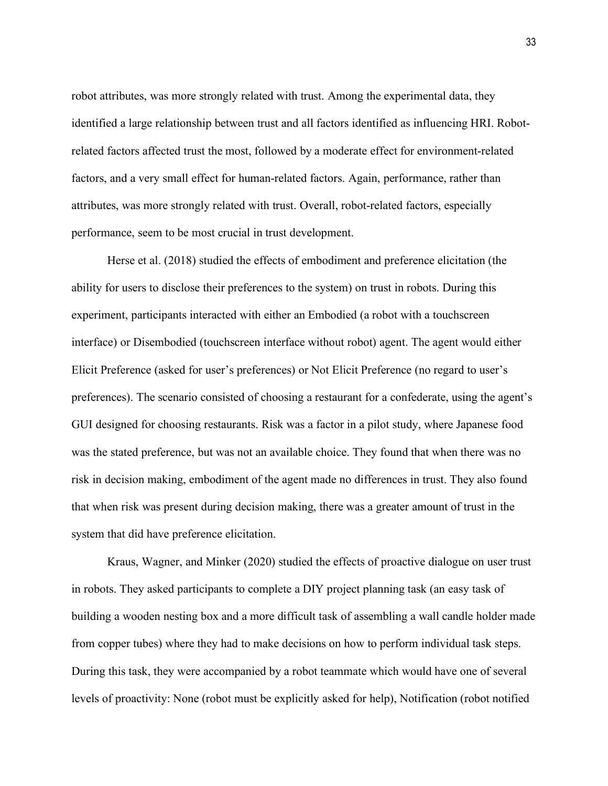robot attributes, was more strongly related with trust. Among the experimental data, they identified a large relationship between trust and all factors identified as influencing HRI. Robotrelated factors affected trust the most, followed by a moderate effect for environment-related factors, and a very small effect for human-related factors. Again, performance, rather than attributes, was more strongly related with trust. Overall, robot-related factors, especially performance, seem to be most crucial in trust development.

Herse et al. (2018) studied the effects of embodiment and preference elicitation (the ability for users to disclose their preferences to the system) on trust in robots. During this experiment, participants interacted with either an Embodied (a robot with a touchscreen interface) or Disembodied (touchscreen interface without robot) agent. The agent would either Elicit Preference (asked for user's preferences) or Not Elicit Preference (no regard to user's preferences). The scenario consisted of choosing a restaurant for a confederate, using the agent's GUI designed for choosing restaurants. Risk was a factor in a pilot study, where Japanese food was the stated preference, but was not an available choice. They found that when there was no risk in decision making, embodiment of the agent made no differences in trust. They also found that when risk was present during decision making, there was a greater amount of trust in the system that did have preference elicitation.

Kraus, Wagner, and Minker (2020) studied the effects of proactive dialogue on user trust in robots. They asked participants to complete a DIY project planning task (an easy task of building a wooden nesting box and a more difficult task of assembling a wall candle holder made from copper tubes) where they had to make decisions on how to perform individual task steps. During this task, they were accompanied by a robot teammate which would have one of several levels of proactivity: None (robot must be explicitly asked for help), Notification (robot notified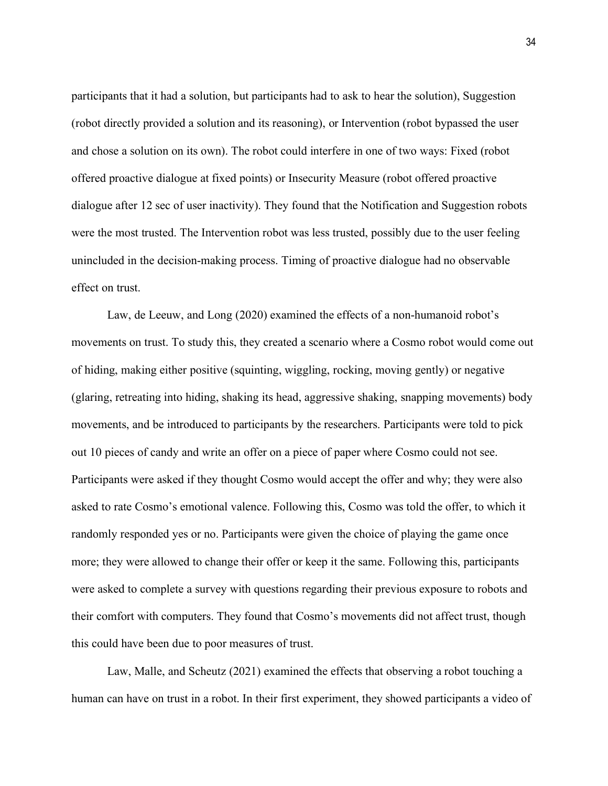participants that it had a solution, but participants had to ask to hear the solution), Suggestion (robot directly provided a solution and its reasoning), or Intervention (robot bypassed the user and chose a solution on its own). The robot could interfere in one of two ways: Fixed (robot offered proactive dialogue at fixed points) or Insecurity Measure (robot offered proactive dialogue after 12 sec of user inactivity). They found that the Notification and Suggestion robots were the most trusted. The Intervention robot was less trusted, possibly due to the user feeling unincluded in the decision-making process. Timing of proactive dialogue had no observable effect on trust.

Law, de Leeuw, and Long (2020) examined the effects of a non-humanoid robot's movements on trust. To study this, they created a scenario where a Cosmo robot would come out of hiding, making either positive (squinting, wiggling, rocking, moving gently) or negative (glaring, retreating into hiding, shaking its head, aggressive shaking, snapping movements) body movements, and be introduced to participants by the researchers. Participants were told to pick out 10 pieces of candy and write an offer on a piece of paper where Cosmo could not see. Participants were asked if they thought Cosmo would accept the offer and why; they were also asked to rate Cosmo's emotional valence. Following this, Cosmo was told the offer, to which it randomly responded yes or no. Participants were given the choice of playing the game once more; they were allowed to change their offer or keep it the same. Following this, participants were asked to complete a survey with questions regarding their previous exposure to robots and their comfort with computers. They found that Cosmo's movements did not affect trust, though this could have been due to poor measures of trust.

Law, Malle, and Scheutz (2021) examined the effects that observing a robot touching a human can have on trust in a robot. In their first experiment, they showed participants a video of

34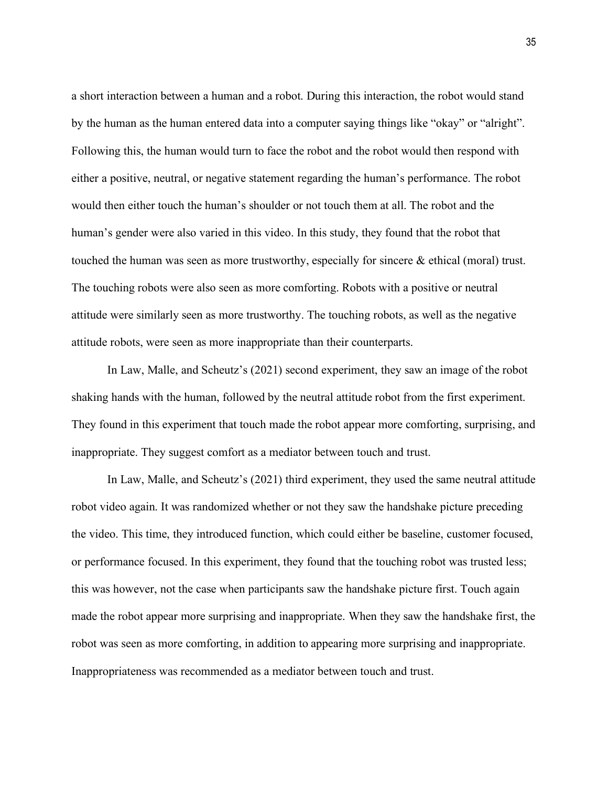a short interaction between a human and a robot. During this interaction, the robot would stand by the human as the human entered data into a computer saying things like "okay" or "alright". Following this, the human would turn to face the robot and the robot would then respond with either a positive, neutral, or negative statement regarding the human's performance. The robot would then either touch the human's shoulder or not touch them at all. The robot and the human's gender were also varied in this video. In this study, they found that the robot that touched the human was seen as more trustworthy, especially for sincere & ethical (moral) trust. The touching robots were also seen as more comforting. Robots with a positive or neutral attitude were similarly seen as more trustworthy. The touching robots, as well as the negative attitude robots, were seen as more inappropriate than their counterparts.

In Law, Malle, and Scheutz's (2021) second experiment, they saw an image of the robot shaking hands with the human, followed by the neutral attitude robot from the first experiment. They found in this experiment that touch made the robot appear more comforting, surprising, and inappropriate. They suggest comfort as a mediator between touch and trust.

In Law, Malle, and Scheutz's (2021) third experiment, they used the same neutral attitude robot video again. It was randomized whether or not they saw the handshake picture preceding the video. This time, they introduced function, which could either be baseline, customer focused, or performance focused. In this experiment, they found that the touching robot was trusted less; this was however, not the case when participants saw the handshake picture first. Touch again made the robot appear more surprising and inappropriate. When they saw the handshake first, the robot was seen as more comforting, in addition to appearing more surprising and inappropriate. Inappropriateness was recommended as a mediator between touch and trust.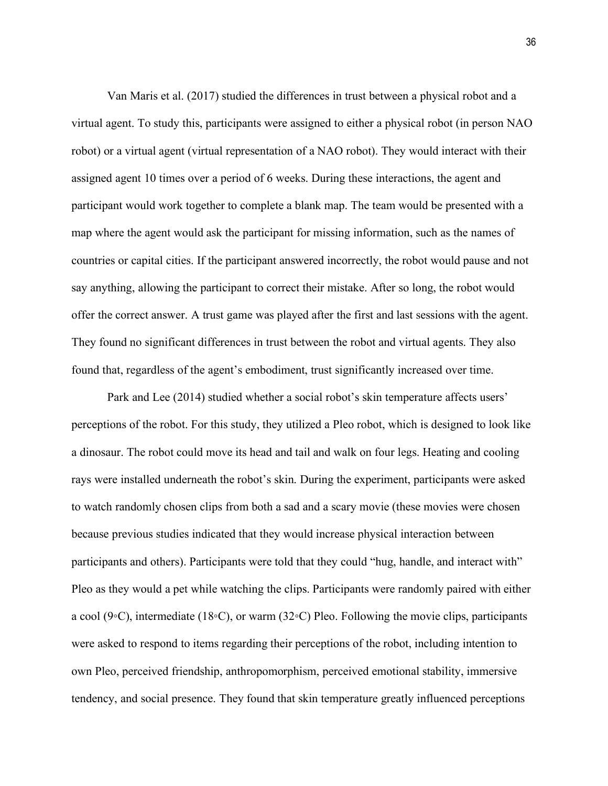Van Maris et al. (2017) studied the differences in trust between a physical robot and a virtual agent. To study this, participants were assigned to either a physical robot (in person NAO robot) or a virtual agent (virtual representation of a NAO robot). They would interact with their assigned agent 10 times over a period of 6 weeks. During these interactions, the agent and participant would work together to complete a blank map. The team would be presented with a map where the agent would ask the participant for missing information, such as the names of countries or capital cities. If the participant answered incorrectly, the robot would pause and not say anything, allowing the participant to correct their mistake. After so long, the robot would offer the correct answer. A trust game was played after the first and last sessions with the agent. They found no significant differences in trust between the robot and virtual agents. They also found that, regardless of the agent's embodiment, trust significantly increased over time.

Park and Lee (2014) studied whether a social robot's skin temperature affects users' perceptions of the robot. For this study, they utilized a Pleo robot, which is designed to look like a dinosaur. The robot could move its head and tail and walk on four legs. Heating and cooling rays were installed underneath the robot's skin. During the experiment, participants were asked to watch randomly chosen clips from both a sad and a scary movie (these movies were chosen because previous studies indicated that they would increase physical interaction between participants and others). Participants were told that they could "hug, handle, and interact with" Pleo as they would a pet while watching the clips. Participants were randomly paired with either a cool (9◦C), intermediate (18◦C), or warm (32◦C) Pleo. Following the movie clips, participants were asked to respond to items regarding their perceptions of the robot, including intention to own Pleo, perceived friendship, anthropomorphism, perceived emotional stability, immersive tendency, and social presence. They found that skin temperature greatly influenced perceptions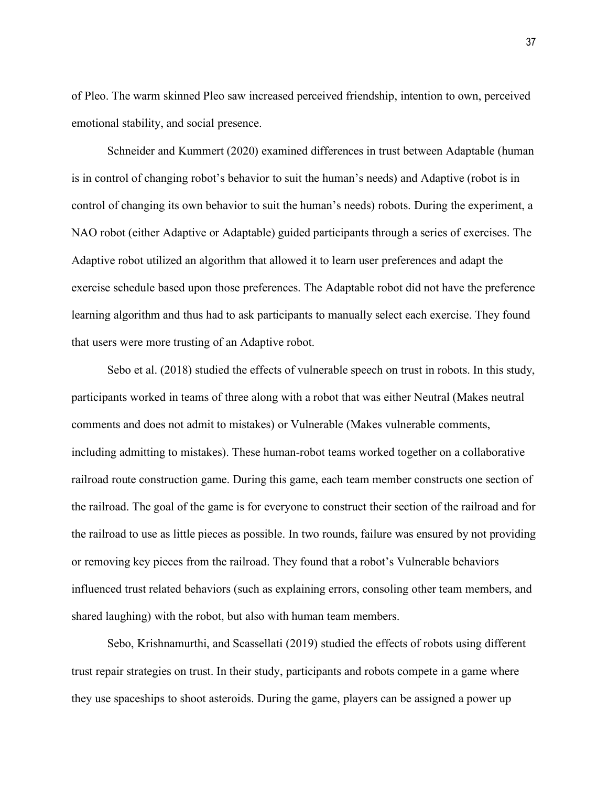of Pleo. The warm skinned Pleo saw increased perceived friendship, intention to own, perceived emotional stability, and social presence.

Schneider and Kummert (2020) examined differences in trust between Adaptable (human is in control of changing robot's behavior to suit the human's needs) and Adaptive (robot is in control of changing its own behavior to suit the human's needs) robots. During the experiment, a NAO robot (either Adaptive or Adaptable) guided participants through a series of exercises. The Adaptive robot utilized an algorithm that allowed it to learn user preferences and adapt the exercise schedule based upon those preferences. The Adaptable robot did not have the preference learning algorithm and thus had to ask participants to manually select each exercise. They found that users were more trusting of an Adaptive robot.

Sebo et al. (2018) studied the effects of vulnerable speech on trust in robots. In this study, participants worked in teams of three along with a robot that was either Neutral (Makes neutral comments and does not admit to mistakes) or Vulnerable (Makes vulnerable comments, including admitting to mistakes). These human-robot teams worked together on a collaborative railroad route construction game. During this game, each team member constructs one section of the railroad. The goal of the game is for everyone to construct their section of the railroad and for the railroad to use as little pieces as possible. In two rounds, failure was ensured by not providing or removing key pieces from the railroad. They found that a robot's Vulnerable behaviors influenced trust related behaviors (such as explaining errors, consoling other team members, and shared laughing) with the robot, but also with human team members.

Sebo, Krishnamurthi, and Scassellati (2019) studied the effects of robots using different trust repair strategies on trust. In their study, participants and robots compete in a game where they use spaceships to shoot asteroids. During the game, players can be assigned a power up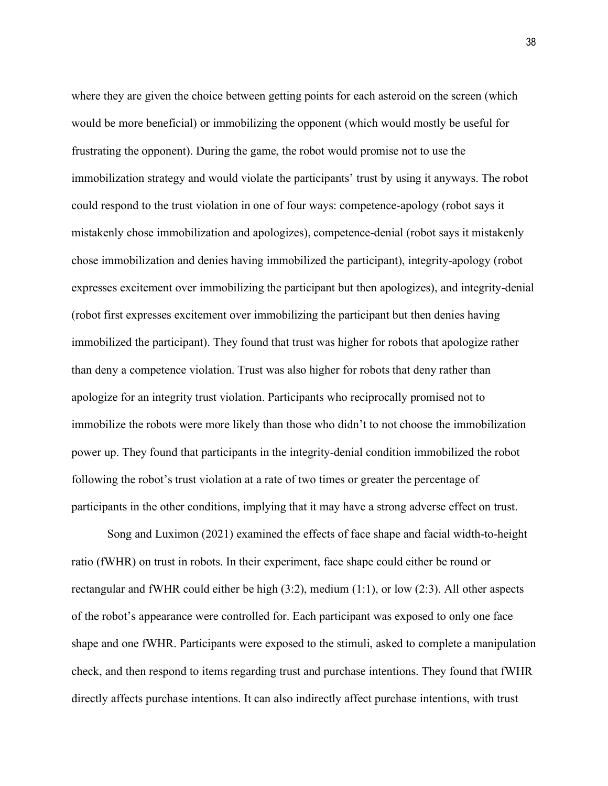where they are given the choice between getting points for each asteroid on the screen (which would be more beneficial) or immobilizing the opponent (which would mostly be useful for frustrating the opponent). During the game, the robot would promise not to use the immobilization strategy and would violate the participants' trust by using it anyways. The robot could respond to the trust violation in one of four ways: competence-apology (robot says it mistakenly chose immobilization and apologizes), competence-denial (robot says it mistakenly chose immobilization and denies having immobilized the participant), integrity-apology (robot expresses excitement over immobilizing the participant but then apologizes), and integrity-denial (robot first expresses excitement over immobilizing the participant but then denies having immobilized the participant). They found that trust was higher for robots that apologize rather than deny a competence violation. Trust was also higher for robots that deny rather than apologize for an integrity trust violation. Participants who reciprocally promised not to immobilize the robots were more likely than those who didn't to not choose the immobilization power up. They found that participants in the integrity-denial condition immobilized the robot following the robot's trust violation at a rate of two times or greater the percentage of participants in the other conditions, implying that it may have a strong adverse effect on trust.

Song and Luximon (2021) examined the effects of face shape and facial width-to-height ratio (fWHR) on trust in robots. In their experiment, face shape could either be round or rectangular and fWHR could either be high (3:2), medium (1:1), or low (2:3). All other aspects of the robot's appearance were controlled for. Each participant was exposed to only one face shape and one fWHR. Participants were exposed to the stimuli, asked to complete a manipulation check, and then respond to items regarding trust and purchase intentions. They found that fWHR directly affects purchase intentions. It can also indirectly affect purchase intentions, with trust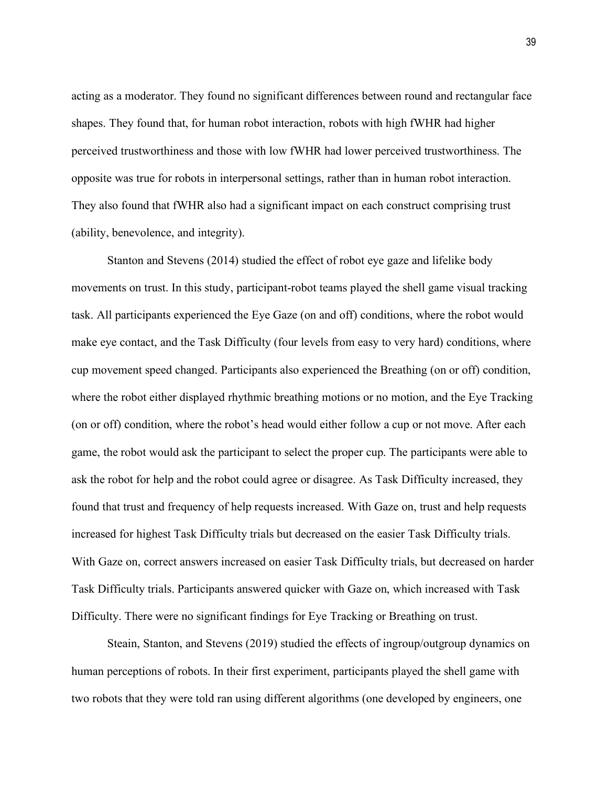acting as a moderator. They found no significant differences between round and rectangular face shapes. They found that, for human robot interaction, robots with high fWHR had higher perceived trustworthiness and those with low fWHR had lower perceived trustworthiness. The opposite was true for robots in interpersonal settings, rather than in human robot interaction. They also found that fWHR also had a significant impact on each construct comprising trust (ability, benevolence, and integrity).

Stanton and Stevens (2014) studied the effect of robot eye gaze and lifelike body movements on trust. In this study, participant-robot teams played the shell game visual tracking task. All participants experienced the Eye Gaze (on and off) conditions, where the robot would make eye contact, and the Task Difficulty (four levels from easy to very hard) conditions, where cup movement speed changed. Participants also experienced the Breathing (on or off) condition, where the robot either displayed rhythmic breathing motions or no motion, and the Eye Tracking (on or off) condition, where the robot's head would either follow a cup or not move. After each game, the robot would ask the participant to select the proper cup. The participants were able to ask the robot for help and the robot could agree or disagree. As Task Difficulty increased, they found that trust and frequency of help requests increased. With Gaze on, trust and help requests increased for highest Task Difficulty trials but decreased on the easier Task Difficulty trials. With Gaze on, correct answers increased on easier Task Difficulty trials, but decreased on harder Task Difficulty trials. Participants answered quicker with Gaze on, which increased with Task Difficulty. There were no significant findings for Eye Tracking or Breathing on trust.

Steain, Stanton, and Stevens (2019) studied the effects of ingroup/outgroup dynamics on human perceptions of robots. In their first experiment, participants played the shell game with two robots that they were told ran using different algorithms (one developed by engineers, one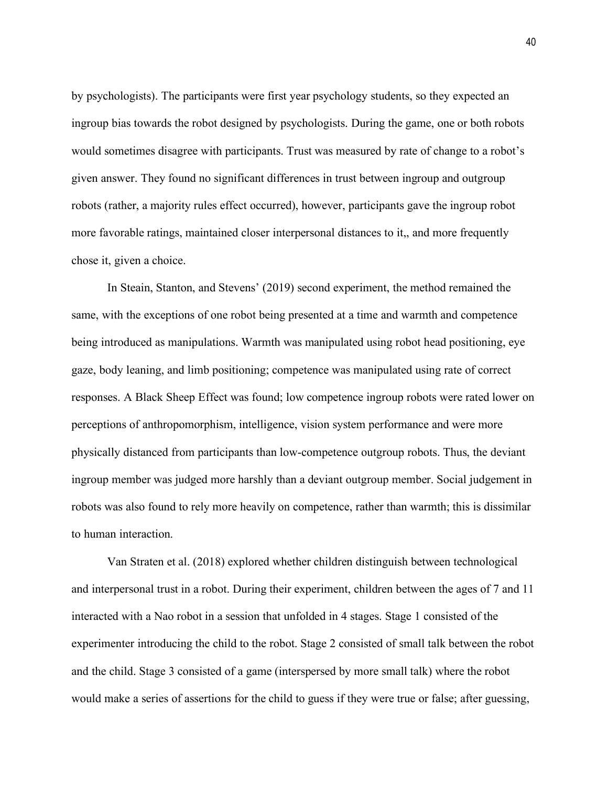by psychologists). The participants were first year psychology students, so they expected an ingroup bias towards the robot designed by psychologists. During the game, one or both robots would sometimes disagree with participants. Trust was measured by rate of change to a robot's given answer. They found no significant differences in trust between ingroup and outgroup robots (rather, a majority rules effect occurred), however, participants gave the ingroup robot more favorable ratings, maintained closer interpersonal distances to it,, and more frequently chose it, given a choice.

In Steain, Stanton, and Stevens' (2019) second experiment, the method remained the same, with the exceptions of one robot being presented at a time and warmth and competence being introduced as manipulations. Warmth was manipulated using robot head positioning, eye gaze, body leaning, and limb positioning; competence was manipulated using rate of correct responses. A Black Sheep Effect was found; low competence ingroup robots were rated lower on perceptions of anthropomorphism, intelligence, vision system performance and were more physically distanced from participants than low-competence outgroup robots. Thus, the deviant ingroup member was judged more harshly than a deviant outgroup member. Social judgement in robots was also found to rely more heavily on competence, rather than warmth; this is dissimilar to human interaction.

Van Straten et al. (2018) explored whether children distinguish between technological and interpersonal trust in a robot. During their experiment, children between the ages of 7 and 11 interacted with a Nao robot in a session that unfolded in 4 stages. Stage 1 consisted of the experimenter introducing the child to the robot. Stage 2 consisted of small talk between the robot and the child. Stage 3 consisted of a game (interspersed by more small talk) where the robot would make a series of assertions for the child to guess if they were true or false; after guessing,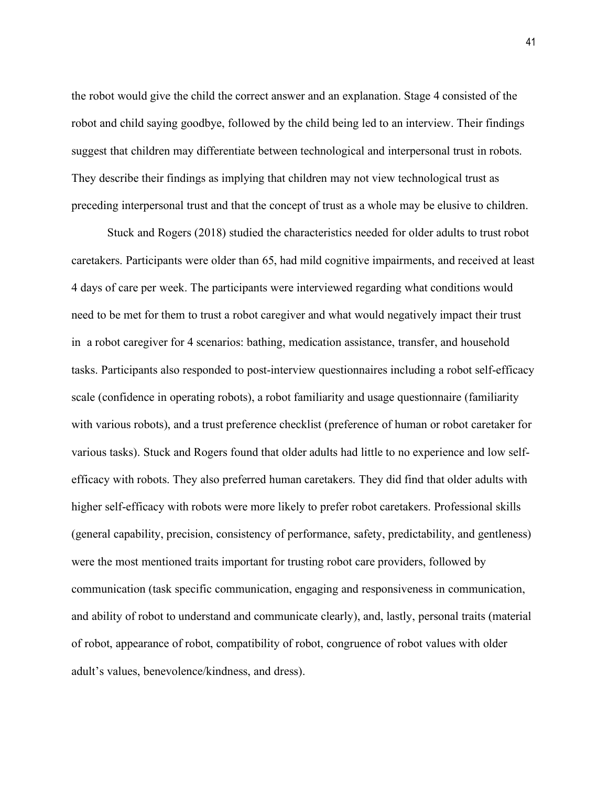the robot would give the child the correct answer and an explanation. Stage 4 consisted of the robot and child saying goodbye, followed by the child being led to an interview. Their findings suggest that children may differentiate between technological and interpersonal trust in robots. They describe their findings as implying that children may not view technological trust as preceding interpersonal trust and that the concept of trust as a whole may be elusive to children.

Stuck and Rogers (2018) studied the characteristics needed for older adults to trust robot caretakers. Participants were older than 65, had mild cognitive impairments, and received at least 4 days of care per week. The participants were interviewed regarding what conditions would need to be met for them to trust a robot caregiver and what would negatively impact their trust in a robot caregiver for 4 scenarios: bathing, medication assistance, transfer, and household tasks. Participants also responded to post-interview questionnaires including a robot self-efficacy scale (confidence in operating robots), a robot familiarity and usage questionnaire (familiarity with various robots), and a trust preference checklist (preference of human or robot caretaker for various tasks). Stuck and Rogers found that older adults had little to no experience and low selfefficacy with robots. They also preferred human caretakers. They did find that older adults with higher self-efficacy with robots were more likely to prefer robot caretakers. Professional skills (general capability, precision, consistency of performance, safety, predictability, and gentleness) were the most mentioned traits important for trusting robot care providers, followed by communication (task specific communication, engaging and responsiveness in communication, and ability of robot to understand and communicate clearly), and, lastly, personal traits (material of robot, appearance of robot, compatibility of robot, congruence of robot values with older adult's values, benevolence/kindness, and dress).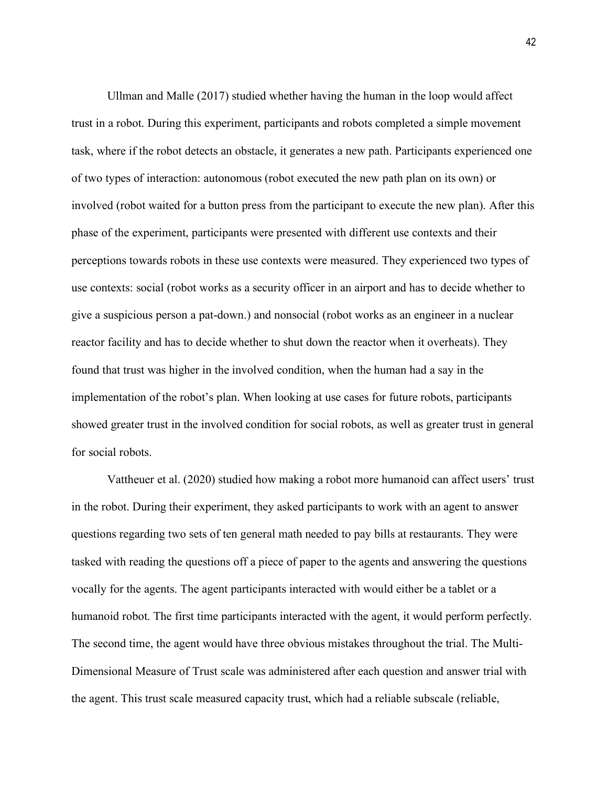Ullman and Malle (2017) studied whether having the human in the loop would affect trust in a robot. During this experiment, participants and robots completed a simple movement task, where if the robot detects an obstacle, it generates a new path. Participants experienced one of two types of interaction: autonomous (robot executed the new path plan on its own) or involved (robot waited for a button press from the participant to execute the new plan). After this phase of the experiment, participants were presented with different use contexts and their perceptions towards robots in these use contexts were measured. They experienced two types of use contexts: social (robot works as a security officer in an airport and has to decide whether to give a suspicious person a pat-down.) and nonsocial (robot works as an engineer in a nuclear reactor facility and has to decide whether to shut down the reactor when it overheats). They found that trust was higher in the involved condition, when the human had a say in the implementation of the robot's plan. When looking at use cases for future robots, participants showed greater trust in the involved condition for social robots, as well as greater trust in general for social robots.

Vattheuer et al. (2020) studied how making a robot more humanoid can affect users' trust in the robot. During their experiment, they asked participants to work with an agent to answer questions regarding two sets of ten general math needed to pay bills at restaurants. They were tasked with reading the questions off a piece of paper to the agents and answering the questions vocally for the agents. The agent participants interacted with would either be a tablet or a humanoid robot. The first time participants interacted with the agent, it would perform perfectly. The second time, the agent would have three obvious mistakes throughout the trial. The Multi-Dimensional Measure of Trust scale was administered after each question and answer trial with the agent. This trust scale measured capacity trust, which had a reliable subscale (reliable,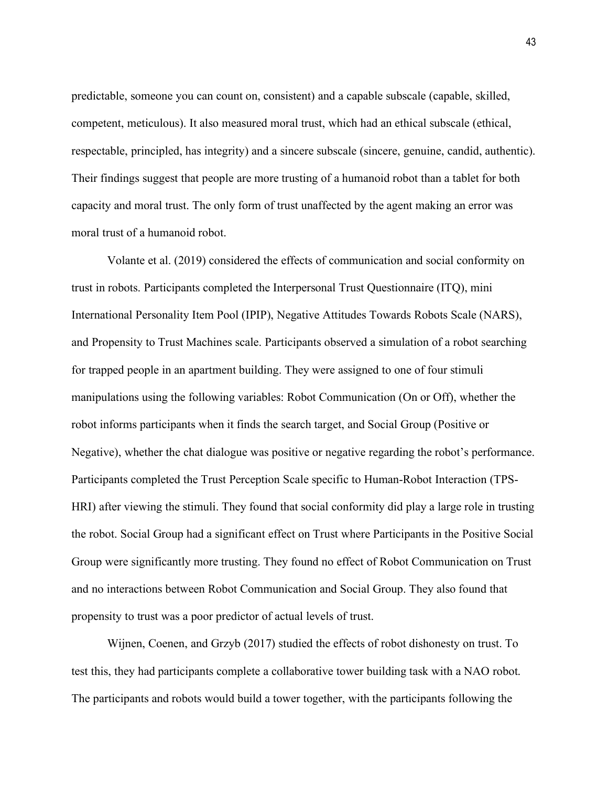predictable, someone you can count on, consistent) and a capable subscale (capable, skilled, competent, meticulous). It also measured moral trust, which had an ethical subscale (ethical, respectable, principled, has integrity) and a sincere subscale (sincere, genuine, candid, authentic). Their findings suggest that people are more trusting of a humanoid robot than a tablet for both capacity and moral trust. The only form of trust unaffected by the agent making an error was moral trust of a humanoid robot.

Volante et al. (2019) considered the effects of communication and social conformity on trust in robots. Participants completed the Interpersonal Trust Questionnaire (ITQ), mini International Personality Item Pool (IPIP), Negative Attitudes Towards Robots Scale (NARS), and Propensity to Trust Machines scale. Participants observed a simulation of a robot searching for trapped people in an apartment building. They were assigned to one of four stimuli manipulations using the following variables: Robot Communication (On or Off), whether the robot informs participants when it finds the search target, and Social Group (Positive or Negative), whether the chat dialogue was positive or negative regarding the robot's performance. Participants completed the Trust Perception Scale specific to Human-Robot Interaction (TPS-HRI) after viewing the stimuli. They found that social conformity did play a large role in trusting the robot. Social Group had a significant effect on Trust where Participants in the Positive Social Group were significantly more trusting. They found no effect of Robot Communication on Trust and no interactions between Robot Communication and Social Group. They also found that propensity to trust was a poor predictor of actual levels of trust.

Wijnen, Coenen, and Grzyb (2017) studied the effects of robot dishonesty on trust. To test this, they had participants complete a collaborative tower building task with a NAO robot. The participants and robots would build a tower together, with the participants following the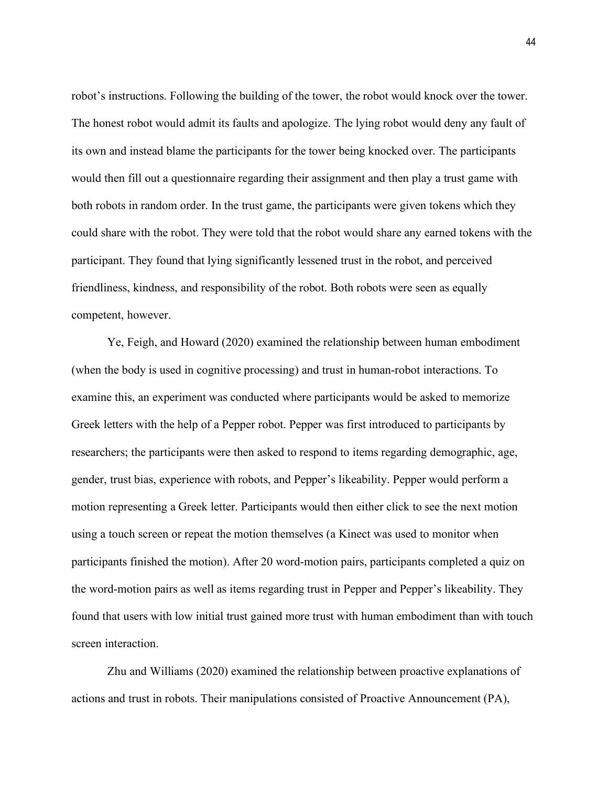robot's instructions. Following the building of the tower, the robot would knock over the tower. The honest robot would admit its faults and apologize. The lying robot would deny any fault of its own and instead blame the participants for the tower being knocked over. The participants would then fill out a questionnaire regarding their assignment and then play a trust game with both robots in random order. In the trust game, the participants were given tokens which they could share with the robot. They were told that the robot would share any earned tokens with the participant. They found that lying significantly lessened trust in the robot, and perceived friendliness, kindness, and responsibility of the robot. Both robots were seen as equally competent, however.

Ye, Feigh, and Howard (2020) examined the relationship between human embodiment (when the body is used in cognitive processing) and trust in human-robot interactions. To examine this, an experiment was conducted where participants would be asked to memorize Greek letters with the help of a Pepper robot. Pepper was first introduced to participants by researchers; the participants were then asked to respond to items regarding demographic, age, gender, trust bias, experience with robots, and Pepper's likeability. Pepper would perform a motion representing a Greek letter. Participants would then either click to see the next motion using a touch screen or repeat the motion themselves (a Kinect was used to monitor when participants finished the motion). After 20 word-motion pairs, participants completed a quiz on the word-motion pairs as well as items regarding trust in Pepper and Pepper's likeability. They found that users with low initial trust gained more trust with human embodiment than with touch screen interaction.

Zhu and Williams (2020) examined the relationship between proactive explanations of actions and trust in robots. Their manipulations consisted of Proactive Announcement (PA),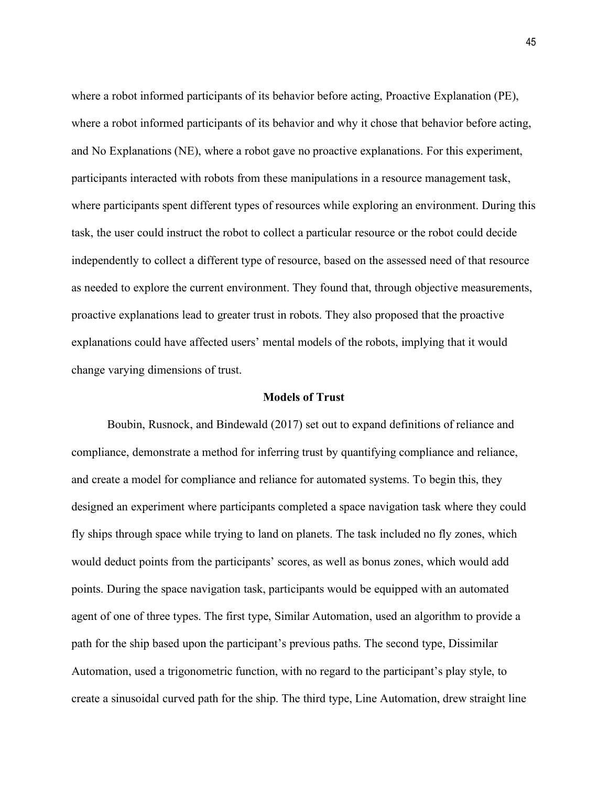where a robot informed participants of its behavior before acting, Proactive Explanation (PE), where a robot informed participants of its behavior and why it chose that behavior before acting, and No Explanations (NE), where a robot gave no proactive explanations. For this experiment, participants interacted with robots from these manipulations in a resource management task, where participants spent different types of resources while exploring an environment. During this task, the user could instruct the robot to collect a particular resource or the robot could decide independently to collect a different type of resource, based on the assessed need of that resource as needed to explore the current environment. They found that, through objective measurements, proactive explanations lead to greater trust in robots. They also proposed that the proactive explanations could have affected users' mental models of the robots, implying that it would change varying dimensions of trust.

## **Models of Trust**

Boubin, Rusnock, and Bindewald (2017) set out to expand definitions of reliance and compliance, demonstrate a method for inferring trust by quantifying compliance and reliance, and create a model for compliance and reliance for automated systems. To begin this, they designed an experiment where participants completed a space navigation task where they could fly ships through space while trying to land on planets. The task included no fly zones, which would deduct points from the participants' scores, as well as bonus zones, which would add points. During the space navigation task, participants would be equipped with an automated agent of one of three types. The first type, Similar Automation, used an algorithm to provide a path for the ship based upon the participant's previous paths. The second type, Dissimilar Automation, used a trigonometric function, with no regard to the participant's play style, to create a sinusoidal curved path for the ship. The third type, Line Automation, drew straight line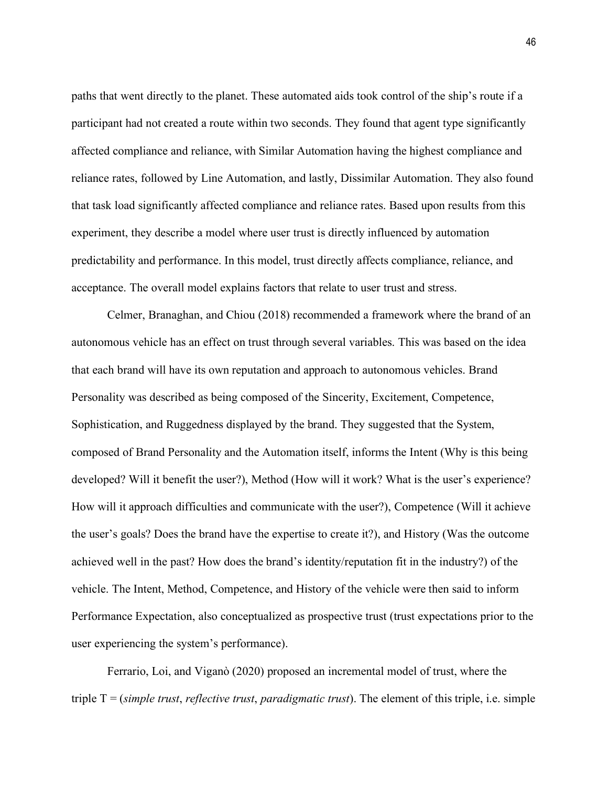paths that went directly to the planet. These automated aids took control of the ship's route if a participant had not created a route within two seconds. They found that agent type significantly affected compliance and reliance, with Similar Automation having the highest compliance and reliance rates, followed by Line Automation, and lastly, Dissimilar Automation. They also found that task load significantly affected compliance and reliance rates. Based upon results from this experiment, they describe a model where user trust is directly influenced by automation predictability and performance. In this model, trust directly affects compliance, reliance, and acceptance. The overall model explains factors that relate to user trust and stress.

Celmer, Branaghan, and Chiou (2018) recommended a framework where the brand of an autonomous vehicle has an effect on trust through several variables. This was based on the idea that each brand will have its own reputation and approach to autonomous vehicles. Brand Personality was described as being composed of the Sincerity, Excitement, Competence, Sophistication, and Ruggedness displayed by the brand. They suggested that the System, composed of Brand Personality and the Automation itself, informs the Intent (Why is this being developed? Will it benefit the user?), Method (How will it work? What is the user's experience? How will it approach difficulties and communicate with the user?), Competence (Will it achieve the user's goals? Does the brand have the expertise to create it?), and History (Was the outcome achieved well in the past? How does the brand's identity/reputation fit in the industry?) of the vehicle. The Intent, Method, Competence, and History of the vehicle were then said to inform Performance Expectation, also conceptualized as prospective trust (trust expectations prior to the user experiencing the system's performance).

Ferrario, Loi, and Viganò (2020) proposed an incremental model of trust, where the triple T = (*simple trust*, *reflective trust*, *paradigmatic trust*). The element of this triple, i.e. simple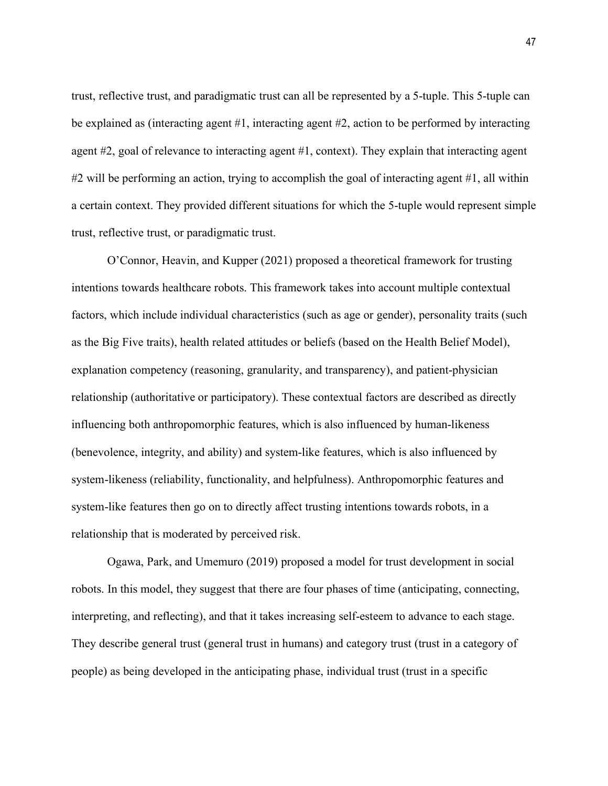trust, reflective trust, and paradigmatic trust can all be represented by a 5-tuple. This 5-tuple can be explained as (interacting agent #1, interacting agent #2, action to be performed by interacting agent #2, goal of relevance to interacting agent #1, context). They explain that interacting agent #2 will be performing an action, trying to accomplish the goal of interacting agent #1, all within a certain context. They provided different situations for which the 5-tuple would represent simple trust, reflective trust, or paradigmatic trust.

O'Connor, Heavin, and Kupper (2021) proposed a theoretical framework for trusting intentions towards healthcare robots. This framework takes into account multiple contextual factors, which include individual characteristics (such as age or gender), personality traits (such as the Big Five traits), health related attitudes or beliefs (based on the Health Belief Model), explanation competency (reasoning, granularity, and transparency), and patient-physician relationship (authoritative or participatory). These contextual factors are described as directly influencing both anthropomorphic features, which is also influenced by human-likeness (benevolence, integrity, and ability) and system-like features, which is also influenced by system-likeness (reliability, functionality, and helpfulness). Anthropomorphic features and system-like features then go on to directly affect trusting intentions towards robots, in a relationship that is moderated by perceived risk.

Ogawa, Park, and Umemuro (2019) proposed a model for trust development in social robots. In this model, they suggest that there are four phases of time (anticipating, connecting, interpreting, and reflecting), and that it takes increasing self-esteem to advance to each stage. They describe general trust (general trust in humans) and category trust (trust in a category of people) as being developed in the anticipating phase, individual trust (trust in a specific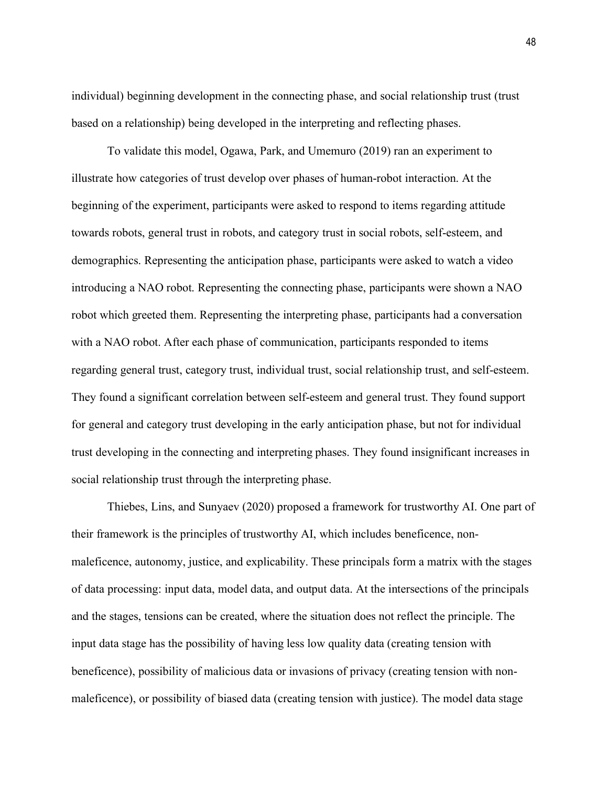individual) beginning development in the connecting phase, and social relationship trust (trust based on a relationship) being developed in the interpreting and reflecting phases.

To validate this model, Ogawa, Park, and Umemuro (2019) ran an experiment to illustrate how categories of trust develop over phases of human-robot interaction. At the beginning of the experiment, participants were asked to respond to items regarding attitude towards robots, general trust in robots, and category trust in social robots, self-esteem, and demographics. Representing the anticipation phase, participants were asked to watch a video introducing a NAO robot. Representing the connecting phase, participants were shown a NAO robot which greeted them. Representing the interpreting phase, participants had a conversation with a NAO robot. After each phase of communication, participants responded to items regarding general trust, category trust, individual trust, social relationship trust, and self-esteem. They found a significant correlation between self-esteem and general trust. They found support for general and category trust developing in the early anticipation phase, but not for individual trust developing in the connecting and interpreting phases. They found insignificant increases in social relationship trust through the interpreting phase.

Thiebes, Lins, and Sunyaev (2020) proposed a framework for trustworthy AI. One part of their framework is the principles of trustworthy AI, which includes beneficence, nonmaleficence, autonomy, justice, and explicability. These principals form a matrix with the stages of data processing: input data, model data, and output data. At the intersections of the principals and the stages, tensions can be created, where the situation does not reflect the principle. The input data stage has the possibility of having less low quality data (creating tension with beneficence), possibility of malicious data or invasions of privacy (creating tension with nonmaleficence), or possibility of biased data (creating tension with justice). The model data stage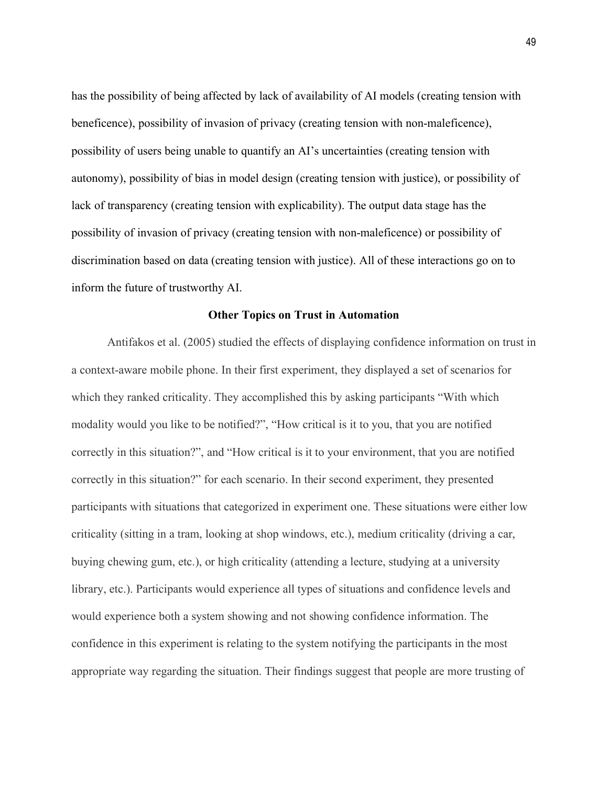has the possibility of being affected by lack of availability of AI models (creating tension with beneficence), possibility of invasion of privacy (creating tension with non-maleficence), possibility of users being unable to quantify an AI's uncertainties (creating tension with autonomy), possibility of bias in model design (creating tension with justice), or possibility of lack of transparency (creating tension with explicability). The output data stage has the possibility of invasion of privacy (creating tension with non-maleficence) or possibility of discrimination based on data (creating tension with justice). All of these interactions go on to inform the future of trustworthy AI.

## **Other Topics on Trust in Automation**

Antifakos et al. (2005) studied the effects of displaying confidence information on trust in a context-aware mobile phone. In their first experiment, they displayed a set of scenarios for which they ranked criticality. They accomplished this by asking participants "With which modality would you like to be notified?", "How critical is it to you, that you are notified correctly in this situation?", and "How critical is it to your environment, that you are notified correctly in this situation?" for each scenario. In their second experiment, they presented participants with situations that categorized in experiment one. These situations were either low criticality (sitting in a tram, looking at shop windows, etc.), medium criticality (driving a car, buying chewing gum, etc.), or high criticality (attending a lecture, studying at a university library, etc.). Participants would experience all types of situations and confidence levels and would experience both a system showing and not showing confidence information. The confidence in this experiment is relating to the system notifying the participants in the most appropriate way regarding the situation. Their findings suggest that people are more trusting of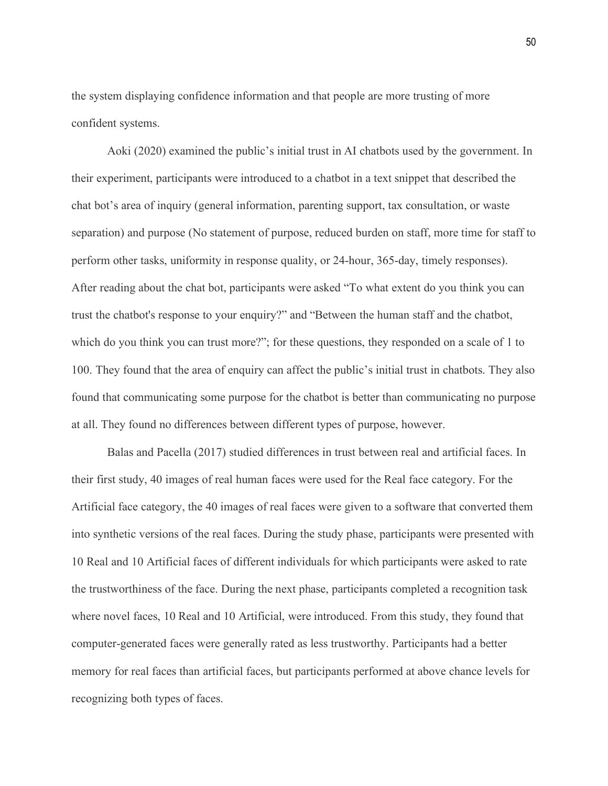the system displaying confidence information and that people are more trusting of more confident systems.

Aoki (2020) examined the public's initial trust in AI chatbots used by the government. In their experiment, participants were introduced to a chatbot in a text snippet that described the chat bot's area of inquiry (general information, parenting support, tax consultation, or waste separation) and purpose (No statement of purpose, reduced burden on staff, more time for staff to perform other tasks, uniformity in response quality, or 24-hour, 365-day, timely responses). After reading about the chat bot, participants were asked "To what extent do you think you can trust the chatbot's response to your enquiry?" and "Between the human staff and the chatbot, which do you think you can trust more?"; for these questions, they responded on a scale of 1 to 100. They found that the area of enquiry can affect the public's initial trust in chatbots. They also found that communicating some purpose for the chatbot is better than communicating no purpose at all. They found no differences between different types of purpose, however.

Balas and Pacella (2017) studied differences in trust between real and artificial faces. In their first study, 40 images of real human faces were used for the Real face category. For the Artificial face category, the 40 images of real faces were given to a software that converted them into synthetic versions of the real faces. During the study phase, participants were presented with 10 Real and 10 Artificial faces of different individuals for which participants were asked to rate the trustworthiness of the face. During the next phase, participants completed a recognition task where novel faces, 10 Real and 10 Artificial, were introduced. From this study, they found that computer-generated faces were generally rated as less trustworthy. Participants had a better memory for real faces than artificial faces, but participants performed at above chance levels for recognizing both types of faces.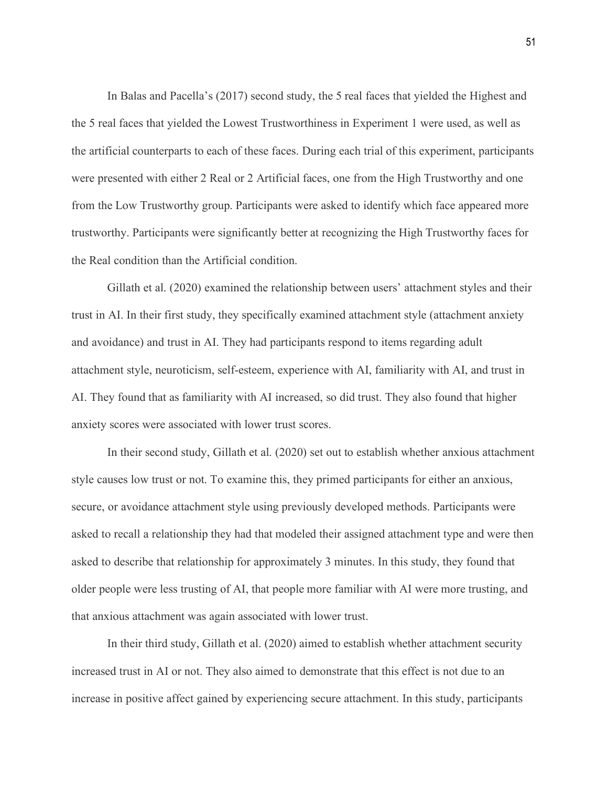In Balas and Pacella's (2017) second study, the 5 real faces that yielded the Highest and the 5 real faces that yielded the Lowest Trustworthiness in Experiment 1 were used, as well as the artificial counterparts to each of these faces. During each trial of this experiment, participants were presented with either 2 Real or 2 Artificial faces, one from the High Trustworthy and one from the Low Trustworthy group. Participants were asked to identify which face appeared more trustworthy. Participants were significantly better at recognizing the High Trustworthy faces for the Real condition than the Artificial condition.

Gillath et al. (2020) examined the relationship between users' attachment styles and their trust in AI. In their first study, they specifically examined attachment style (attachment anxiety and avoidance) and trust in AI. They had participants respond to items regarding adult attachment style, neuroticism, self-esteem, experience with AI, familiarity with AI, and trust in AI. They found that as familiarity with AI increased, so did trust. They also found that higher anxiety scores were associated with lower trust scores.

In their second study, Gillath et al. (2020) set out to establish whether anxious attachment style causes low trust or not. To examine this, they primed participants for either an anxious, secure, or avoidance attachment style using previously developed methods. Participants were asked to recall a relationship they had that modeled their assigned attachment type and were then asked to describe that relationship for approximately 3 minutes. In this study, they found that older people were less trusting of AI, that people more familiar with AI were more trusting, and that anxious attachment was again associated with lower trust.

In their third study, Gillath et al. (2020) aimed to establish whether attachment security increased trust in AI or not. They also aimed to demonstrate that this effect is not due to an increase in positive affect gained by experiencing secure attachment. In this study, participants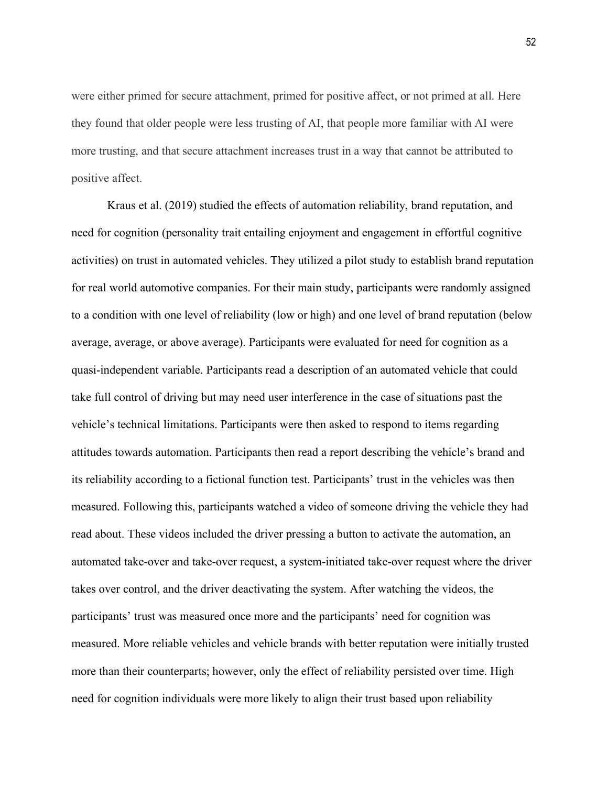were either primed for secure attachment, primed for positive affect, or not primed at all. Here they found that older people were less trusting of AI, that people more familiar with AI were more trusting, and that secure attachment increases trust in a way that cannot be attributed to positive affect.

Kraus et al. (2019) studied the effects of automation reliability, brand reputation, and need for cognition (personality trait entailing enjoyment and engagement in effortful cognitive activities) on trust in automated vehicles. They utilized a pilot study to establish brand reputation for real world automotive companies. For their main study, participants were randomly assigned to a condition with one level of reliability (low or high) and one level of brand reputation (below average, average, or above average). Participants were evaluated for need for cognition as a quasi-independent variable. Participants read a description of an automated vehicle that could take full control of driving but may need user interference in the case of situations past the vehicle's technical limitations. Participants were then asked to respond to items regarding attitudes towards automation. Participants then read a report describing the vehicle's brand and its reliability according to a fictional function test. Participants' trust in the vehicles was then measured. Following this, participants watched a video of someone driving the vehicle they had read about. These videos included the driver pressing a button to activate the automation, an automated take-over and take-over request, a system-initiated take-over request where the driver takes over control, and the driver deactivating the system. After watching the videos, the participants' trust was measured once more and the participants' need for cognition was measured. More reliable vehicles and vehicle brands with better reputation were initially trusted more than their counterparts; however, only the effect of reliability persisted over time. High need for cognition individuals were more likely to align their trust based upon reliability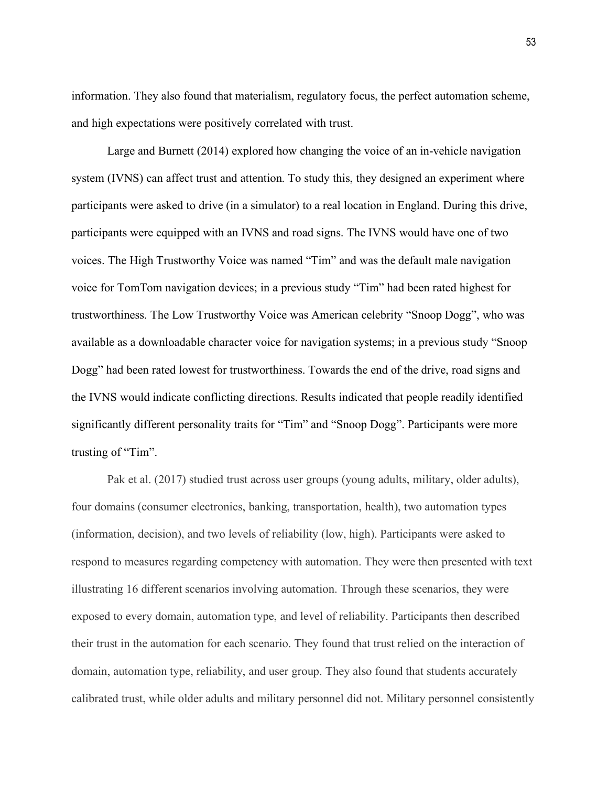information. They also found that materialism, regulatory focus, the perfect automation scheme, and high expectations were positively correlated with trust.

Large and Burnett (2014) explored how changing the voice of an in-vehicle navigation system (IVNS) can affect trust and attention. To study this, they designed an experiment where participants were asked to drive (in a simulator) to a real location in England. During this drive, participants were equipped with an IVNS and road signs. The IVNS would have one of two voices. The High Trustworthy Voice was named "Tim" and was the default male navigation voice for TomTom navigation devices; in a previous study "Tim" had been rated highest for trustworthiness. The Low Trustworthy Voice was American celebrity "Snoop Dogg", who was available as a downloadable character voice for navigation systems; in a previous study "Snoop Dogg" had been rated lowest for trustworthiness. Towards the end of the drive, road signs and the IVNS would indicate conflicting directions. Results indicated that people readily identified significantly different personality traits for "Tim" and "Snoop Dogg". Participants were more trusting of "Tim".

Pak et al. (2017) studied trust across user groups (young adults, military, older adults), four domains (consumer electronics, banking, transportation, health), two automation types (information, decision), and two levels of reliability (low, high). Participants were asked to respond to measures regarding competency with automation. They were then presented with text illustrating 16 different scenarios involving automation. Through these scenarios, they were exposed to every domain, automation type, and level of reliability. Participants then described their trust in the automation for each scenario. They found that trust relied on the interaction of domain, automation type, reliability, and user group. They also found that students accurately calibrated trust, while older adults and military personnel did not. Military personnel consistently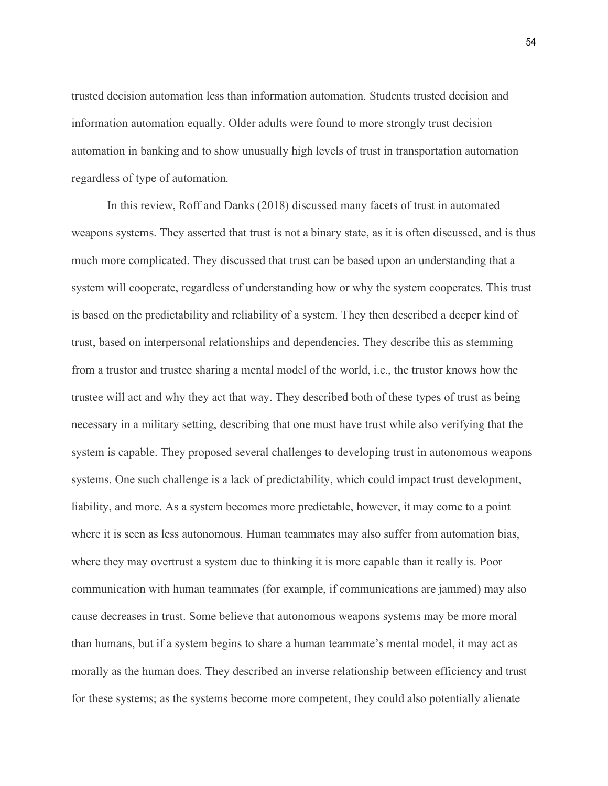trusted decision automation less than information automation. Students trusted decision and information automation equally. Older adults were found to more strongly trust decision automation in banking and to show unusually high levels of trust in transportation automation regardless of type of automation.

In this review, Roff and Danks (2018) discussed many facets of trust in automated weapons systems. They asserted that trust is not a binary state, as it is often discussed, and is thus much more complicated. They discussed that trust can be based upon an understanding that a system will cooperate, regardless of understanding how or why the system cooperates. This trust is based on the predictability and reliability of a system. They then described a deeper kind of trust, based on interpersonal relationships and dependencies. They describe this as stemming from a trustor and trustee sharing a mental model of the world, i.e., the trustor knows how the trustee will act and why they act that way. They described both of these types of trust as being necessary in a military setting, describing that one must have trust while also verifying that the system is capable. They proposed several challenges to developing trust in autonomous weapons systems. One such challenge is a lack of predictability, which could impact trust development, liability, and more. As a system becomes more predictable, however, it may come to a point where it is seen as less autonomous. Human teammates may also suffer from automation bias, where they may overtrust a system due to thinking it is more capable than it really is. Poor communication with human teammates (for example, if communications are jammed) may also cause decreases in trust. Some believe that autonomous weapons systems may be more moral than humans, but if a system begins to share a human teammate's mental model, it may act as morally as the human does. They described an inverse relationship between efficiency and trust for these systems; as the systems become more competent, they could also potentially alienate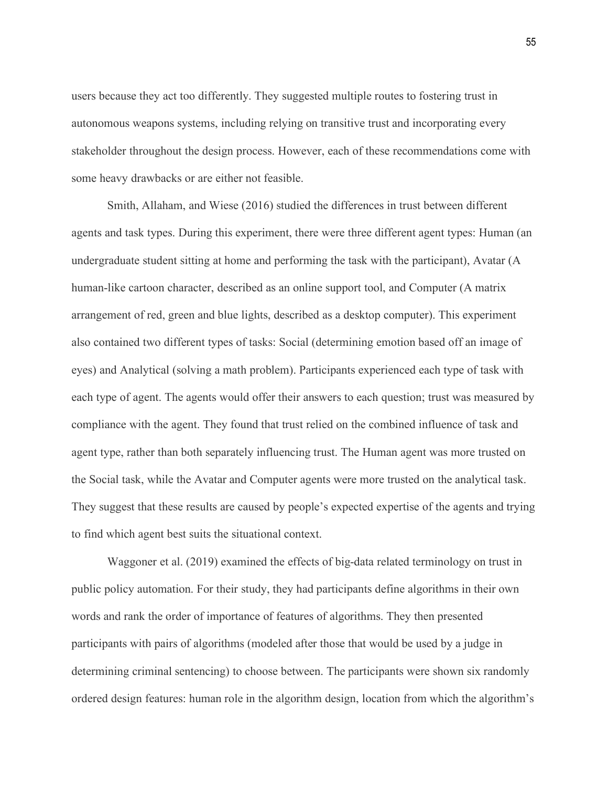users because they act too differently. They suggested multiple routes to fostering trust in autonomous weapons systems, including relying on transitive trust and incorporating every stakeholder throughout the design process. However, each of these recommendations come with some heavy drawbacks or are either not feasible.

Smith, Allaham, and Wiese (2016) studied the differences in trust between different agents and task types. During this experiment, there were three different agent types: Human (an undergraduate student sitting at home and performing the task with the participant), Avatar (A human-like cartoon character, described as an online support tool, and Computer (A matrix arrangement of red, green and blue lights, described as a desktop computer). This experiment also contained two different types of tasks: Social (determining emotion based off an image of eyes) and Analytical (solving a math problem). Participants experienced each type of task with each type of agent. The agents would offer their answers to each question; trust was measured by compliance with the agent. They found that trust relied on the combined influence of task and agent type, rather than both separately influencing trust. The Human agent was more trusted on the Social task, while the Avatar and Computer agents were more trusted on the analytical task. They suggest that these results are caused by people's expected expertise of the agents and trying to find which agent best suits the situational context.

Waggoner et al. (2019) examined the effects of big-data related terminology on trust in public policy automation. For their study, they had participants define algorithms in their own words and rank the order of importance of features of algorithms. They then presented participants with pairs of algorithms (modeled after those that would be used by a judge in determining criminal sentencing) to choose between. The participants were shown six randomly ordered design features: human role in the algorithm design, location from which the algorithm's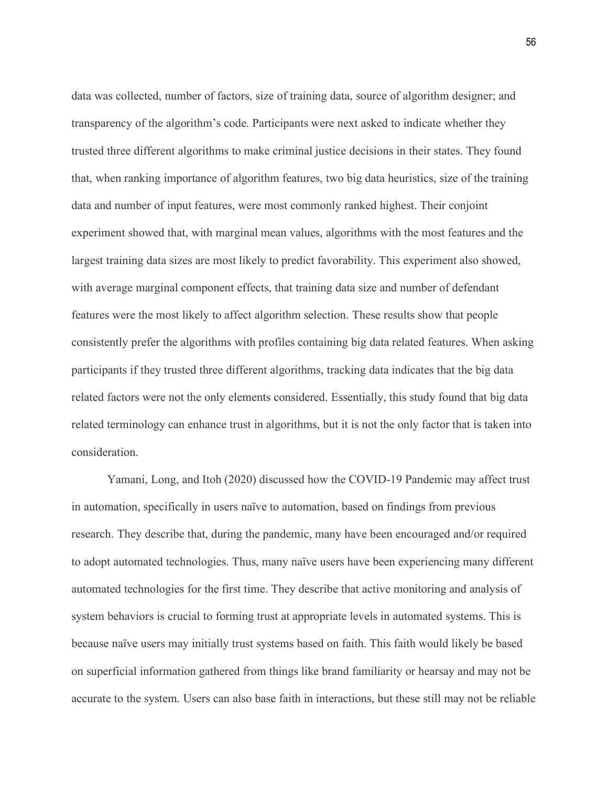data was collected, number of factors, size of training data, source of algorithm designer; and transparency of the algorithm's code. Participants were next asked to indicate whether they trusted three different algorithms to make criminal justice decisions in their states. They found that, when ranking importance of algorithm features, two big data heuristics, size of the training data and number of input features, were most commonly ranked highest. Their conjoint experiment showed that, with marginal mean values, algorithms with the most features and the largest training data sizes are most likely to predict favorability. This experiment also showed, with average marginal component effects, that training data size and number of defendant features were the most likely to affect algorithm selection. These results show that people consistently prefer the algorithms with profiles containing big data related features. When asking participants if they trusted three different algorithms, tracking data indicates that the big data related factors were not the only elements considered. Essentially, this study found that big data related terminology can enhance trust in algorithms, but it is not the only factor that is taken into consideration.

Yamani, Long, and Itoh (2020) discussed how the COVID-19 Pandemic may affect trust in automation, specifically in users naïve to automation, based on findings from previous research. They describe that, during the pandemic, many have been encouraged and/or required to adopt automated technologies. Thus, many naïve users have been experiencing many different automated technologies for the first time. They describe that active monitoring and analysis of system behaviors is crucial to forming trust at appropriate levels in automated systems. This is because naïve users may initially trust systems based on faith. This faith would likely be based on superficial information gathered from things like brand familiarity or hearsay and may not be accurate to the system. Users can also base faith in interactions, but these still may not be reliable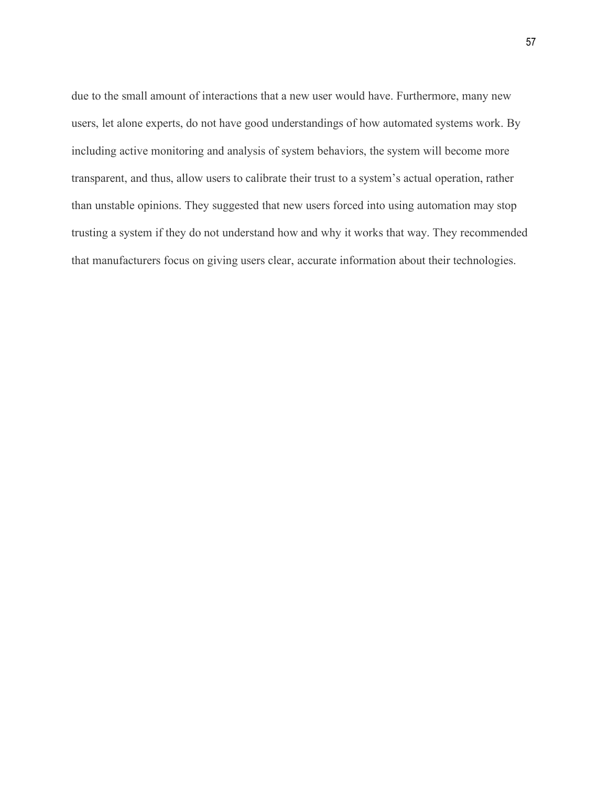due to the small amount of interactions that a new user would have. Furthermore, many new users, let alone experts, do not have good understandings of how automated systems work. By including active monitoring and analysis of system behaviors, the system will become more transparent, and thus, allow users to calibrate their trust to a system's actual operation, rather than unstable opinions. They suggested that new users forced into using automation may stop trusting a system if they do not understand how and why it works that way. They recommended that manufacturers focus on giving users clear, accurate information about their technologies.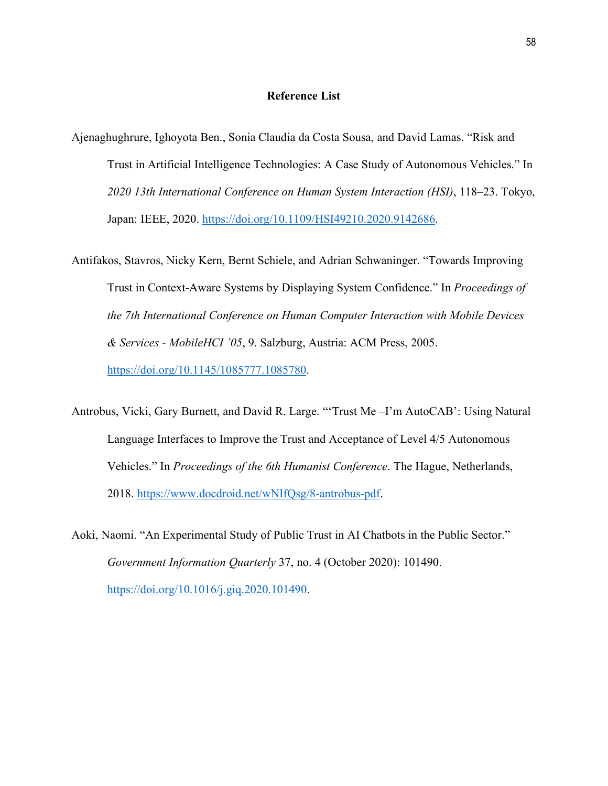## **Reference List**

- Ajenaghughrure, Ighoyota Ben., Sonia Claudia da Costa Sousa, and David Lamas. "Risk and Trust in Artificial Intelligence Technologies: A Case Study of Autonomous Vehicles." In *2020 13th International Conference on Human System Interaction (HSI)*, 118–23. Tokyo, Japan: IEEE, 2020. [https://doi.org/10.1109/HSI49210.2020.9142686.](https://doi.org/10.1109/HSI49210.2020.9142686)
- Antifakos, Stavros, Nicky Kern, Bernt Schiele, and Adrian Schwaninger. "Towards Improving Trust in Context-Aware Systems by Displaying System Confidence." In *Proceedings of the 7th International Conference on Human Computer Interaction with Mobile Devices & Services - MobileHCI '05*, 9. Salzburg, Austria: ACM Press, 2005. [https://doi.org/10.1145/1085777.1085780.](https://doi.org/10.1145/1085777.1085780)
- Antrobus, Vicki, Gary Burnett, and David R. Large. "'Trust Me –I'm AutoCAB': Using Natural Language Interfaces to Improve the Trust and Acceptance of Level 4/5 Autonomous Vehicles." In *Proceedings of the 6th Humanist Conference*. The Hague, Netherlands, 2018. [https://www.docdroid.net/wNIfQsg/8-antrobus-pdf.](https://www.docdroid.net/wNIfQsg/8-antrobus-pdf)
- Aoki, Naomi. "An Experimental Study of Public Trust in AI Chatbots in the Public Sector." *Government Information Quarterly* 37, no. 4 (October 2020): 101490. [https://doi.org/10.1016/j.giq.2020.101490.](https://doi.org/10.1016/j.giq.2020.101490)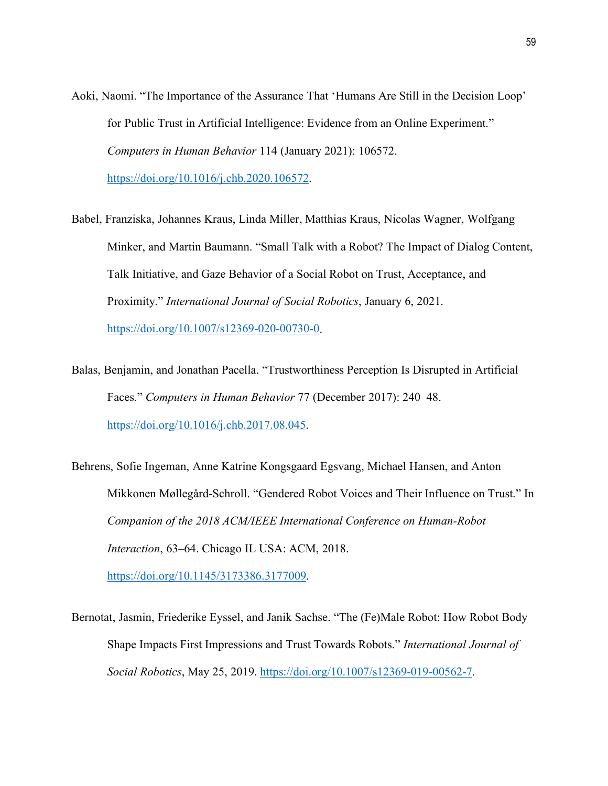Aoki, Naomi. "The Importance of the Assurance That 'Humans Are Still in the Decision Loop' for Public Trust in Artificial Intelligence: Evidence from an Online Experiment." *Computers in Human Behavior* 114 (January 2021): 106572.

[https://doi.org/10.1016/j.chb.2020.106572.](https://doi.org/10.1016/j.chb.2020.106572)

- Babel, Franziska, Johannes Kraus, Linda Miller, Matthias Kraus, Nicolas Wagner, Wolfgang Minker, and Martin Baumann. "Small Talk with a Robot? The Impact of Dialog Content, Talk Initiative, and Gaze Behavior of a Social Robot on Trust, Acceptance, and Proximity." *International Journal of Social Robotics*, January 6, 2021. [https://doi.org/10.1007/s12369-020-00730-0.](https://doi.org/10.1007/s12369-020-00730-0)
- Balas, Benjamin, and Jonathan Pacella. "Trustworthiness Perception Is Disrupted in Artificial Faces." *Computers in Human Behavior* 77 (December 2017): 240–48. [https://doi.org/10.1016/j.chb.2017.08.045.](https://doi.org/10.1016/j.chb.2017.08.045)
- Behrens, Sofie Ingeman, Anne Katrine Kongsgaard Egsvang, Michael Hansen, and Anton Mikkonen Møllegård-Schroll. "Gendered Robot Voices and Their Influence on Trust." In *Companion of the 2018 ACM/IEEE International Conference on Human-Robot Interaction*, 63–64. Chicago IL USA: ACM, 2018. [https://doi.org/10.1145/3173386.3177009.](https://doi.org/10.1145/3173386.3177009)
- Bernotat, Jasmin, Friederike Eyssel, and Janik Sachse. "The (Fe)Male Robot: How Robot Body Shape Impacts First Impressions and Trust Towards Robots." *International Journal of Social Robotics*, May 25, 2019. [https://doi.org/10.1007/s12369-019-00562-7.](https://doi.org/10.1007/s12369-019-00562-7)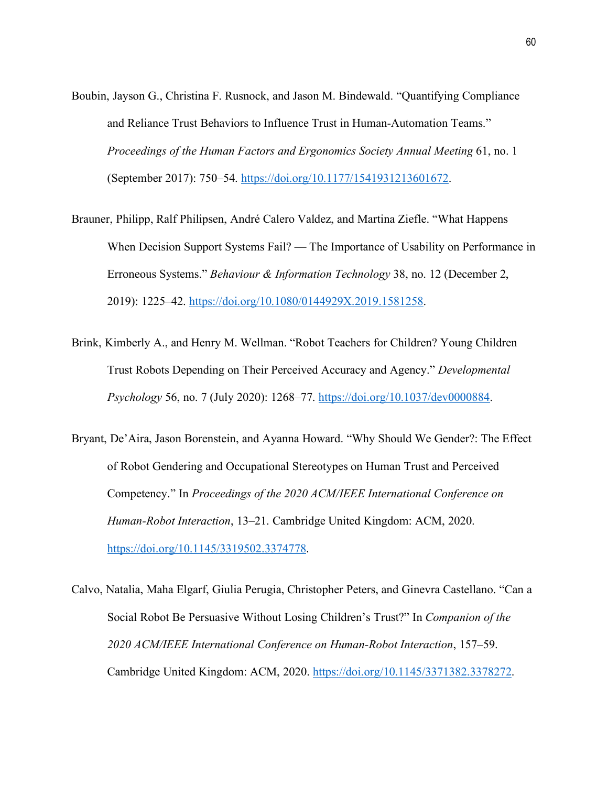- Boubin, Jayson G., Christina F. Rusnock, and Jason M. Bindewald. "Quantifying Compliance and Reliance Trust Behaviors to Influence Trust in Human-Automation Teams." *Proceedings of the Human Factors and Ergonomics Society Annual Meeting* 61, no. 1 (September 2017): 750–54. [https://doi.org/10.1177/1541931213601672.](https://doi.org/10.1177/1541931213601672)
- Brauner, Philipp, Ralf Philipsen, André Calero Valdez, and Martina Ziefle. "What Happens When Decision Support Systems Fail? — The Importance of Usability on Performance in Erroneous Systems." *Behaviour & Information Technology* 38, no. 12 (December 2, 2019): 1225–42. [https://doi.org/10.1080/0144929X.2019.1581258.](https://doi.org/10.1080/0144929X.2019.1581258)
- Brink, Kimberly A., and Henry M. Wellman. "Robot Teachers for Children? Young Children Trust Robots Depending on Their Perceived Accuracy and Agency." *Developmental Psychology* 56, no. 7 (July 2020): 1268–77. [https://doi.org/10.1037/dev0000884.](https://doi.org/10.1037/dev0000884)
- Bryant, De'Aira, Jason Borenstein, and Ayanna Howard. "Why Should We Gender?: The Effect of Robot Gendering and Occupational Stereotypes on Human Trust and Perceived Competency." In *Proceedings of the 2020 ACM/IEEE International Conference on Human-Robot Interaction*, 13–21. Cambridge United Kingdom: ACM, 2020. [https://doi.org/10.1145/3319502.3374778.](https://doi.org/10.1145/3319502.3374778)
- Calvo, Natalia, Maha Elgarf, Giulia Perugia, Christopher Peters, and Ginevra Castellano. "Can a Social Robot Be Persuasive Without Losing Children's Trust?" In *Companion of the 2020 ACM/IEEE International Conference on Human-Robot Interaction*, 157–59. Cambridge United Kingdom: ACM, 2020. [https://doi.org/10.1145/3371382.3378272.](https://doi.org/10.1145/3371382.3378272)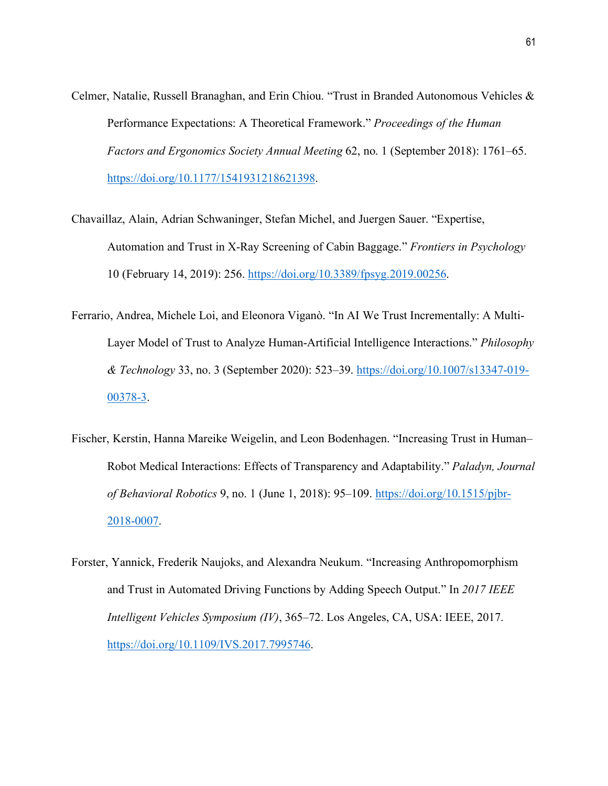- Celmer, Natalie, Russell Branaghan, and Erin Chiou. "Trust in Branded Autonomous Vehicles & Performance Expectations: A Theoretical Framework." *Proceedings of the Human Factors and Ergonomics Society Annual Meeting* 62, no. 1 (September 2018): 1761–65. [https://doi.org/10.1177/1541931218621398.](https://doi.org/10.1177/1541931218621398)
- Chavaillaz, Alain, Adrian Schwaninger, Stefan Michel, and Juergen Sauer. "Expertise, Automation and Trust in X-Ray Screening of Cabin Baggage." *Frontiers in Psychology* 10 (February 14, 2019): 256. [https://doi.org/10.3389/fpsyg.2019.00256.](https://doi.org/10.3389/fpsyg.2019.00256)
- Ferrario, Andrea, Michele Loi, and Eleonora Viganò. "In AI We Trust Incrementally: A Multi-Layer Model of Trust to Analyze Human-Artificial Intelligence Interactions." *Philosophy & Technology* 33, no. 3 (September 2020): 523–39. [https://doi.org/10.1007/s13347-019-](https://doi.org/10.1007/s13347-019-00378-3) [00378-3.](https://doi.org/10.1007/s13347-019-00378-3)
- Fischer, Kerstin, Hanna Mareike Weigelin, and Leon Bodenhagen. "Increasing Trust in Human– Robot Medical Interactions: Effects of Transparency and Adaptability." *Paladyn, Journal of Behavioral Robotics* 9, no. 1 (June 1, 2018): 95–109. [https://doi.org/10.1515/pjbr-](https://doi.org/10.1515/pjbr-2018-0007)[2018-0007.](https://doi.org/10.1515/pjbr-2018-0007)
- Forster, Yannick, Frederik Naujoks, and Alexandra Neukum. "Increasing Anthropomorphism and Trust in Automated Driving Functions by Adding Speech Output." In *2017 IEEE Intelligent Vehicles Symposium (IV)*, 365–72. Los Angeles, CA, USA: IEEE, 2017. [https://doi.org/10.1109/IVS.2017.7995746.](https://doi.org/10.1109/IVS.2017.7995746)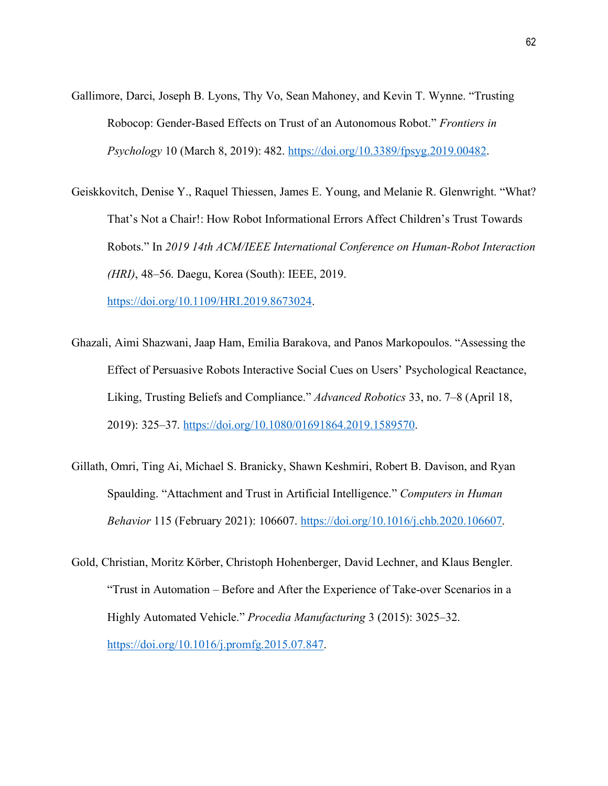- Gallimore, Darci, Joseph B. Lyons, Thy Vo, Sean Mahoney, and Kevin T. Wynne. "Trusting Robocop: Gender-Based Effects on Trust of an Autonomous Robot." *Frontiers in Psychology* 10 (March 8, 2019): 482. [https://doi.org/10.3389/fpsyg.2019.00482.](https://doi.org/10.3389/fpsyg.2019.00482)
- Geiskkovitch, Denise Y., Raquel Thiessen, James E. Young, and Melanie R. Glenwright. "What? That's Not a Chair!: How Robot Informational Errors Affect Children's Trust Towards Robots." In *2019 14th ACM/IEEE International Conference on Human-Robot Interaction (HRI)*, 48–56. Daegu, Korea (South): IEEE, 2019.

[https://doi.org/10.1109/HRI.2019.8673024.](https://doi.org/10.1109/HRI.2019.8673024)

- Ghazali, Aimi Shazwani, Jaap Ham, Emilia Barakova, and Panos Markopoulos. "Assessing the Effect of Persuasive Robots Interactive Social Cues on Users' Psychological Reactance, Liking, Trusting Beliefs and Compliance." *Advanced Robotics* 33, no. 7–8 (April 18, 2019): 325–37. [https://doi.org/10.1080/01691864.2019.1589570.](https://doi.org/10.1080/01691864.2019.1589570)
- Gillath, Omri, Ting Ai, Michael S. Branicky, Shawn Keshmiri, Robert B. Davison, and Ryan Spaulding. "Attachment and Trust in Artificial Intelligence." *Computers in Human Behavior* 115 (February 2021): 106607. [https://doi.org/10.1016/j.chb.2020.106607.](https://doi.org/10.1016/j.chb.2020.106607)
- Gold, Christian, Moritz Körber, Christoph Hohenberger, David Lechner, and Klaus Bengler. "Trust in Automation – Before and After the Experience of Take-over Scenarios in a Highly Automated Vehicle." *Procedia Manufacturing* 3 (2015): 3025–32. [https://doi.org/10.1016/j.promfg.2015.07.847.](https://doi.org/10.1016/j.promfg.2015.07.847)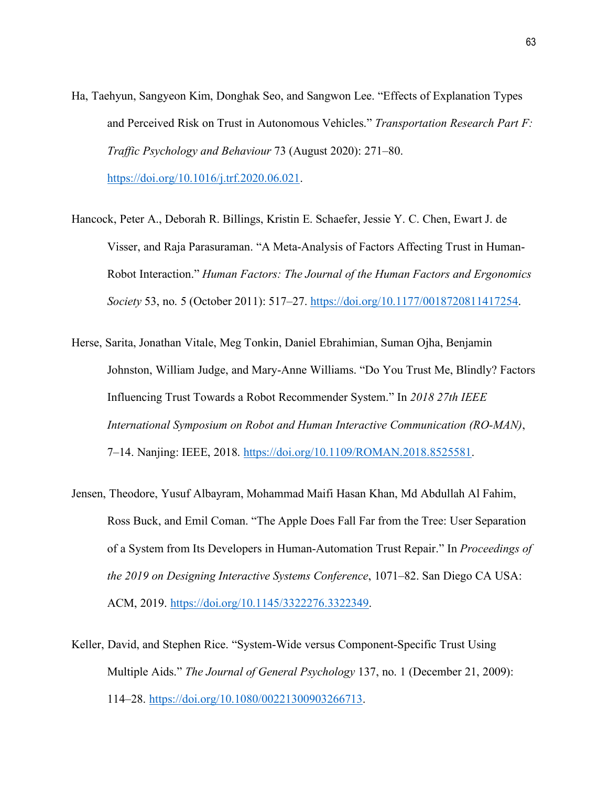- Ha, Taehyun, Sangyeon Kim, Donghak Seo, and Sangwon Lee. "Effects of Explanation Types and Perceived Risk on Trust in Autonomous Vehicles." *Transportation Research Part F: Traffic Psychology and Behaviour* 73 (August 2020): 271–80. [https://doi.org/10.1016/j.trf.2020.06.021.](https://doi.org/10.1016/j.trf.2020.06.021)
- Hancock, Peter A., Deborah R. Billings, Kristin E. Schaefer, Jessie Y. C. Chen, Ewart J. de Visser, and Raja Parasuraman. "A Meta-Analysis of Factors Affecting Trust in Human-Robot Interaction." *Human Factors: The Journal of the Human Factors and Ergonomics Society* 53, no. 5 (October 2011): 517–27. [https://doi.org/10.1177/0018720811417254.](https://doi.org/10.1177/0018720811417254)
- Herse, Sarita, Jonathan Vitale, Meg Tonkin, Daniel Ebrahimian, Suman Ojha, Benjamin Johnston, William Judge, and Mary-Anne Williams. "Do You Trust Me, Blindly? Factors Influencing Trust Towards a Robot Recommender System." In *2018 27th IEEE International Symposium on Robot and Human Interactive Communication (RO-MAN)*, 7–14. Nanjing: IEEE, 2018. [https://doi.org/10.1109/ROMAN.2018.8525581.](https://doi.org/10.1109/ROMAN.2018.8525581)
- Jensen, Theodore, Yusuf Albayram, Mohammad Maifi Hasan Khan, Md Abdullah Al Fahim, Ross Buck, and Emil Coman. "The Apple Does Fall Far from the Tree: User Separation of a System from Its Developers in Human-Automation Trust Repair." In *Proceedings of the 2019 on Designing Interactive Systems Conference*, 1071–82. San Diego CA USA: ACM, 2019. [https://doi.org/10.1145/3322276.3322349.](https://doi.org/10.1145/3322276.3322349)
- Keller, David, and Stephen Rice. "System-Wide versus Component-Specific Trust Using Multiple Aids." *The Journal of General Psychology* 137, no. 1 (December 21, 2009): 114–28. [https://doi.org/10.1080/00221300903266713.](https://doi.org/10.1080/00221300903266713)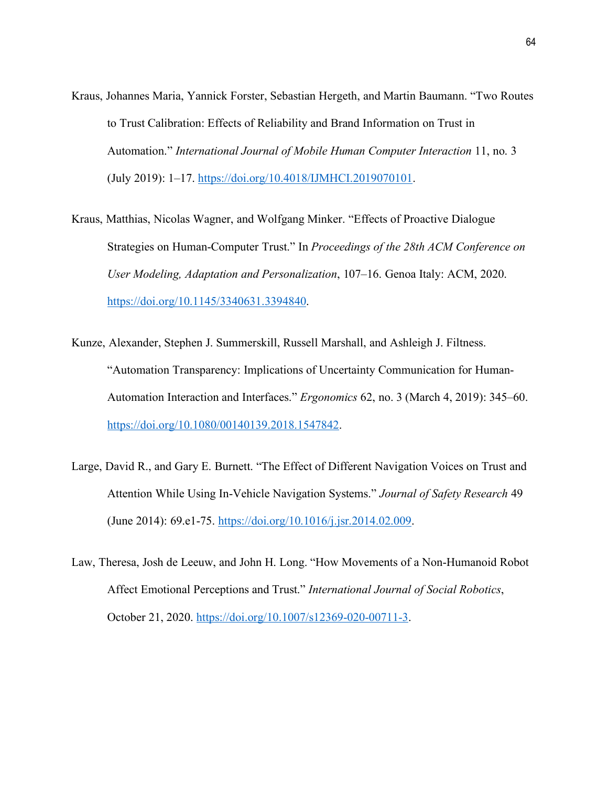- Kraus, Johannes Maria, Yannick Forster, Sebastian Hergeth, and Martin Baumann. "Two Routes to Trust Calibration: Effects of Reliability and Brand Information on Trust in Automation." *International Journal of Mobile Human Computer Interaction* 11, no. 3 (July 2019): 1–17. [https://doi.org/10.4018/IJMHCI.2019070101.](https://doi.org/10.4018/IJMHCI.2019070101)
- Kraus, Matthias, Nicolas Wagner, and Wolfgang Minker. "Effects of Proactive Dialogue Strategies on Human-Computer Trust." In *Proceedings of the 28th ACM Conference on User Modeling, Adaptation and Personalization*, 107–16. Genoa Italy: ACM, 2020. [https://doi.org/10.1145/3340631.3394840.](https://doi.org/10.1145/3340631.3394840)
- Kunze, Alexander, Stephen J. Summerskill, Russell Marshall, and Ashleigh J. Filtness. "Automation Transparency: Implications of Uncertainty Communication for Human-Automation Interaction and Interfaces." *Ergonomics* 62, no. 3 (March 4, 2019): 345–60. [https://doi.org/10.1080/00140139.2018.1547842.](https://doi.org/10.1080/00140139.2018.1547842)
- Large, David R., and Gary E. Burnett. "The Effect of Different Navigation Voices on Trust and Attention While Using In-Vehicle Navigation Systems." *Journal of Safety Research* 49 (June 2014): 69.e1-75. [https://doi.org/10.1016/j.jsr.2014.02.009.](https://doi.org/10.1016/j.jsr.2014.02.009)
- Law, Theresa, Josh de Leeuw, and John H. Long. "How Movements of a Non-Humanoid Robot Affect Emotional Perceptions and Trust." *International Journal of Social Robotics*, October 21, 2020. [https://doi.org/10.1007/s12369-020-00711-3.](https://doi.org/10.1007/s12369-020-00711-3)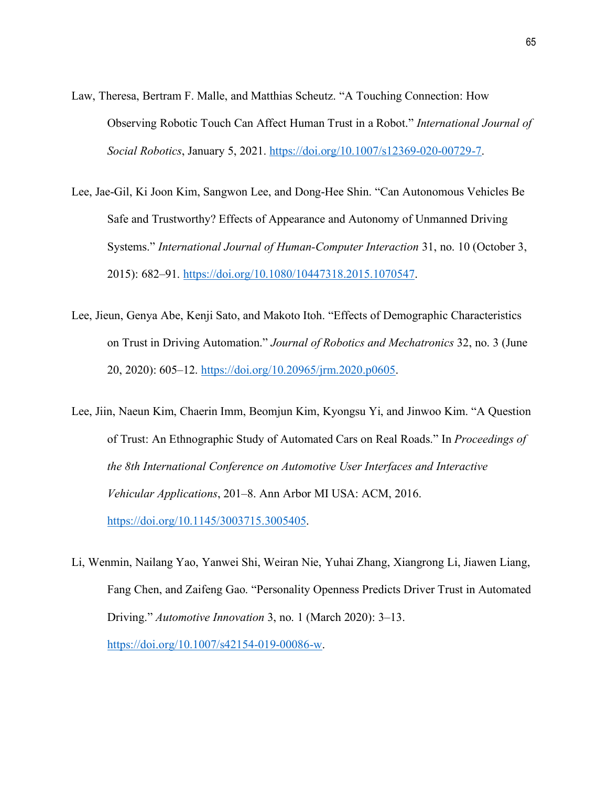- Law, Theresa, Bertram F. Malle, and Matthias Scheutz. "A Touching Connection: How Observing Robotic Touch Can Affect Human Trust in a Robot." *International Journal of Social Robotics*, January 5, 2021. [https://doi.org/10.1007/s12369-020-00729-7.](https://doi.org/10.1007/s12369-020-00729-7)
- Lee, Jae-Gil, Ki Joon Kim, Sangwon Lee, and Dong-Hee Shin. "Can Autonomous Vehicles Be Safe and Trustworthy? Effects of Appearance and Autonomy of Unmanned Driving Systems." *International Journal of Human-Computer Interaction* 31, no. 10 (October 3, 2015): 682–91. [https://doi.org/10.1080/10447318.2015.1070547.](https://doi.org/10.1080/10447318.2015.1070547)
- Lee, Jieun, Genya Abe, Kenji Sato, and Makoto Itoh. "Effects of Demographic Characteristics on Trust in Driving Automation." *Journal of Robotics and Mechatronics* 32, no. 3 (June 20, 2020): 605–12. [https://doi.org/10.20965/jrm.2020.p0605.](https://doi.org/10.20965/jrm.2020.p0605)
- Lee, Jiin, Naeun Kim, Chaerin Imm, Beomjun Kim, Kyongsu Yi, and Jinwoo Kim. "A Question of Trust: An Ethnographic Study of Automated Cars on Real Roads." In *Proceedings of the 8th International Conference on Automotive User Interfaces and Interactive Vehicular Applications*, 201–8. Ann Arbor MI USA: ACM, 2016. [https://doi.org/10.1145/3003715.3005405.](https://doi.org/10.1145/3003715.3005405)
- Li, Wenmin, Nailang Yao, Yanwei Shi, Weiran Nie, Yuhai Zhang, Xiangrong Li, Jiawen Liang, Fang Chen, and Zaifeng Gao. "Personality Openness Predicts Driver Trust in Automated Driving." *Automotive Innovation* 3, no. 1 (March 2020): 3–13. [https://doi.org/10.1007/s42154-019-00086-w.](https://doi.org/10.1007/s42154-019-00086-w)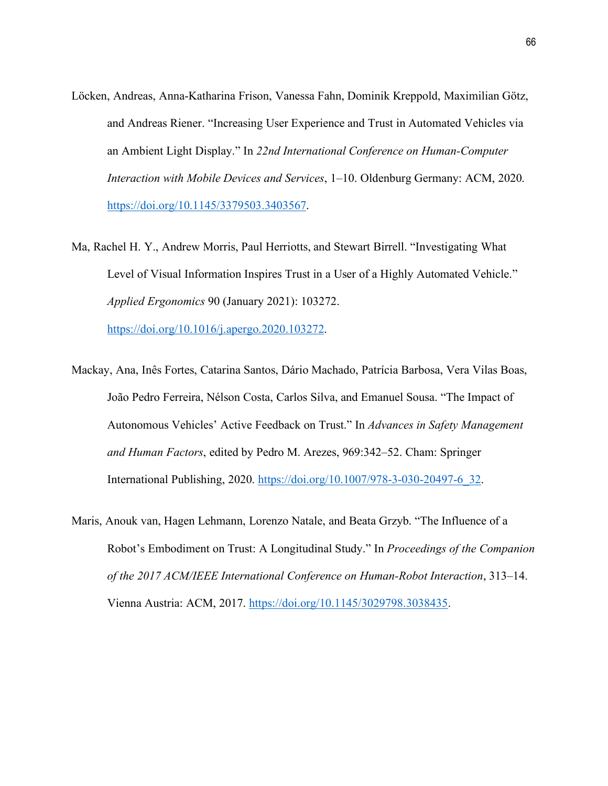- Löcken, Andreas, Anna-Katharina Frison, Vanessa Fahn, Dominik Kreppold, Maximilian Götz, and Andreas Riener. "Increasing User Experience and Trust in Automated Vehicles via an Ambient Light Display." In *22nd International Conference on Human-Computer Interaction with Mobile Devices and Services*, 1–10. Oldenburg Germany: ACM, 2020. [https://doi.org/10.1145/3379503.3403567.](https://doi.org/10.1145/3379503.3403567)
- Ma, Rachel H. Y., Andrew Morris, Paul Herriotts, and Stewart Birrell. "Investigating What Level of Visual Information Inspires Trust in a User of a Highly Automated Vehicle." *Applied Ergonomics* 90 (January 2021): 103272.

[https://doi.org/10.1016/j.apergo.2020.103272.](https://doi.org/10.1016/j.apergo.2020.103272)

- Mackay, Ana, Inês Fortes, Catarina Santos, Dário Machado, Patrícia Barbosa, Vera Vilas Boas, João Pedro Ferreira, Nélson Costa, Carlos Silva, and Emanuel Sousa. "The Impact of Autonomous Vehicles' Active Feedback on Trust." In *Advances in Safety Management and Human Factors*, edited by Pedro M. Arezes, 969:342–52. Cham: Springer International Publishing, 2020. [https://doi.org/10.1007/978-3-030-20497-6\\_32.](https://doi.org/10.1007/978-3-030-20497-6_32)
- Maris, Anouk van, Hagen Lehmann, Lorenzo Natale, and Beata Grzyb. "The Influence of a Robot's Embodiment on Trust: A Longitudinal Study." In *Proceedings of the Companion of the 2017 ACM/IEEE International Conference on Human-Robot Interaction*, 313–14. Vienna Austria: ACM, 2017. [https://doi.org/10.1145/3029798.3038435.](https://doi.org/10.1145/3029798.3038435)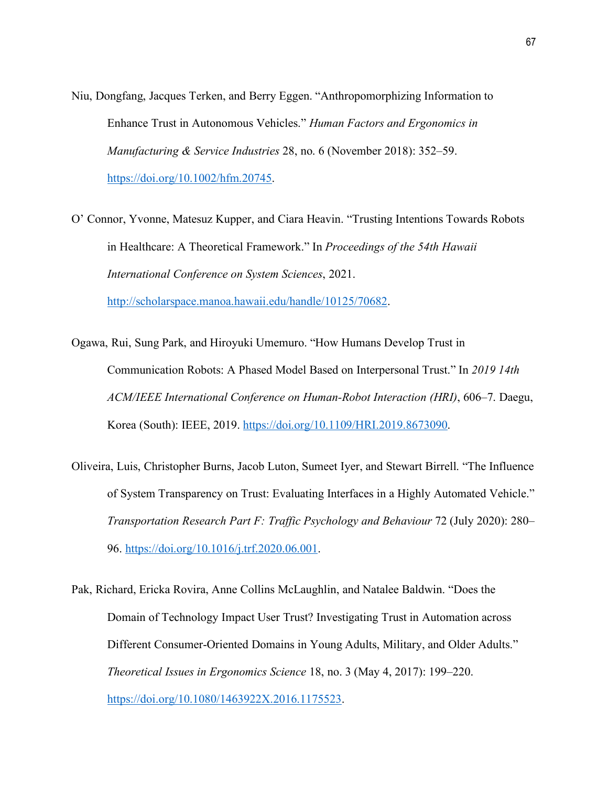- Niu, Dongfang, Jacques Terken, and Berry Eggen. "Anthropomorphizing Information to Enhance Trust in Autonomous Vehicles." *Human Factors and Ergonomics in Manufacturing & Service Industries* 28, no. 6 (November 2018): 352–59. [https://doi.org/10.1002/hfm.20745.](https://doi.org/10.1002/hfm.20745)
- O' Connor, Yvonne, Matesuz Kupper, and Ciara Heavin. "Trusting Intentions Towards Robots in Healthcare: A Theoretical Framework." In *Proceedings of the 54th Hawaii International Conference on System Sciences*, 2021. [http://scholarspace.manoa.hawaii.edu/handle/10125/70682.](http://scholarspace.manoa.hawaii.edu/handle/10125/70682)
- Ogawa, Rui, Sung Park, and Hiroyuki Umemuro. "How Humans Develop Trust in Communication Robots: A Phased Model Based on Interpersonal Trust." In *2019 14th ACM/IEEE International Conference on Human-Robot Interaction (HRI)*, 606–7. Daegu, Korea (South): IEEE, 2019. [https://doi.org/10.1109/HRI.2019.8673090.](https://doi.org/10.1109/HRI.2019.8673090)
- Oliveira, Luis, Christopher Burns, Jacob Luton, Sumeet Iyer, and Stewart Birrell. "The Influence of System Transparency on Trust: Evaluating Interfaces in a Highly Automated Vehicle." *Transportation Research Part F: Traffic Psychology and Behaviour* 72 (July 2020): 280– 96. [https://doi.org/10.1016/j.trf.2020.06.001.](https://doi.org/10.1016/j.trf.2020.06.001)
- Pak, Richard, Ericka Rovira, Anne Collins McLaughlin, and Natalee Baldwin. "Does the Domain of Technology Impact User Trust? Investigating Trust in Automation across Different Consumer-Oriented Domains in Young Adults, Military, and Older Adults." *Theoretical Issues in Ergonomics Science* 18, no. 3 (May 4, 2017): 199–220. [https://doi.org/10.1080/1463922X.2016.1175523.](https://doi.org/10.1080/1463922X.2016.1175523)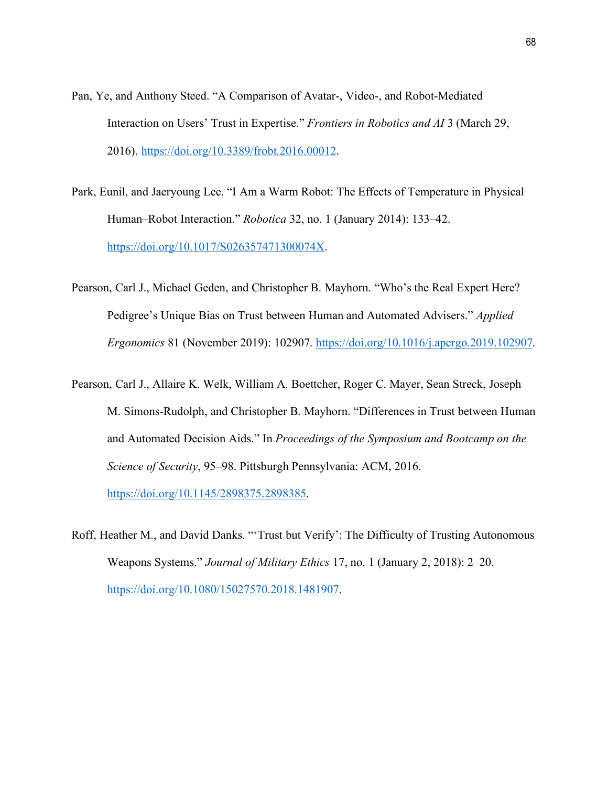- Pan, Ye, and Anthony Steed. "A Comparison of Avatar-, Video-, and Robot-Mediated Interaction on Users' Trust in Expertise." *Frontiers in Robotics and AI* 3 (March 29, 2016). [https://doi.org/10.3389/frobt.2016.00012.](https://doi.org/10.3389/frobt.2016.00012)
- Park, Eunil, and Jaeryoung Lee. "I Am a Warm Robot: The Effects of Temperature in Physical Human–Robot Interaction." *Robotica* 32, no. 1 (January 2014): 133–42. [https://doi.org/10.1017/S026357471300074X.](https://doi.org/10.1017/S026357471300074X)
- Pearson, Carl J., Michael Geden, and Christopher B. Mayhorn. "Who's the Real Expert Here? Pedigree's Unique Bias on Trust between Human and Automated Advisers." *Applied Ergonomics* 81 (November 2019): 102907. [https://doi.org/10.1016/j.apergo.2019.102907.](https://doi.org/10.1016/j.apergo.2019.102907)
- Pearson, Carl J., Allaire K. Welk, William A. Boettcher, Roger C. Mayer, Sean Streck, Joseph M. Simons-Rudolph, and Christopher B. Mayhorn. "Differences in Trust between Human and Automated Decision Aids." In *Proceedings of the Symposium and Bootcamp on the Science of Security*, 95–98. Pittsburgh Pennsylvania: ACM, 2016. [https://doi.org/10.1145/2898375.2898385.](https://doi.org/10.1145/2898375.2898385)
- Roff, Heather M., and David Danks. "'Trust but Verify': The Difficulty of Trusting Autonomous Weapons Systems." *Journal of Military Ethics* 17, no. 1 (January 2, 2018): 2–20. [https://doi.org/10.1080/15027570.2018.1481907.](https://doi.org/10.1080/15027570.2018.1481907)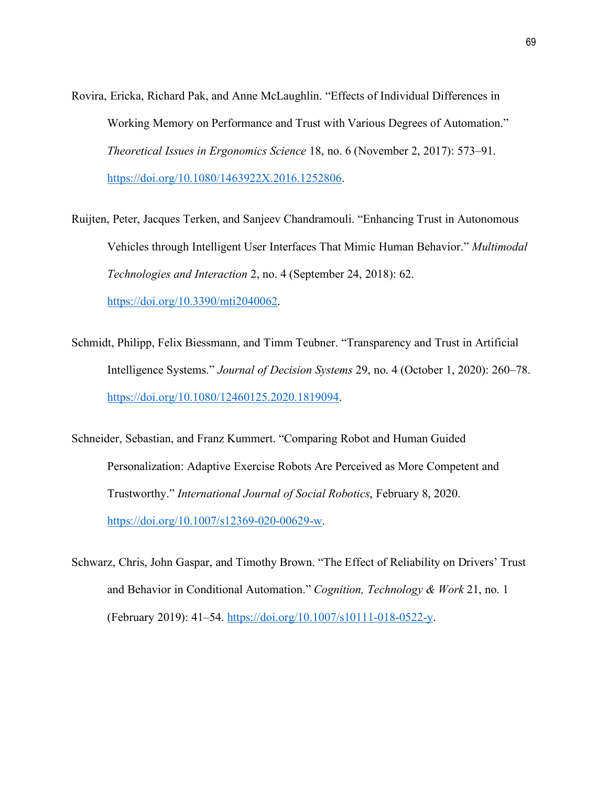- Rovira, Ericka, Richard Pak, and Anne McLaughlin. "Effects of Individual Differences in Working Memory on Performance and Trust with Various Degrees of Automation." *Theoretical Issues in Ergonomics Science* 18, no. 6 (November 2, 2017): 573–91. [https://doi.org/10.1080/1463922X.2016.1252806.](https://doi.org/10.1080/1463922X.2016.1252806)
- Ruijten, Peter, Jacques Terken, and Sanjeev Chandramouli. "Enhancing Trust in Autonomous Vehicles through Intelligent User Interfaces That Mimic Human Behavior." *Multimodal Technologies and Interaction* 2, no. 4 (September 24, 2018): 62. [https://doi.org/10.3390/mti2040062.](https://doi.org/10.3390/mti2040062)
- Schmidt, Philipp, Felix Biessmann, and Timm Teubner. "Transparency and Trust in Artificial Intelligence Systems." *Journal of Decision Systems* 29, no. 4 (October 1, 2020): 260–78. [https://doi.org/10.1080/12460125.2020.1819094.](https://doi.org/10.1080/12460125.2020.1819094)
- Schneider, Sebastian, and Franz Kummert. "Comparing Robot and Human Guided Personalization: Adaptive Exercise Robots Are Perceived as More Competent and Trustworthy." *International Journal of Social Robotics*, February 8, 2020. [https://doi.org/10.1007/s12369-020-00629-w.](https://doi.org/10.1007/s12369-020-00629-w)
- Schwarz, Chris, John Gaspar, and Timothy Brown. "The Effect of Reliability on Drivers' Trust and Behavior in Conditional Automation." *Cognition, Technology & Work* 21, no. 1 (February 2019): 41–54. [https://doi.org/10.1007/s10111-018-0522-y.](https://doi.org/10.1007/s10111-018-0522-y)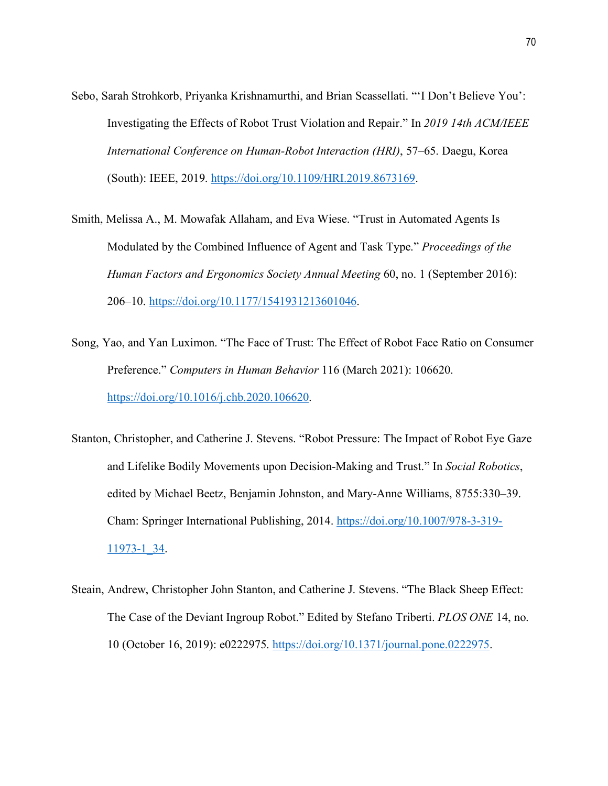- Sebo, Sarah Strohkorb, Priyanka Krishnamurthi, and Brian Scassellati. "'I Don't Believe You': Investigating the Effects of Robot Trust Violation and Repair." In *2019 14th ACM/IEEE International Conference on Human-Robot Interaction (HRI)*, 57–65. Daegu, Korea (South): IEEE, 2019. [https://doi.org/10.1109/HRI.2019.8673169.](https://doi.org/10.1109/HRI.2019.8673169)
- Smith, Melissa A., M. Mowafak Allaham, and Eva Wiese. "Trust in Automated Agents Is Modulated by the Combined Influence of Agent and Task Type." *Proceedings of the Human Factors and Ergonomics Society Annual Meeting* 60, no. 1 (September 2016): 206–10. [https://doi.org/10.1177/1541931213601046.](https://doi.org/10.1177/1541931213601046)
- Song, Yao, and Yan Luximon. "The Face of Trust: The Effect of Robot Face Ratio on Consumer Preference." *Computers in Human Behavior* 116 (March 2021): 106620. [https://doi.org/10.1016/j.chb.2020.106620.](https://doi.org/10.1016/j.chb.2020.106620)
- Stanton, Christopher, and Catherine J. Stevens. "Robot Pressure: The Impact of Robot Eye Gaze and Lifelike Bodily Movements upon Decision-Making and Trust." In *Social Robotics*, edited by Michael Beetz, Benjamin Johnston, and Mary-Anne Williams, 8755:330–39. Cham: Springer International Publishing, 2014. [https://doi.org/10.1007/978-3-319-](https://doi.org/10.1007/978-3-319-11973-1_34) [11973-1\\_34.](https://doi.org/10.1007/978-3-319-11973-1_34)
- Steain, Andrew, Christopher John Stanton, and Catherine J. Stevens. "The Black Sheep Effect: The Case of the Deviant Ingroup Robot." Edited by Stefano Triberti. *PLOS ONE* 14, no. 10 (October 16, 2019): e0222975. [https://doi.org/10.1371/journal.pone.0222975.](https://doi.org/10.1371/journal.pone.0222975)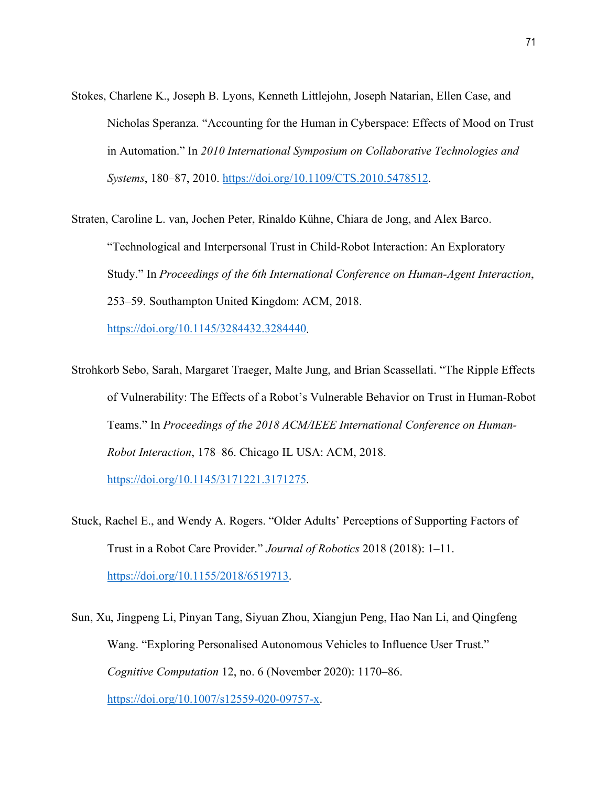Stokes, Charlene K., Joseph B. Lyons, Kenneth Littlejohn, Joseph Natarian, Ellen Case, and Nicholas Speranza. "Accounting for the Human in Cyberspace: Effects of Mood on Trust in Automation." In *2010 International Symposium on Collaborative Technologies and Systems*, 180–87, 2010. [https://doi.org/10.1109/CTS.2010.5478512.](https://doi.org/10.1109/CTS.2010.5478512)

Straten, Caroline L. van, Jochen Peter, Rinaldo Kühne, Chiara de Jong, and Alex Barco. "Technological and Interpersonal Trust in Child-Robot Interaction: An Exploratory Study." In *Proceedings of the 6th International Conference on Human-Agent Interaction*, 253–59. Southampton United Kingdom: ACM, 2018.

[https://doi.org/10.1145/3284432.3284440.](https://doi.org/10.1145/3284432.3284440)

Strohkorb Sebo, Sarah, Margaret Traeger, Malte Jung, and Brian Scassellati. "The Ripple Effects of Vulnerability: The Effects of a Robot's Vulnerable Behavior on Trust in Human-Robot Teams." In *Proceedings of the 2018 ACM/IEEE International Conference on Human-Robot Interaction*, 178–86. Chicago IL USA: ACM, 2018.

[https://doi.org/10.1145/3171221.3171275.](https://doi.org/10.1145/3171221.3171275)

- Stuck, Rachel E., and Wendy A. Rogers. "Older Adults' Perceptions of Supporting Factors of Trust in a Robot Care Provider." *Journal of Robotics* 2018 (2018): 1–11. [https://doi.org/10.1155/2018/6519713.](https://doi.org/10.1155/2018/6519713)
- Sun, Xu, Jingpeng Li, Pinyan Tang, Siyuan Zhou, Xiangjun Peng, Hao Nan Li, and Qingfeng Wang. "Exploring Personalised Autonomous Vehicles to Influence User Trust." *Cognitive Computation* 12, no. 6 (November 2020): 1170–86. [https://doi.org/10.1007/s12559-020-09757-x.](https://doi.org/10.1007/s12559-020-09757-x)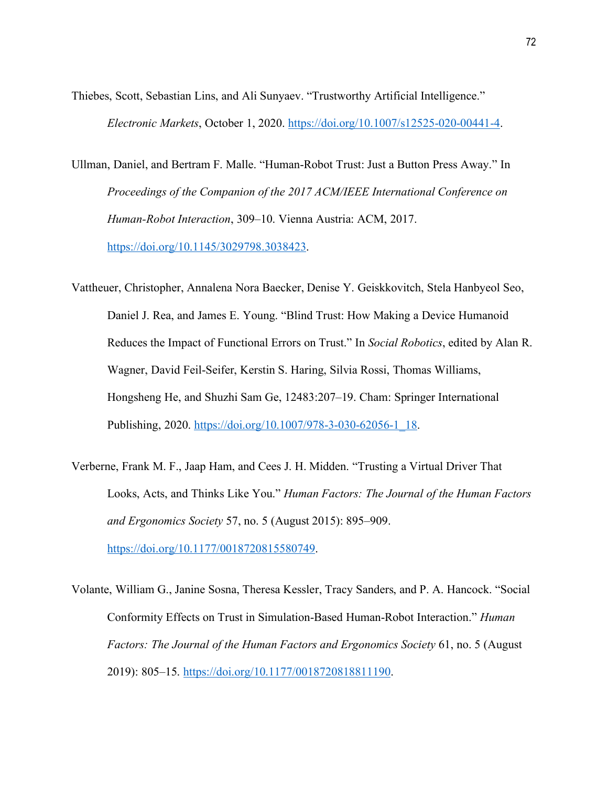Thiebes, Scott, Sebastian Lins, and Ali Sunyaev. "Trustworthy Artificial Intelligence." *Electronic Markets*, October 1, 2020. [https://doi.org/10.1007/s12525-020-00441-4.](https://doi.org/10.1007/s12525-020-00441-4)

Ullman, Daniel, and Bertram F. Malle. "Human-Robot Trust: Just a Button Press Away." In *Proceedings of the Companion of the 2017 ACM/IEEE International Conference on Human-Robot Interaction*, 309–10. Vienna Austria: ACM, 2017. [https://doi.org/10.1145/3029798.3038423.](https://doi.org/10.1145/3029798.3038423)

Vattheuer, Christopher, Annalena Nora Baecker, Denise Y. Geiskkovitch, Stela Hanbyeol Seo, Daniel J. Rea, and James E. Young. "Blind Trust: How Making a Device Humanoid Reduces the Impact of Functional Errors on Trust." In *Social Robotics*, edited by Alan R. Wagner, David Feil-Seifer, Kerstin S. Haring, Silvia Rossi, Thomas Williams, Hongsheng He, and Shuzhi Sam Ge, 12483:207–19. Cham: Springer International Publishing, 2020. [https://doi.org/10.1007/978-3-030-62056-1\\_18.](https://doi.org/10.1007/978-3-030-62056-1_18)

Verberne, Frank M. F., Jaap Ham, and Cees J. H. Midden. "Trusting a Virtual Driver That Looks, Acts, and Thinks Like You." *Human Factors: The Journal of the Human Factors and Ergonomics Society* 57, no. 5 (August 2015): 895–909. [https://doi.org/10.1177/0018720815580749.](https://doi.org/10.1177/0018720815580749)

Volante, William G., Janine Sosna, Theresa Kessler, Tracy Sanders, and P. A. Hancock. "Social Conformity Effects on Trust in Simulation-Based Human-Robot Interaction." *Human Factors: The Journal of the Human Factors and Ergonomics Society* 61, no. 5 (August 2019): 805–15. [https://doi.org/10.1177/0018720818811190.](https://doi.org/10.1177/0018720818811190)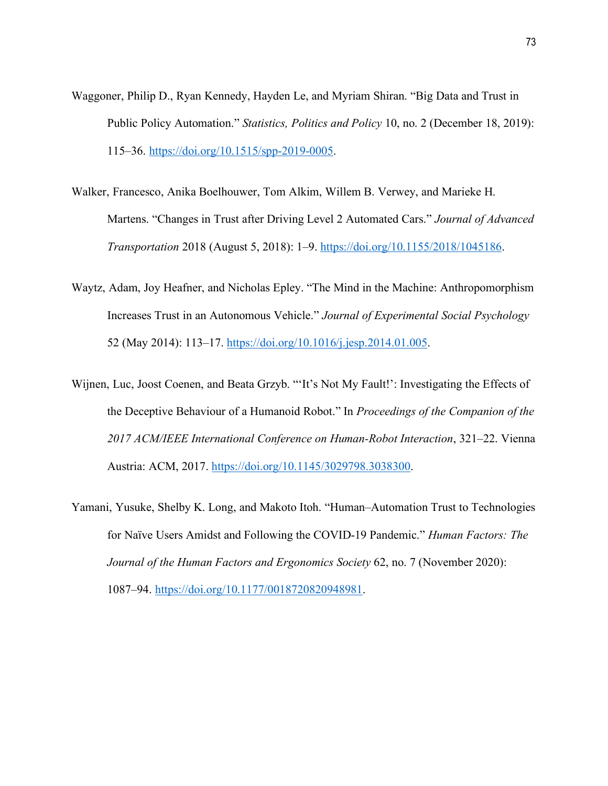- Waggoner, Philip D., Ryan Kennedy, Hayden Le, and Myriam Shiran. "Big Data and Trust in Public Policy Automation." *Statistics, Politics and Policy* 10, no. 2 (December 18, 2019): 115–36. [https://doi.org/10.1515/spp-2019-0005.](https://doi.org/10.1515/spp-2019-0005)
- Walker, Francesco, Anika Boelhouwer, Tom Alkim, Willem B. Verwey, and Marieke H. Martens. "Changes in Trust after Driving Level 2 Automated Cars." *Journal of Advanced Transportation* 2018 (August 5, 2018): 1–9. [https://doi.org/10.1155/2018/1045186.](https://doi.org/10.1155/2018/1045186)
- Waytz, Adam, Joy Heafner, and Nicholas Epley. "The Mind in the Machine: Anthropomorphism Increases Trust in an Autonomous Vehicle." *Journal of Experimental Social Psychology* 52 (May 2014): 113–17. [https://doi.org/10.1016/j.jesp.2014.01.005.](https://doi.org/10.1016/j.jesp.2014.01.005)
- Wijnen, Luc, Joost Coenen, and Beata Grzyb. "'It's Not My Fault!': Investigating the Effects of the Deceptive Behaviour of a Humanoid Robot." In *Proceedings of the Companion of the 2017 ACM/IEEE International Conference on Human-Robot Interaction*, 321–22. Vienna Austria: ACM, 2017. [https://doi.org/10.1145/3029798.3038300.](https://doi.org/10.1145/3029798.3038300)
- Yamani, Yusuke, Shelby K. Long, and Makoto Itoh. "Human–Automation Trust to Technologies for Naïve Users Amidst and Following the COVID-19 Pandemic." *Human Factors: The Journal of the Human Factors and Ergonomics Society* 62, no. 7 (November 2020): 1087–94. [https://doi.org/10.1177/0018720820948981.](https://doi.org/10.1177/0018720820948981)